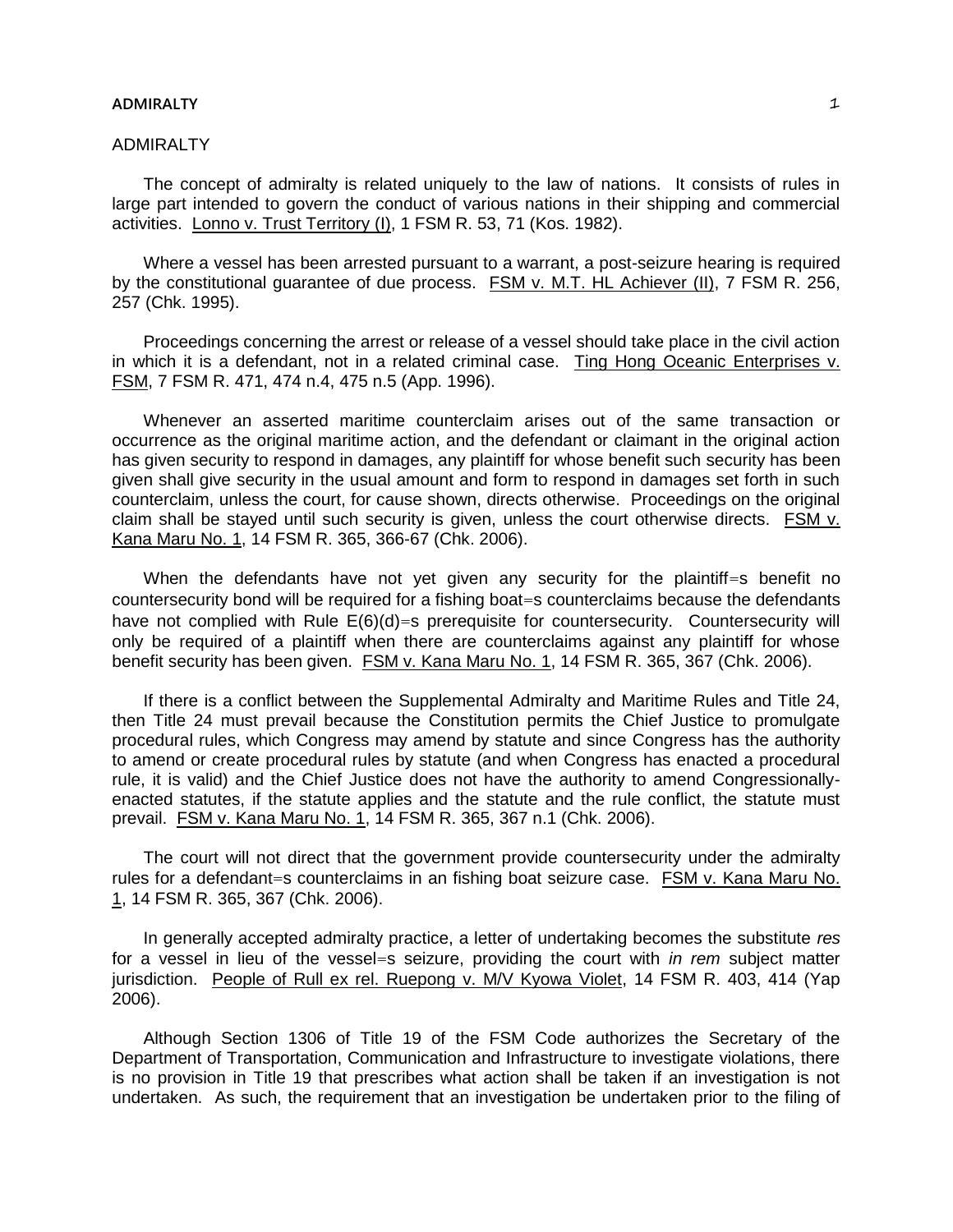# **ADMIRALTY** 1

# ADMIRALTY

The concept of admiralty is related uniquely to the law of nations. It consists of rules in large part intended to govern the conduct of various nations in their shipping and commercial activities. Lonno v. Trust Territory (I), 1 FSM R. 53, 71 (Kos. 1982).

Where a vessel has been arrested pursuant to a warrant, a post-seizure hearing is required by the constitutional guarantee of due process. FSM v. M.T. HL Achiever (II), 7 FSM R. 256, 257 (Chk. 1995).

Proceedings concerning the arrest or release of a vessel should take place in the civil action in which it is a defendant, not in a related criminal case. Ting Hong Oceanic Enterprises v. FSM, 7 FSM R. 471, 474 n.4, 475 n.5 (App. 1996).

Whenever an asserted maritime counterclaim arises out of the same transaction or occurrence as the original maritime action, and the defendant or claimant in the original action has given security to respond in damages, any plaintiff for whose benefit such security has been given shall give security in the usual amount and form to respond in damages set forth in such counterclaim, unless the court, for cause shown, directs otherwise. Proceedings on the original claim shall be stayed until such security is given, unless the court otherwise directs. FSM v. Kana Maru No. 1, 14 FSM R. 365, 366-67 (Chk. 2006).

When the defendants have not yet given any security for the plaintiff=s benefit no countersecurity bond will be required for a fishing boat=s counterclaims because the defendants have not complied with Rule  $E(6)(d)=s$  prerequisite for countersecurity. Countersecurity will only be required of a plaintiff when there are counterclaims against any plaintiff for whose benefit security has been given. FSM v. Kana Maru No. 1, 14 FSM R. 365, 367 (Chk. 2006).

If there is a conflict between the Supplemental Admiralty and Maritime Rules and Title 24, then Title 24 must prevail because the Constitution permits the Chief Justice to promulgate procedural rules, which Congress may amend by statute and since Congress has the authority to amend or create procedural rules by statute (and when Congress has enacted a procedural rule, it is valid) and the Chief Justice does not have the authority to amend Congressionallyenacted statutes, if the statute applies and the statute and the rule conflict, the statute must prevail. FSM v. Kana Maru No. 1, 14 FSM R. 365, 367 n.1 (Chk. 2006).

The court will not direct that the government provide countersecurity under the admiralty rules for a defendant=s counterclaims in an fishing boat seizure case. FSM v. Kana Maru No. 1, 14 FSM R. 365, 367 (Chk. 2006).

In generally accepted admiralty practice, a letter of undertaking becomes the substitute *res* for a vessel in lieu of the vessel=s seizure, providing the court with *in rem* subject matter jurisdiction. People of Rull ex rel. Ruepong v. M/V Kyowa Violet, 14 FSM R. 403, 414 (Yap 2006).

Although Section 1306 of Title 19 of the FSM Code authorizes the Secretary of the Department of Transportation, Communication and Infrastructure to investigate violations, there is no provision in Title 19 that prescribes what action shall be taken if an investigation is not undertaken. As such, the requirement that an investigation be undertaken prior to the filing of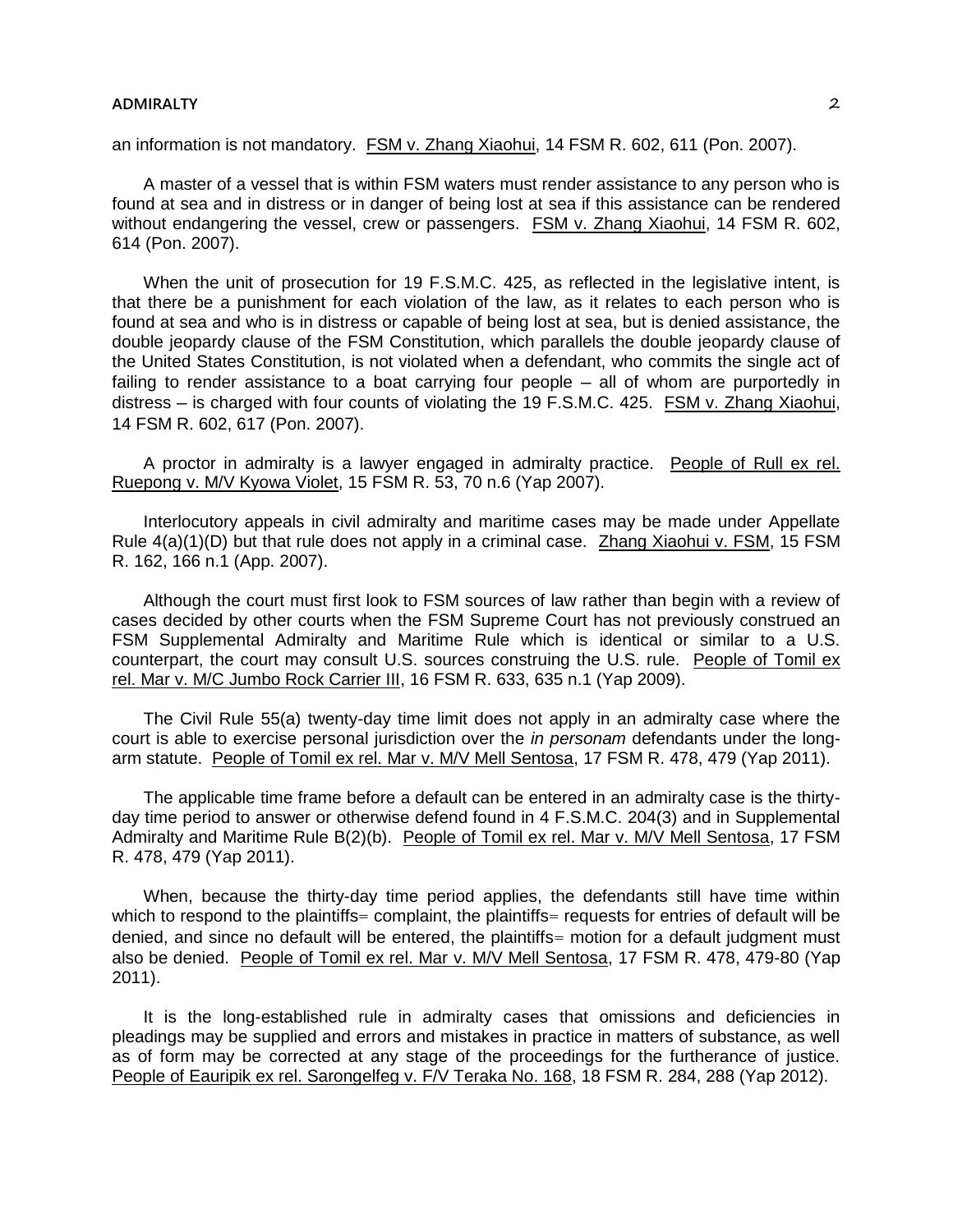## **ADMIRALTY** 2

an information is not mandatory. FSM v. Zhang Xiaohui, 14 FSM R. 602, 611 (Pon. 2007).

A master of a vessel that is within FSM waters must render assistance to any person who is found at sea and in distress or in danger of being lost at sea if this assistance can be rendered without endangering the vessel, crew or passengers. FSM v. Zhang Xiaohui, 14 FSM R. 602, 614 (Pon. 2007).

When the unit of prosecution for 19 F.S.M.C. 425, as reflected in the legislative intent, is that there be a punishment for each violation of the law, as it relates to each person who is found at sea and who is in distress or capable of being lost at sea, but is denied assistance, the double jeopardy clause of the FSM Constitution, which parallels the double jeopardy clause of the United States Constitution, is not violated when a defendant, who commits the single act of failing to render assistance to a boat carrying four people  $-$  all of whom are purportedly in distress – is charged with four counts of violating the 19 F.S.M.C. 425. FSM v. Zhang Xiaohui, 14 FSM R. 602, 617 (Pon. 2007).

A proctor in admiralty is a lawyer engaged in admiralty practice. People of Rull ex rel. Ruepong v. M/V Kyowa Violet, 15 FSM R. 53, 70 n.6 (Yap 2007).

Interlocutory appeals in civil admiralty and maritime cases may be made under Appellate Rule 4(a)(1)(D) but that rule does not apply in a criminal case. Zhang Xiaohui v. FSM, 15 FSM R. 162, 166 n.1 (App. 2007).

Although the court must first look to FSM sources of law rather than begin with a review of cases decided by other courts when the FSM Supreme Court has not previously construed an FSM Supplemental Admiralty and Maritime Rule which is identical or similar to a U.S. counterpart, the court may consult U.S. sources construing the U.S. rule. People of Tomil ex rel. Mar v. M/C Jumbo Rock Carrier III, 16 FSM R. 633, 635 n.1 (Yap 2009).

The Civil Rule 55(a) twenty-day time limit does not apply in an admiralty case where the court is able to exercise personal jurisdiction over the *in personam* defendants under the longarm statute. People of Tomil ex rel. Mar v. M/V Mell Sentosa, 17 FSM R. 478, 479 (Yap 2011).

The applicable time frame before a default can be entered in an admiralty case is the thirtyday time period to answer or otherwise defend found in 4 F.S.M.C. 204(3) and in Supplemental Admiralty and Maritime Rule B(2)(b). People of Tomil ex rel. Mar v. M/V Mell Sentosa, 17 FSM R. 478, 479 (Yap 2011).

When, because the thirty-day time period applies, the defendants still have time within which to respond to the plaintiffs= complaint, the plaintiffs= requests for entries of default will be denied, and since no default will be entered, the plaintiffs= motion for a default judgment must also be denied. People of Tomil ex rel. Mar v. M/V Mell Sentosa, 17 FSM R. 478, 479-80 (Yap 2011).

It is the long-established rule in admiralty cases that omissions and deficiencies in pleadings may be supplied and errors and mistakes in practice in matters of substance, as well as of form may be corrected at any stage of the proceedings for the furtherance of justice. People of Eauripik ex rel. Sarongelfeg v. F/V Teraka No. 168, 18 FSM R. 284, 288 (Yap 2012).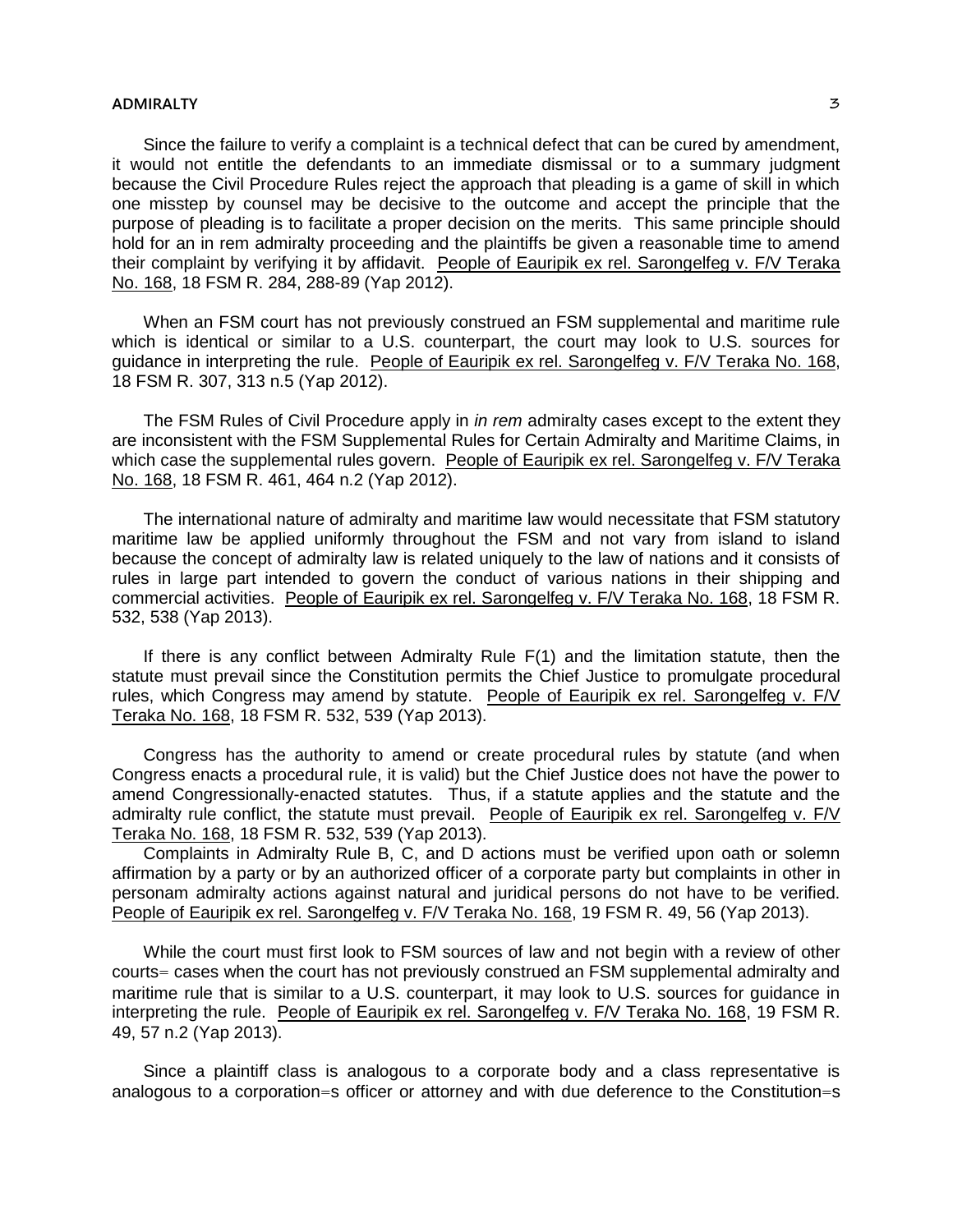# **ADMIRALTY** 3

Since the failure to verify a complaint is a technical defect that can be cured by amendment, it would not entitle the defendants to an immediate dismissal or to a summary judgment because the Civil Procedure Rules reject the approach that pleading is a game of skill in which one misstep by counsel may be decisive to the outcome and accept the principle that the purpose of pleading is to facilitate a proper decision on the merits. This same principle should hold for an in rem admiralty proceeding and the plaintiffs be given a reasonable time to amend their complaint by verifying it by affidavit. People of Eauripik ex rel. Sarongelfeg v. F/V Teraka No. 168, 18 FSM R. 284, 288-89 (Yap 2012).

When an FSM court has not previously construed an FSM supplemental and maritime rule which is identical or similar to a U.S. counterpart, the court may look to U.S. sources for guidance in interpreting the rule. People of Eauripik ex rel. Sarongelfeg v. F/V Teraka No. 168, 18 FSM R. 307, 313 n.5 (Yap 2012).

The FSM Rules of Civil Procedure apply in *in rem* admiralty cases except to the extent they are inconsistent with the FSM Supplemental Rules for Certain Admiralty and Maritime Claims, in which case the supplemental rules govern. People of Eauripik ex rel. Sarongelfeg v. F/V Teraka No. 168, 18 FSM R. 461, 464 n.2 (Yap 2012).

The international nature of admiralty and maritime law would necessitate that FSM statutory maritime law be applied uniformly throughout the FSM and not vary from island to island because the concept of admiralty law is related uniquely to the law of nations and it consists of rules in large part intended to govern the conduct of various nations in their shipping and commercial activities. People of Eauripik ex rel. Sarongelfeg v. F/V Teraka No. 168, 18 FSM R. 532, 538 (Yap 2013).

If there is any conflict between Admiralty Rule F(1) and the limitation statute, then the statute must prevail since the Constitution permits the Chief Justice to promulgate procedural rules, which Congress may amend by statute. People of Eauripik ex rel. Sarongelfeg v. F/V Teraka No. 168, 18 FSM R. 532, 539 (Yap 2013).

Congress has the authority to amend or create procedural rules by statute (and when Congress enacts a procedural rule, it is valid) but the Chief Justice does not have the power to amend Congressionally-enacted statutes. Thus, if a statute applies and the statute and the admiralty rule conflict, the statute must prevail. People of Eauripik ex rel. Sarongelfeg v. F/V Teraka No. 168, 18 FSM R. 532, 539 (Yap 2013).

Complaints in Admiralty Rule B, C, and D actions must be verified upon oath or solemn affirmation by a party or by an authorized officer of a corporate party but complaints in other in personam admiralty actions against natural and juridical persons do not have to be verified. People of Eauripik ex rel. Sarongelfeg v. F/V Teraka No. 168, 19 FSM R. 49, 56 (Yap 2013).

While the court must first look to FSM sources of law and not begin with a review of other courts= cases when the court has not previously construed an FSM supplemental admiralty and maritime rule that is similar to a U.S. counterpart, it may look to U.S. sources for guidance in interpreting the rule. People of Eauripik ex rel. Sarongelfeg v. F/V Teraka No. 168, 19 FSM R. 49, 57 n.2 (Yap 2013).

Since a plaintiff class is analogous to a corporate body and a class representative is analogous to a corporation=s officer or attorney and with due deference to the Constitution=s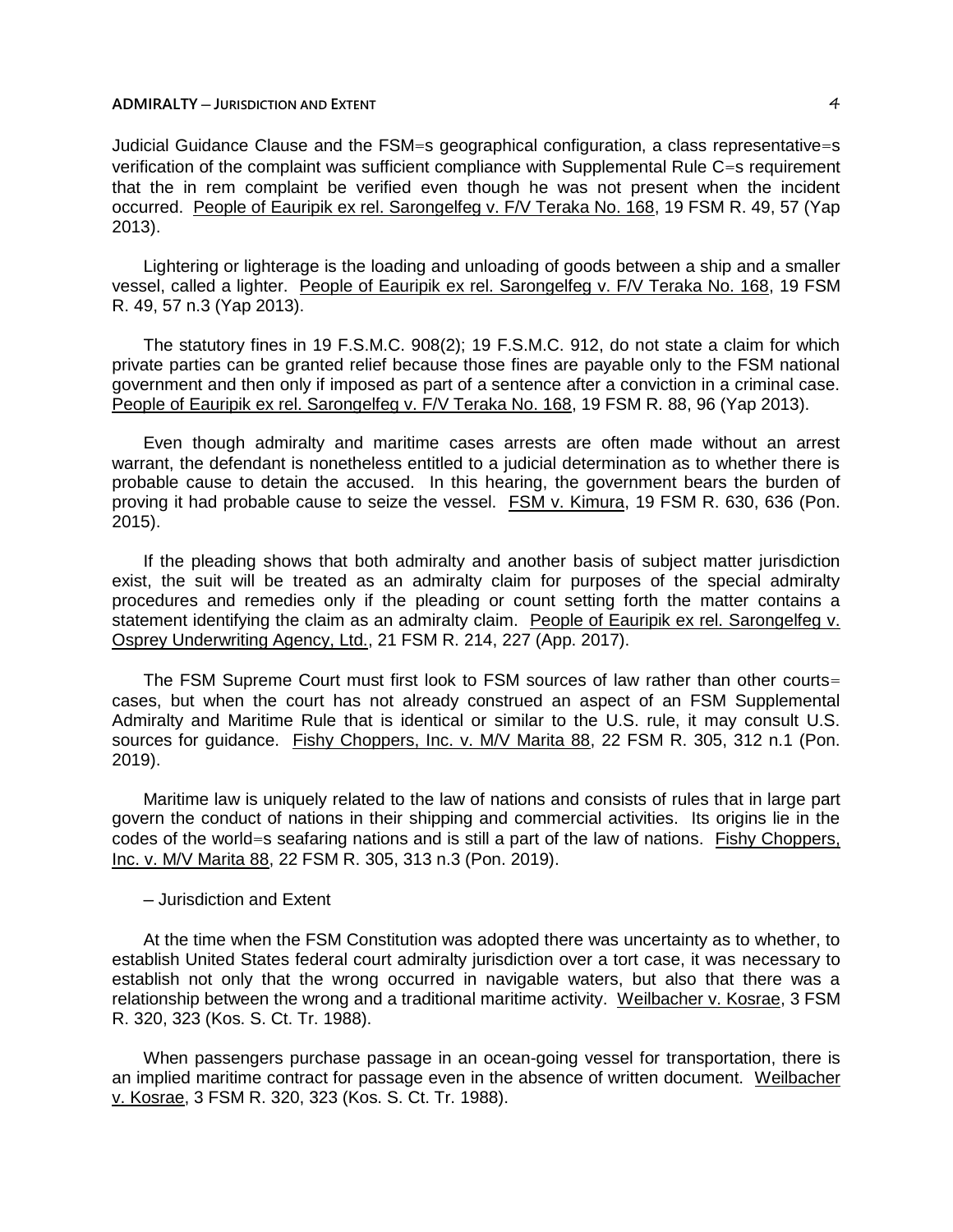# **ADMIRALTY** — **JURISDICTION AND EXTENT A**

Judicial Guidance Clause and the FSM=s geographical configuration, a class representative=s verification of the complaint was sufficient compliance with Supplemental Rule C=s requirement that the in rem complaint be verified even though he was not present when the incident occurred. People of Eauripik ex rel. Sarongelfeg v. F/V Teraka No. 168, 19 FSM R. 49, 57 (Yap 2013).

Lightering or lighterage is the loading and unloading of goods between a ship and a smaller vessel, called a lighter. People of Eauripik ex rel. Sarongelfeg v. F/V Teraka No. 168, 19 FSM R. 49, 57 n.3 (Yap 2013).

The statutory fines in 19 F.S.M.C. 908(2); 19 F.S.M.C. 912, do not state a claim for which private parties can be granted relief because those fines are payable only to the FSM national government and then only if imposed as part of a sentence after a conviction in a criminal case. People of Eauripik ex rel. Sarongelfeg v. F/V Teraka No. 168, 19 FSM R. 88, 96 (Yap 2013).

Even though admiralty and maritime cases arrests are often made without an arrest warrant, the defendant is nonetheless entitled to a judicial determination as to whether there is probable cause to detain the accused. In this hearing, the government bears the burden of proving it had probable cause to seize the vessel. FSM v. Kimura, 19 FSM R. 630, 636 (Pon. 2015).

If the pleading shows that both admiralty and another basis of subject matter jurisdiction exist, the suit will be treated as an admiralty claim for purposes of the special admiralty procedures and remedies only if the pleading or count setting forth the matter contains a statement identifying the claim as an admiralty claim. People of Eauripik ex rel. Sarongelfeg v. Osprey Underwriting Agency, Ltd., 21 FSM R. 214, 227 (App. 2017).

The FSM Supreme Court must first look to FSM sources of law rather than other courts= cases, but when the court has not already construed an aspect of an FSM Supplemental Admiralty and Maritime Rule that is identical or similar to the U.S. rule, it may consult U.S. sources for guidance. Fishy Choppers, Inc. v. M/V Marita 88, 22 FSM R. 305, 312 n.1 (Pon. 2019).

Maritime law is uniquely related to the law of nations and consists of rules that in large part govern the conduct of nations in their shipping and commercial activities. Its origins lie in the codes of the world=s seafaring nations and is still a part of the law of nations. Fishy Choppers, Inc. v. M/V Marita 88, 22 FSM R. 305, 313 n.3 (Pon. 2019).

# ─ Jurisdiction and Extent

At the time when the FSM Constitution was adopted there was uncertainty as to whether, to establish United States federal court admiralty jurisdiction over a tort case, it was necessary to establish not only that the wrong occurred in navigable waters, but also that there was a relationship between the wrong and a traditional maritime activity. Weilbacher v. Kosrae, 3 FSM R. 320, 323 (Kos. S. Ct. Tr. 1988).

When passengers purchase passage in an ocean-going vessel for transportation, there is an implied maritime contract for passage even in the absence of written document. Weilbacher v. Kosrae, 3 FSM R. 320, 323 (Kos. S. Ct. Tr. 1988).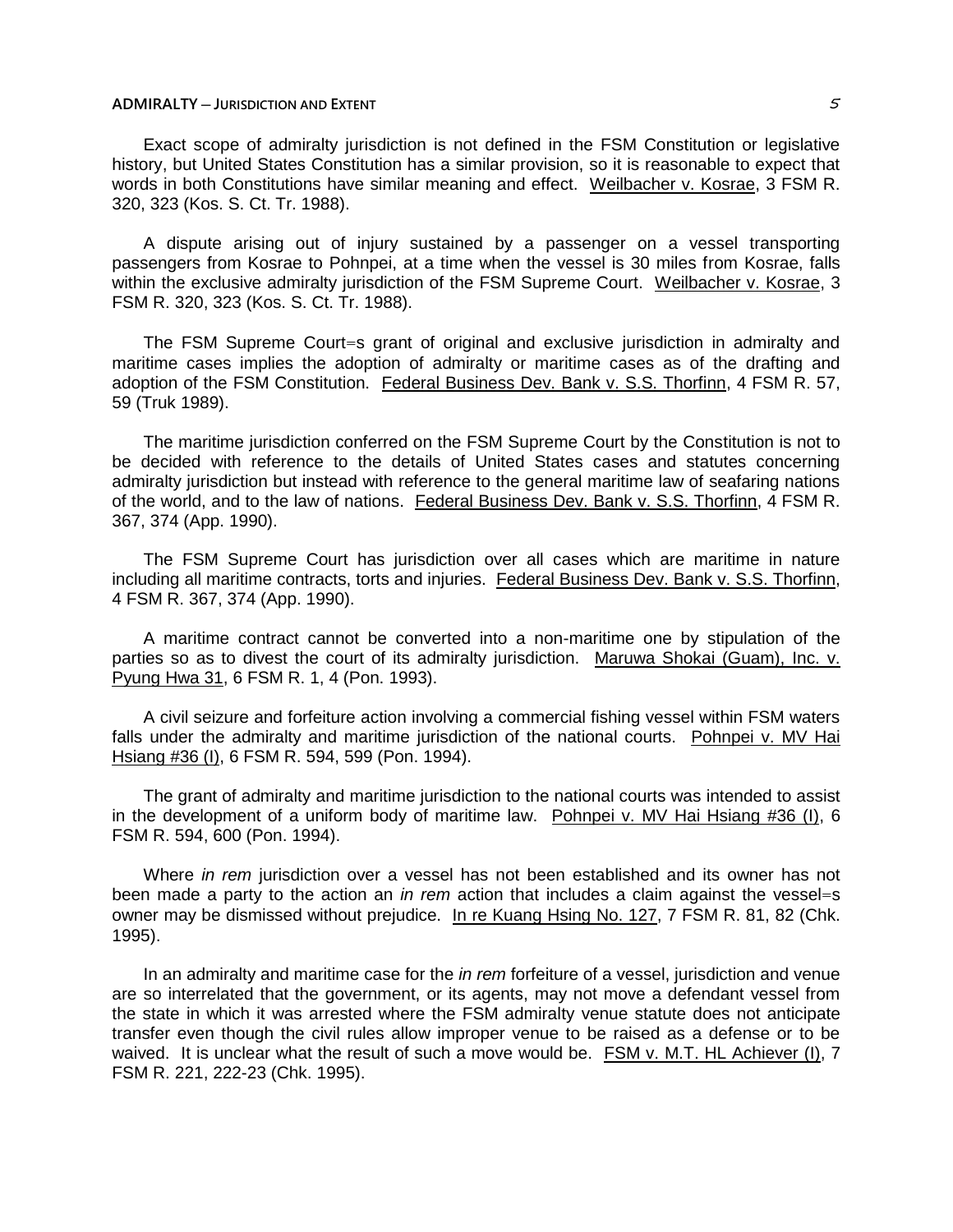# **ADMIRALTY** — **JURISDICTION AND EXTENT ADMIRALTY 5**

Exact scope of admiralty jurisdiction is not defined in the FSM Constitution or legislative history, but United States Constitution has a similar provision, so it is reasonable to expect that words in both Constitutions have similar meaning and effect. Weilbacher v. Kosrae, 3 FSM R. 320, 323 (Kos. S. Ct. Tr. 1988).

A dispute arising out of injury sustained by a passenger on a vessel transporting passengers from Kosrae to Pohnpei, at a time when the vessel is 30 miles from Kosrae, falls within the exclusive admiralty jurisdiction of the FSM Supreme Court. Weilbacher v. Kosrae, 3 FSM R. 320, 323 (Kos. S. Ct. Tr. 1988).

The FSM Supreme Court=s grant of original and exclusive jurisdiction in admiralty and maritime cases implies the adoption of admiralty or maritime cases as of the drafting and adoption of the FSM Constitution. Federal Business Dev. Bank v. S.S. Thorfinn, 4 FSM R. 57, 59 (Truk 1989).

The maritime jurisdiction conferred on the FSM Supreme Court by the Constitution is not to be decided with reference to the details of United States cases and statutes concerning admiralty jurisdiction but instead with reference to the general maritime law of seafaring nations of the world, and to the law of nations. Federal Business Dev. Bank v. S.S. Thorfinn, 4 FSM R. 367, 374 (App. 1990).

The FSM Supreme Court has jurisdiction over all cases which are maritime in nature including all maritime contracts, torts and injuries. Federal Business Dev. Bank v. S.S. Thorfinn, 4 FSM R. 367, 374 (App. 1990).

A maritime contract cannot be converted into a non-maritime one by stipulation of the parties so as to divest the court of its admiralty jurisdiction. Maruwa Shokai (Guam), Inc. v. Pyung Hwa 31, 6 FSM R. 1, 4 (Pon. 1993).

A civil seizure and forfeiture action involving a commercial fishing vessel within FSM waters falls under the admiralty and maritime jurisdiction of the national courts. Pohnpei v. MV Hai Hsiang #36 (I), 6 FSM R. 594, 599 (Pon. 1994).

The grant of admiralty and maritime jurisdiction to the national courts was intended to assist in the development of a uniform body of maritime law. Pohnpei v. MV Hai Hsiang #36 (I), 6 FSM R. 594, 600 (Pon. 1994).

Where *in rem* jurisdiction over a vessel has not been established and its owner has not been made a party to the action an *in rem* action that includes a claim against the vessel=s owner may be dismissed without prejudice. In re Kuang Hsing No. 127, 7 FSM R. 81, 82 (Chk. 1995).

In an admiralty and maritime case for the *in rem* forfeiture of a vessel, jurisdiction and venue are so interrelated that the government, or its agents, may not move a defendant vessel from the state in which it was arrested where the FSM admiralty venue statute does not anticipate transfer even though the civil rules allow improper venue to be raised as a defense or to be waived. It is unclear what the result of such a move would be. FSM v. M.T. HL Achiever (I), 7 FSM R. 221, 222-23 (Chk. 1995).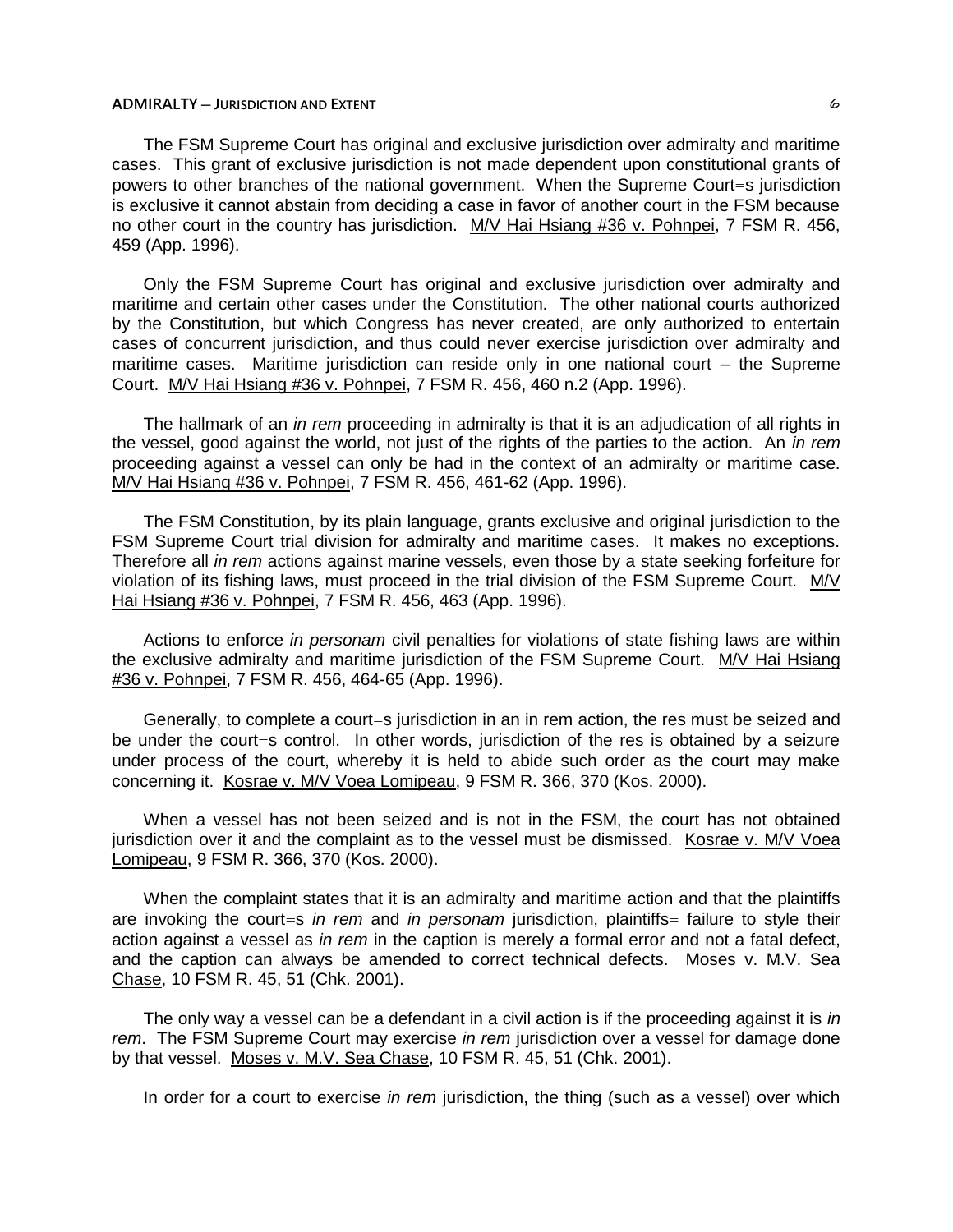# **ADMIRALTY ─ JURISDICTION AND EXTENT** 6

The FSM Supreme Court has original and exclusive jurisdiction over admiralty and maritime cases. This grant of exclusive jurisdiction is not made dependent upon constitutional grants of powers to other branches of the national government. When the Supreme Court=s jurisdiction is exclusive it cannot abstain from deciding a case in favor of another court in the FSM because no other court in the country has jurisdiction. M/V Hai Hsiang #36 v. Pohnpei, 7 FSM R. 456, 459 (App. 1996).

Only the FSM Supreme Court has original and exclusive jurisdiction over admiralty and maritime and certain other cases under the Constitution. The other national courts authorized by the Constitution, but which Congress has never created, are only authorized to entertain cases of concurrent jurisdiction, and thus could never exercise jurisdiction over admiralty and maritime cases. Maritime jurisdiction can reside only in one national court  $-$  the Supreme Court. M/V Hai Hsiang #36 v. Pohnpei, 7 FSM R. 456, 460 n.2 (App. 1996).

The hallmark of an *in rem* proceeding in admiralty is that it is an adjudication of all rights in the vessel, good against the world, not just of the rights of the parties to the action. An *in rem* proceeding against a vessel can only be had in the context of an admiralty or maritime case. M/V Hai Hsiang #36 v. Pohnpei, 7 FSM R. 456, 461-62 (App. 1996).

The FSM Constitution, by its plain language, grants exclusive and original jurisdiction to the FSM Supreme Court trial division for admiralty and maritime cases. It makes no exceptions. Therefore all *in rem* actions against marine vessels, even those by a state seeking forfeiture for violation of its fishing laws, must proceed in the trial division of the FSM Supreme Court. M/V Hai Hsiang #36 v. Pohnpei, 7 FSM R. 456, 463 (App. 1996).

Actions to enforce *in personam* civil penalties for violations of state fishing laws are within the exclusive admiralty and maritime jurisdiction of the FSM Supreme Court. M/V Hai Hsiang #36 v. Pohnpei, 7 FSM R. 456, 464-65 (App. 1996).

Generally, to complete a court=s jurisdiction in an in rem action, the res must be seized and be under the court=s control. In other words, jurisdiction of the res is obtained by a seizure under process of the court, whereby it is held to abide such order as the court may make concerning it. Kosrae v. M/V Voea Lomipeau, 9 FSM R. 366, 370 (Kos. 2000).

When a vessel has not been seized and is not in the FSM, the court has not obtained jurisdiction over it and the complaint as to the vessel must be dismissed. Kosrae v. M/V Voea Lomipeau, 9 FSM R. 366, 370 (Kos. 2000).

When the complaint states that it is an admiralty and maritime action and that the plaintiffs are invoking the court=s *in rem* and *in personam* jurisdiction, plaintiffs= failure to style their action against a vessel as *in rem* in the caption is merely a formal error and not a fatal defect, and the caption can always be amended to correct technical defects. Moses v. M.V. Sea Chase, 10 FSM R. 45, 51 (Chk. 2001).

The only way a vessel can be a defendant in a civil action is if the proceeding against it is *in rem*. The FSM Supreme Court may exercise *in rem* jurisdiction over a vessel for damage done by that vessel. Moses v. M.V. Sea Chase, 10 FSM R. 45, 51 (Chk. 2001).

In order for a court to exercise *in rem* jurisdiction, the thing (such as a vessel) over which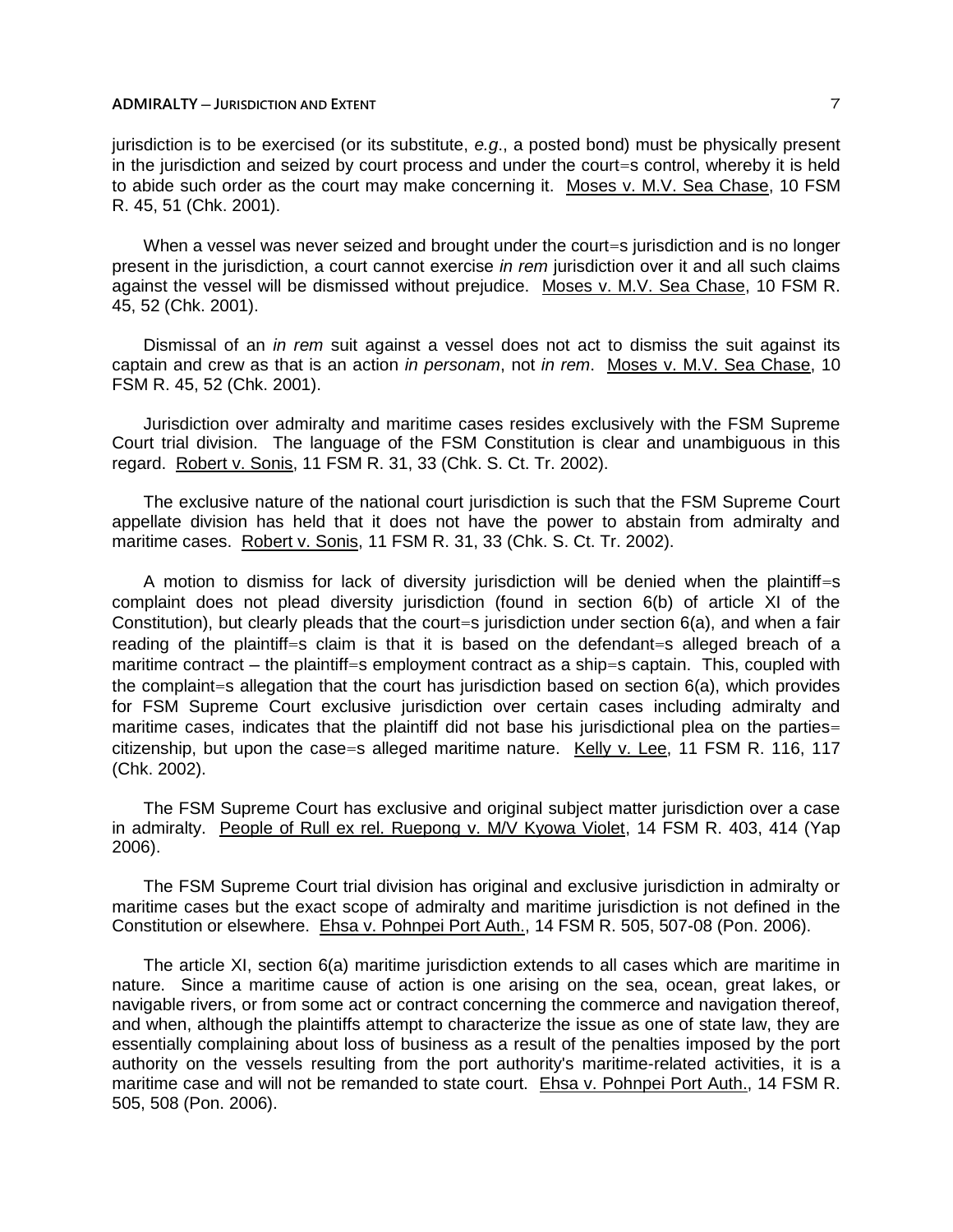# **ADMIRALTY** — **JURISDICTION AND EXTENT THE SET AND**   $\overline{Z}$

jurisdiction is to be exercised (or its substitute, *e.g*., a posted bond) must be physically present in the jurisdiction and seized by court process and under the court=s control, whereby it is held to abide such order as the court may make concerning it. Moses v. M.V. Sea Chase, 10 FSM R. 45, 51 (Chk. 2001).

When a vessel was never seized and brought under the court=s jurisdiction and is no longer present in the jurisdiction, a court cannot exercise *in rem* jurisdiction over it and all such claims against the vessel will be dismissed without prejudice. Moses v. M.V. Sea Chase, 10 FSM R. 45, 52 (Chk. 2001).

Dismissal of an *in rem* suit against a vessel does not act to dismiss the suit against its captain and crew as that is an action *in personam*, not *in rem*. Moses v. M.V. Sea Chase, 10 FSM R. 45, 52 (Chk. 2001).

Jurisdiction over admiralty and maritime cases resides exclusively with the FSM Supreme Court trial division. The language of the FSM Constitution is clear and unambiguous in this regard. Robert v. Sonis, 11 FSM R. 31, 33 (Chk. S. Ct. Tr. 2002).

The exclusive nature of the national court jurisdiction is such that the FSM Supreme Court appellate division has held that it does not have the power to abstain from admiralty and maritime cases. Robert v. Sonis, 11 FSM R. 31, 33 (Chk. S. Ct. Tr. 2002).

A motion to dismiss for lack of diversity jurisdiction will be denied when the plaintiff=s complaint does not plead diversity jurisdiction (found in section 6(b) of article XI of the Constitution), but clearly pleads that the court=s jurisdiction under section 6(a), and when a fair reading of the plaintiff=s claim is that it is based on the defendant=s alleged breach of a maritime contract – the plaintiff=s employment contract as a ship=s captain. This, coupled with the complaint=s allegation that the court has jurisdiction based on section 6(a), which provides for FSM Supreme Court exclusive jurisdiction over certain cases including admiralty and maritime cases, indicates that the plaintiff did not base his jurisdictional plea on the parties= citizenship, but upon the case=s alleged maritime nature. Kelly v. Lee, 11 FSM R. 116, 117 (Chk. 2002).

The FSM Supreme Court has exclusive and original subject matter jurisdiction over a case in admiralty. People of Rull ex rel. Ruepong v. M/V Kyowa Violet, 14 FSM R. 403, 414 (Yap 2006).

The FSM Supreme Court trial division has original and exclusive jurisdiction in admiralty or maritime cases but the exact scope of admiralty and maritime jurisdiction is not defined in the Constitution or elsewhere. Ehsa v. Pohnpei Port Auth., 14 FSM R. 505, 507-08 (Pon. 2006).

The article XI, section 6(a) maritime jurisdiction extends to all cases which are maritime in nature. Since a maritime cause of action is one arising on the sea, ocean, great lakes, or navigable rivers, or from some act or contract concerning the commerce and navigation thereof, and when, although the plaintiffs attempt to characterize the issue as one of state law, they are essentially complaining about loss of business as a result of the penalties imposed by the port authority on the vessels resulting from the port authority's maritime-related activities, it is a maritime case and will not be remanded to state court. Ehsa v. Pohnpei Port Auth., 14 FSM R. 505, 508 (Pon. 2006).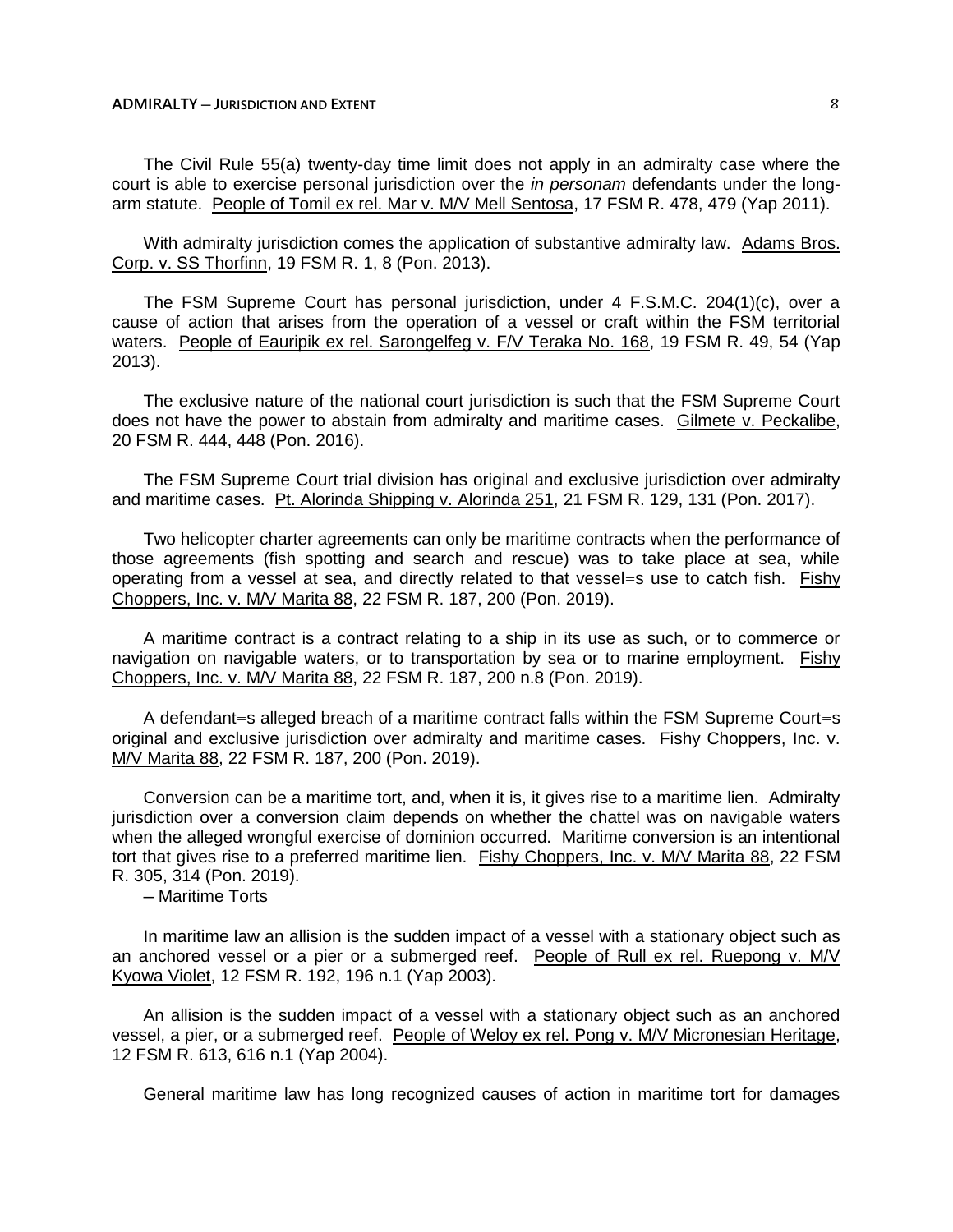# **ADMIRALTY** — **JURISDICTION AND EXTENT ADMIRALTY 8**

The Civil Rule 55(a) twenty-day time limit does not apply in an admiralty case where the court is able to exercise personal jurisdiction over the *in personam* defendants under the longarm statute. People of Tomil ex rel. Mar v. M/V Mell Sentosa, 17 FSM R. 478, 479 (Yap 2011).

With admiralty jurisdiction comes the application of substantive admiralty law. Adams Bros. Corp. v. SS Thorfinn, 19 FSM R. 1, 8 (Pon. 2013).

The FSM Supreme Court has personal jurisdiction, under 4 F.S.M.C. 204(1)(c), over a cause of action that arises from the operation of a vessel or craft within the FSM territorial waters. People of Eauripik ex rel. Sarongelfeg v. F/V Teraka No. 168, 19 FSM R. 49, 54 (Yap 2013).

The exclusive nature of the national court jurisdiction is such that the FSM Supreme Court does not have the power to abstain from admiralty and maritime cases. Gilmete v. Peckalibe, 20 FSM R. 444, 448 (Pon. 2016).

The FSM Supreme Court trial division has original and exclusive jurisdiction over admiralty and maritime cases. Pt. Alorinda Shipping v. Alorinda 251, 21 FSM R. 129, 131 (Pon. 2017).

Two helicopter charter agreements can only be maritime contracts when the performance of those agreements (fish spotting and search and rescue) was to take place at sea, while operating from a vessel at sea, and directly related to that vessel=s use to catch fish. Fishy Choppers, Inc. v. M/V Marita 88, 22 FSM R. 187, 200 (Pon. 2019).

A maritime contract is a contract relating to a ship in its use as such, or to commerce or navigation on navigable waters, or to transportation by sea or to marine employment. Fishy Choppers, Inc. v. M/V Marita 88, 22 FSM R. 187, 200 n.8 (Pon. 2019).

A defendant=s alleged breach of a maritime contract falls within the FSM Supreme Court=s original and exclusive jurisdiction over admiralty and maritime cases. Fishy Choppers, Inc. v. M/V Marita 88, 22 FSM R. 187, 200 (Pon. 2019).

Conversion can be a maritime tort, and, when it is, it gives rise to a maritime lien. Admiralty jurisdiction over a conversion claim depends on whether the chattel was on navigable waters when the alleged wrongful exercise of dominion occurred. Maritime conversion is an intentional tort that gives rise to a preferred maritime lien. Fishy Choppers, Inc. v. M/V Marita 88, 22 FSM R. 305, 314 (Pon. 2019).

─ Maritime Torts

In maritime law an allision is the sudden impact of a vessel with a stationary object such as an anchored vessel or a pier or a submerged reef. People of Rull ex rel. Ruepong v. M/V Kyowa Violet, 12 FSM R. 192, 196 n.1 (Yap 2003).

An allision is the sudden impact of a vessel with a stationary object such as an anchored vessel, a pier, or a submerged reef. People of Weloy ex rel. Pong v. M/V Micronesian Heritage, 12 FSM R. 613, 616 n.1 (Yap 2004).

General maritime law has long recognized causes of action in maritime tort for damages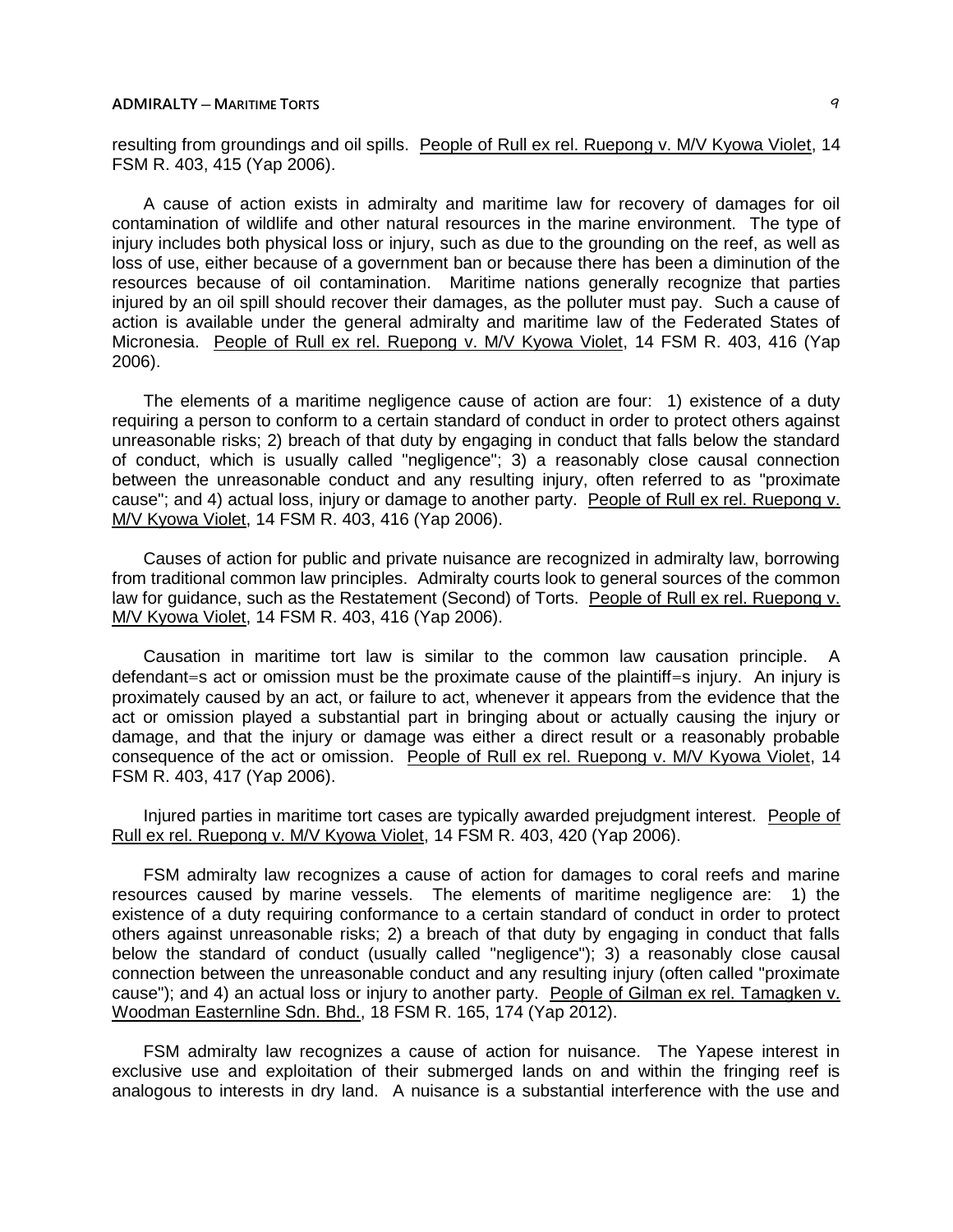resulting from groundings and oil spills. People of Rull ex rel. Ruepong v. M/V Kyowa Violet, 14 FSM R. 403, 415 (Yap 2006).

A cause of action exists in admiralty and maritime law for recovery of damages for oil contamination of wildlife and other natural resources in the marine environment. The type of injury includes both physical loss or injury, such as due to the grounding on the reef, as well as loss of use, either because of a government ban or because there has been a diminution of the resources because of oil contamination. Maritime nations generally recognize that parties injured by an oil spill should recover their damages, as the polluter must pay. Such a cause of action is available under the general admiralty and maritime law of the Federated States of Micronesia. People of Rull ex rel. Ruepong v. M/V Kyowa Violet, 14 FSM R. 403, 416 (Yap 2006).

The elements of a maritime negligence cause of action are four: 1) existence of a duty requiring a person to conform to a certain standard of conduct in order to protect others against unreasonable risks; 2) breach of that duty by engaging in conduct that falls below the standard of conduct, which is usually called "negligence"; 3) a reasonably close causal connection between the unreasonable conduct and any resulting injury, often referred to as "proximate cause"; and 4) actual loss, injury or damage to another party. People of Rull ex rel. Ruepong v. M/V Kyowa Violet, 14 FSM R. 403, 416 (Yap 2006).

Causes of action for public and private nuisance are recognized in admiralty law, borrowing from traditional common law principles. Admiralty courts look to general sources of the common law for guidance, such as the Restatement (Second) of Torts. People of Rull ex rel. Ruepong v. M/V Kyowa Violet, 14 FSM R. 403, 416 (Yap 2006).

Causation in maritime tort law is similar to the common law causation principle. A defendant=s act or omission must be the proximate cause of the plaintiff=s injury. An injury is proximately caused by an act, or failure to act, whenever it appears from the evidence that the act or omission played a substantial part in bringing about or actually causing the injury or damage, and that the injury or damage was either a direct result or a reasonably probable consequence of the act or omission. People of Rull ex rel. Ruepong v. M/V Kyowa Violet, 14 FSM R. 403, 417 (Yap 2006).

Injured parties in maritime tort cases are typically awarded prejudgment interest. People of Rull ex rel. Ruepong v. M/V Kyowa Violet, 14 FSM R. 403, 420 (Yap 2006).

FSM admiralty law recognizes a cause of action for damages to coral reefs and marine resources caused by marine vessels. The elements of maritime negligence are: 1) the existence of a duty requiring conformance to a certain standard of conduct in order to protect others against unreasonable risks; 2) a breach of that duty by engaging in conduct that falls below the standard of conduct (usually called "negligence"); 3) a reasonably close causal connection between the unreasonable conduct and any resulting injury (often called "proximate cause"); and 4) an actual loss or injury to another party. People of Gilman ex rel. Tamagken v. Woodman Easternline Sdn. Bhd., 18 FSM R. 165, 174 (Yap 2012).

FSM admiralty law recognizes a cause of action for nuisance. The Yapese interest in exclusive use and exploitation of their submerged lands on and within the fringing reef is analogous to interests in dry land. A nuisance is a substantial interference with the use and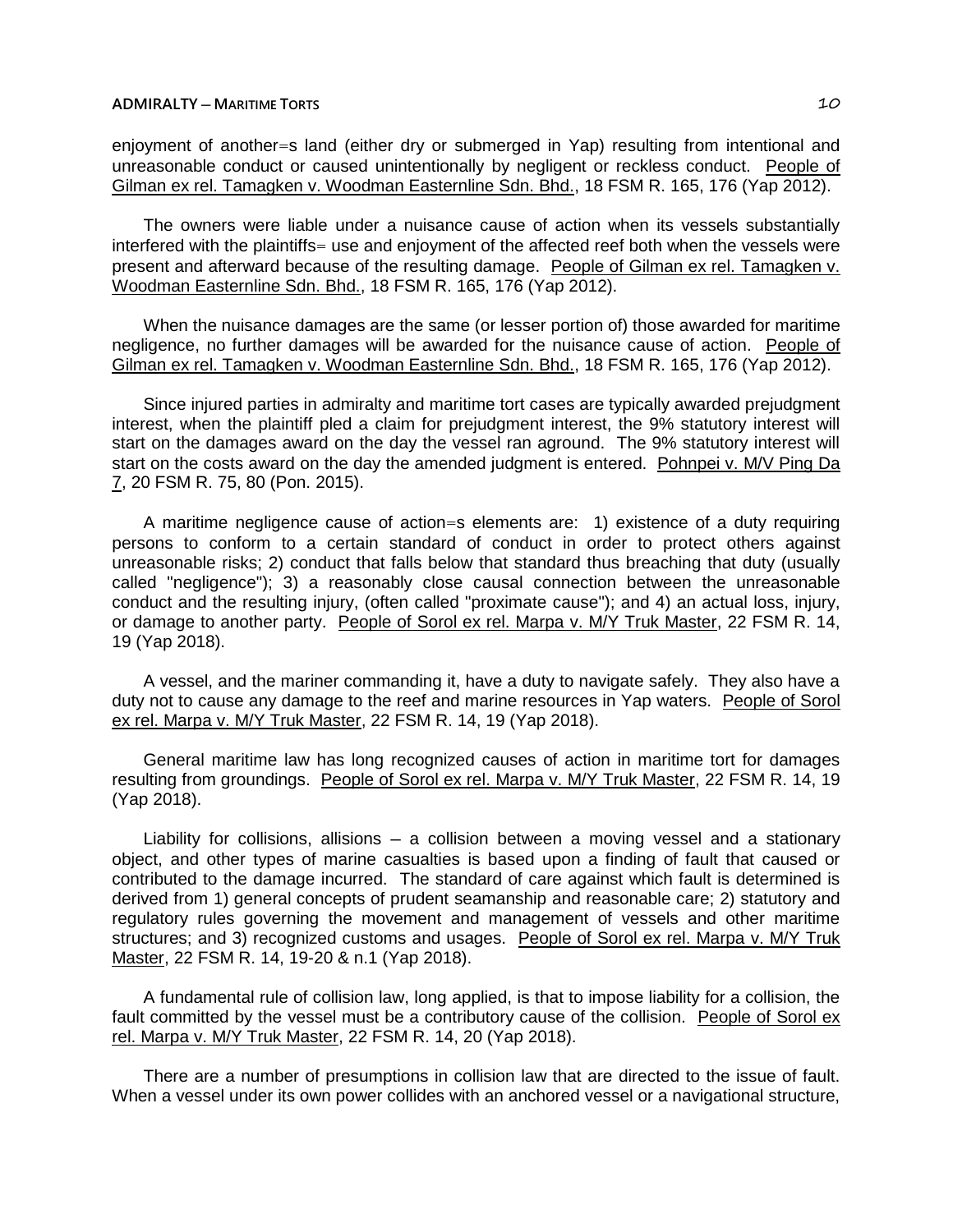enjoyment of another=s land (either dry or submerged in Yap) resulting from intentional and unreasonable conduct or caused unintentionally by negligent or reckless conduct. People of Gilman ex rel. Tamagken v. Woodman Easternline Sdn. Bhd., 18 FSM R. 165, 176 (Yap 2012).

The owners were liable under a nuisance cause of action when its vessels substantially interfered with the plaintiffs= use and enjoyment of the affected reef both when the vessels were present and afterward because of the resulting damage. People of Gilman ex rel. Tamagken v. Woodman Easternline Sdn. Bhd., 18 FSM R. 165, 176 (Yap 2012).

When the nuisance damages are the same (or lesser portion of) those awarded for maritime negligence, no further damages will be awarded for the nuisance cause of action. People of Gilman ex rel. Tamagken v. Woodman Easternline Sdn. Bhd., 18 FSM R. 165, 176 (Yap 2012).

Since injured parties in admiralty and maritime tort cases are typically awarded prejudgment interest, when the plaintiff pled a claim for prejudgment interest, the 9% statutory interest will start on the damages award on the day the vessel ran aground. The 9% statutory interest will start on the costs award on the day the amended judgment is entered. Pohnpei v. M/V Ping Da 7, 20 FSM R. 75, 80 (Pon. 2015).

A maritime negligence cause of action=s elements are: 1) existence of a duty requiring persons to conform to a certain standard of conduct in order to protect others against unreasonable risks; 2) conduct that falls below that standard thus breaching that duty (usually called "negligence"); 3) a reasonably close causal connection between the unreasonable conduct and the resulting injury, (often called "proximate cause"); and 4) an actual loss, injury, or damage to another party. People of Sorol ex rel. Marpa v. M/Y Truk Master, 22 FSM R. 14, 19 (Yap 2018).

A vessel, and the mariner commanding it, have a duty to navigate safely. They also have a duty not to cause any damage to the reef and marine resources in Yap waters. People of Sorol ex rel. Marpa v. M/Y Truk Master, 22 FSM R. 14, 19 (Yap 2018).

General maritime law has long recognized causes of action in maritime tort for damages resulting from groundings. People of Sorol ex rel. Marpa v. M/Y Truk Master, 22 FSM R. 14, 19 (Yap 2018).

Liability for collisions, allisions  $-$  a collision between a moving vessel and a stationary object, and other types of marine casualties is based upon a finding of fault that caused or contributed to the damage incurred. The standard of care against which fault is determined is derived from 1) general concepts of prudent seamanship and reasonable care; 2) statutory and regulatory rules governing the movement and management of vessels and other maritime structures; and 3) recognized customs and usages. People of Sorol ex rel. Marpa v. M/Y Truk Master, 22 FSM R. 14, 19-20 & n.1 (Yap 2018).

A fundamental rule of collision law, long applied, is that to impose liability for a collision, the fault committed by the vessel must be a contributory cause of the collision. People of Sorol ex rel. Marpa v. M/Y Truk Master, 22 FSM R. 14, 20 (Yap 2018).

There are a number of presumptions in collision law that are directed to the issue of fault. When a vessel under its own power collides with an anchored vessel or a navigational structure,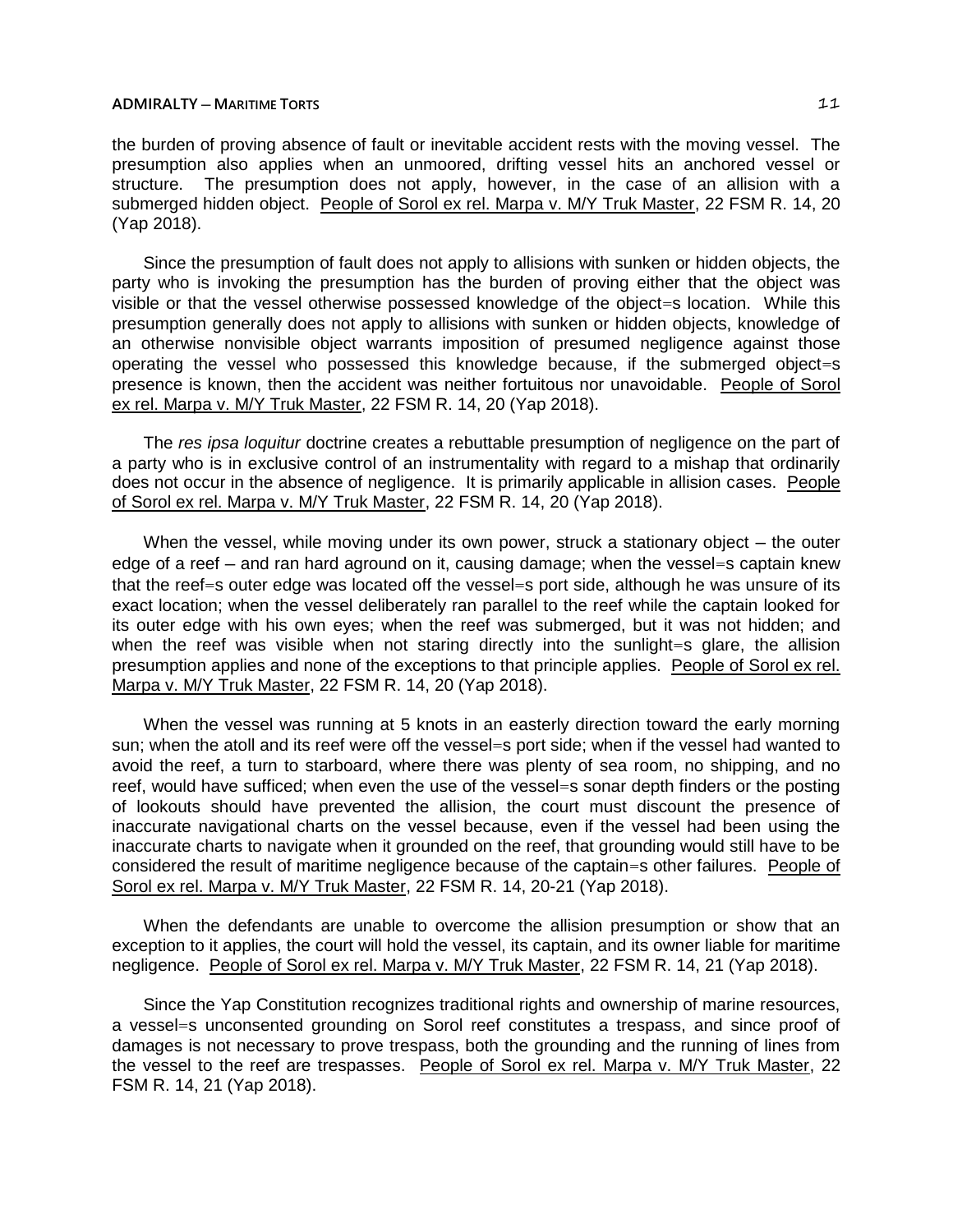## **ADMIRALTY** — **MARITIME TORTS** 2.1

the burden of proving absence of fault or inevitable accident rests with the moving vessel. The presumption also applies when an unmoored, drifting vessel hits an anchored vessel or structure. The presumption does not apply, however, in the case of an allision with a submerged hidden object. People of Sorol ex rel. Marpa v. M/Y Truk Master, 22 FSM R. 14, 20 (Yap 2018).

Since the presumption of fault does not apply to allisions with sunken or hidden objects, the party who is invoking the presumption has the burden of proving either that the object was visible or that the vessel otherwise possessed knowledge of the object=s location. While this presumption generally does not apply to allisions with sunken or hidden objects, knowledge of an otherwise nonvisible object warrants imposition of presumed negligence against those operating the vessel who possessed this knowledge because, if the submerged object=s presence is known, then the accident was neither fortuitous nor unavoidable. People of Sorol ex rel. Marpa v. M/Y Truk Master, 22 FSM R. 14, 20 (Yap 2018).

The *res ipsa loquitur* doctrine creates a rebuttable presumption of negligence on the part of a party who is in exclusive control of an instrumentality with regard to a mishap that ordinarily does not occur in the absence of negligence. It is primarily applicable in allision cases. People of Sorol ex rel. Marpa v. M/Y Truk Master, 22 FSM R. 14, 20 (Yap 2018).

When the vessel, while moving under its own power, struck a stationary object — the outer edge of a reef - and ran hard aground on it, causing damage; when the vessel=s captain knew that the reef=s outer edge was located off the vessel=s port side, although he was unsure of its exact location; when the vessel deliberately ran parallel to the reef while the captain looked for its outer edge with his own eyes; when the reef was submerged, but it was not hidden; and when the reef was visible when not staring directly into the sunlight=s glare, the allision presumption applies and none of the exceptions to that principle applies. People of Sorol ex rel. Marpa v. M/Y Truk Master, 22 FSM R. 14, 20 (Yap 2018).

When the vessel was running at 5 knots in an easterly direction toward the early morning sun; when the atoll and its reef were off the vessel=s port side; when if the vessel had wanted to avoid the reef, a turn to starboard, where there was plenty of sea room, no shipping, and no reef, would have sufficed; when even the use of the vessel=s sonar depth finders or the posting of lookouts should have prevented the allision, the court must discount the presence of inaccurate navigational charts on the vessel because, even if the vessel had been using the inaccurate charts to navigate when it grounded on the reef, that grounding would still have to be considered the result of maritime negligence because of the captain=s other failures. People of Sorol ex rel. Marpa v. M/Y Truk Master, 22 FSM R. 14, 20-21 (Yap 2018).

When the defendants are unable to overcome the allision presumption or show that an exception to it applies, the court will hold the vessel, its captain, and its owner liable for maritime negligence. People of Sorol ex rel. Marpa v. M/Y Truk Master, 22 FSM R. 14, 21 (Yap 2018).

Since the Yap Constitution recognizes traditional rights and ownership of marine resources, a vessel=s unconsented grounding on Sorol reef constitutes a trespass, and since proof of damages is not necessary to prove trespass, both the grounding and the running of lines from the vessel to the reef are trespasses. People of Sorol ex rel. Marpa v. M/Y Truk Master, 22 FSM R. 14, 21 (Yap 2018).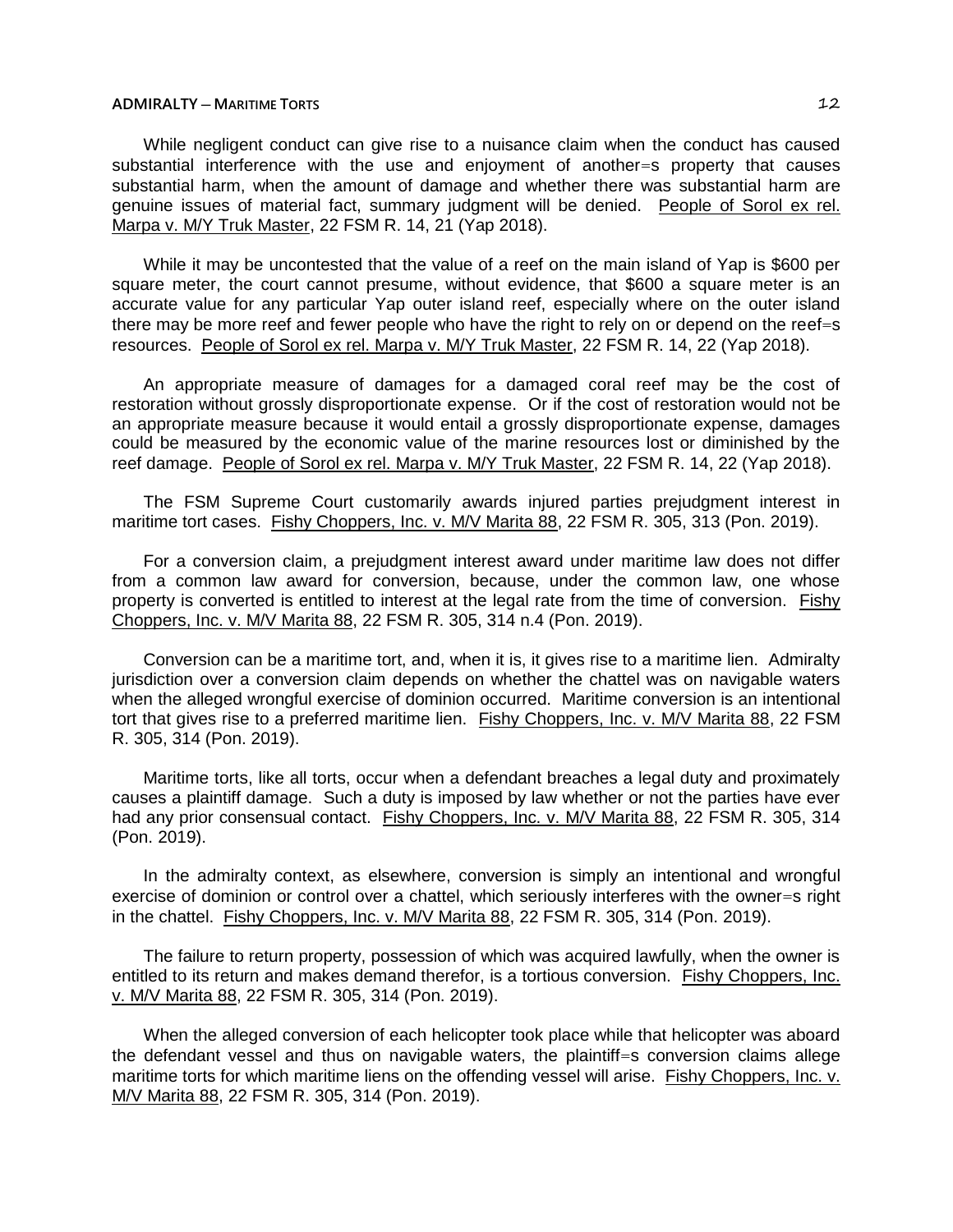# **ADMIRALTY ─ MARITIME TORTS** 12

While negligent conduct can give rise to a nuisance claim when the conduct has caused substantial interference with the use and enjoyment of another=s property that causes substantial harm, when the amount of damage and whether there was substantial harm are genuine issues of material fact, summary judgment will be denied. People of Sorol ex rel. Marpa v. M/Y Truk Master, 22 FSM R. 14, 21 (Yap 2018).

While it may be uncontested that the value of a reef on the main island of Yap is \$600 per square meter, the court cannot presume, without evidence, that \$600 a square meter is an accurate value for any particular Yap outer island reef, especially where on the outer island there may be more reef and fewer people who have the right to rely on or depend on the reef=s resources. People of Sorol ex rel. Marpa v. M/Y Truk Master, 22 FSM R. 14, 22 (Yap 2018).

An appropriate measure of damages for a damaged coral reef may be the cost of restoration without grossly disproportionate expense. Or if the cost of restoration would not be an appropriate measure because it would entail a grossly disproportionate expense, damages could be measured by the economic value of the marine resources lost or diminished by the reef damage. People of Sorol ex rel. Marpa v. M/Y Truk Master, 22 FSM R. 14, 22 (Yap 2018).

The FSM Supreme Court customarily awards injured parties prejudgment interest in maritime tort cases. Fishy Choppers, Inc. v. M/V Marita 88, 22 FSM R. 305, 313 (Pon. 2019).

For a conversion claim, a prejudgment interest award under maritime law does not differ from a common law award for conversion, because, under the common law, one whose property is converted is entitled to interest at the legal rate from the time of conversion. Fishy Choppers, Inc. v. M/V Marita 88, 22 FSM R. 305, 314 n.4 (Pon. 2019).

Conversion can be a maritime tort, and, when it is, it gives rise to a maritime lien. Admiralty jurisdiction over a conversion claim depends on whether the chattel was on navigable waters when the alleged wrongful exercise of dominion occurred. Maritime conversion is an intentional tort that gives rise to a preferred maritime lien. Fishy Choppers, Inc. v. M/V Marita 88, 22 FSM R. 305, 314 (Pon. 2019).

Maritime torts, like all torts, occur when a defendant breaches a legal duty and proximately causes a plaintiff damage. Such a duty is imposed by law whether or not the parties have ever had any prior consensual contact. Fishy Choppers, Inc. v. M/V Marita 88, 22 FSM R. 305, 314 (Pon. 2019).

In the admiralty context, as elsewhere, conversion is simply an intentional and wrongful exercise of dominion or control over a chattel, which seriously interferes with the owner=s right in the chattel. Fishy Choppers, Inc. v. M/V Marita 88, 22 FSM R. 305, 314 (Pon. 2019).

The failure to return property, possession of which was acquired lawfully, when the owner is entitled to its return and makes demand therefor, is a tortious conversion. Fishy Choppers, Inc. v. M/V Marita 88, 22 FSM R. 305, 314 (Pon. 2019).

When the alleged conversion of each helicopter took place while that helicopter was aboard the defendant vessel and thus on navigable waters, the plaintiff=s conversion claims allege maritime torts for which maritime liens on the offending vessel will arise. Fishy Choppers, Inc. v. M/V Marita 88, 22 FSM R. 305, 314 (Pon. 2019).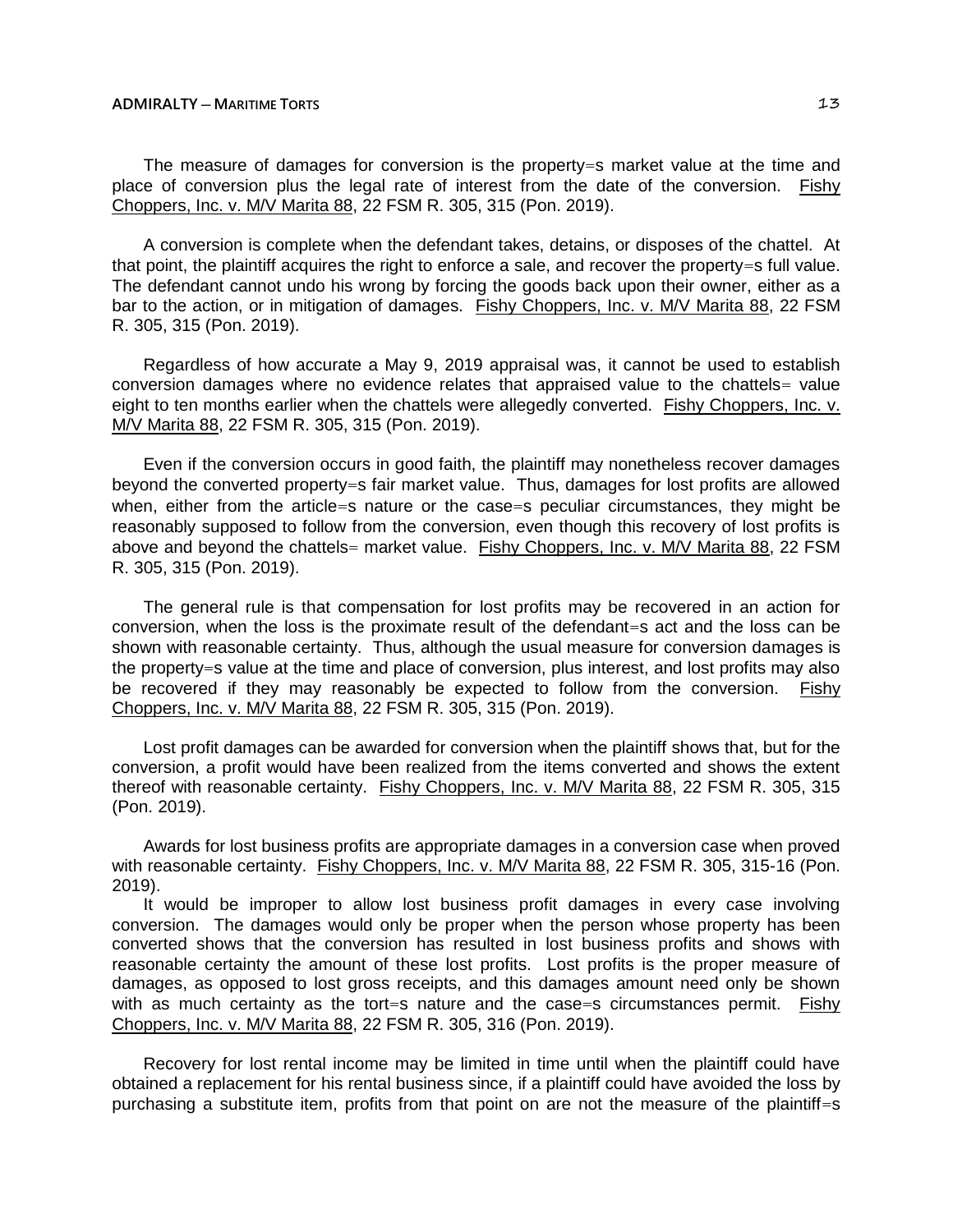### **ADMIRALTY ─ MARITIME TORTS** 13

The measure of damages for conversion is the property=s market value at the time and place of conversion plus the legal rate of interest from the date of the conversion. Fishy Choppers, Inc. v. M/V Marita 88, 22 FSM R. 305, 315 (Pon. 2019).

A conversion is complete when the defendant takes, detains, or disposes of the chattel. At that point, the plaintiff acquires the right to enforce a sale, and recover the property=s full value. The defendant cannot undo his wrong by forcing the goods back upon their owner, either as a bar to the action, or in mitigation of damages. Fishy Choppers, Inc. v. M/V Marita 88, 22 FSM R. 305, 315 (Pon. 2019).

Regardless of how accurate a May 9, 2019 appraisal was, it cannot be used to establish conversion damages where no evidence relates that appraised value to the chattels= value eight to ten months earlier when the chattels were allegedly converted. Fishy Choppers, Inc. v. M/V Marita 88, 22 FSM R. 305, 315 (Pon. 2019).

Even if the conversion occurs in good faith, the plaintiff may nonetheless recover damages beyond the converted property=s fair market value. Thus, damages for lost profits are allowed when, either from the article=s nature or the case=s peculiar circumstances, they might be reasonably supposed to follow from the conversion, even though this recovery of lost profits is above and beyond the chattels= market value. Fishy Choppers, Inc. v. M/V Marita 88, 22 FSM R. 305, 315 (Pon. 2019).

The general rule is that compensation for lost profits may be recovered in an action for conversion, when the loss is the proximate result of the defendant=s act and the loss can be shown with reasonable certainty. Thus, although the usual measure for conversion damages is the property=s value at the time and place of conversion, plus interest, and lost profits may also be recovered if they may reasonably be expected to follow from the conversion. Fishy Choppers, Inc. v. M/V Marita 88, 22 FSM R. 305, 315 (Pon. 2019).

Lost profit damages can be awarded for conversion when the plaintiff shows that, but for the conversion, a profit would have been realized from the items converted and shows the extent thereof with reasonable certainty. Fishy Choppers, Inc. v. M/V Marita 88, 22 FSM R. 305, 315 (Pon. 2019).

Awards for lost business profits are appropriate damages in a conversion case when proved with reasonable certainty. Fishy Choppers, Inc. v. M/V Marita 88, 22 FSM R. 305, 315-16 (Pon. 2019).

It would be improper to allow lost business profit damages in every case involving conversion. The damages would only be proper when the person whose property has been converted shows that the conversion has resulted in lost business profits and shows with reasonable certainty the amount of these lost profits. Lost profits is the proper measure of damages, as opposed to lost gross receipts, and this damages amount need only be shown with as much certainty as the tort=s nature and the case=s circumstances permit. Fishy Choppers, Inc. v. M/V Marita 88, 22 FSM R. 305, 316 (Pon. 2019).

Recovery for lost rental income may be limited in time until when the plaintiff could have obtained a replacement for his rental business since, if a plaintiff could have avoided the loss by purchasing a substitute item, profits from that point on are not the measure of the plaintiff=s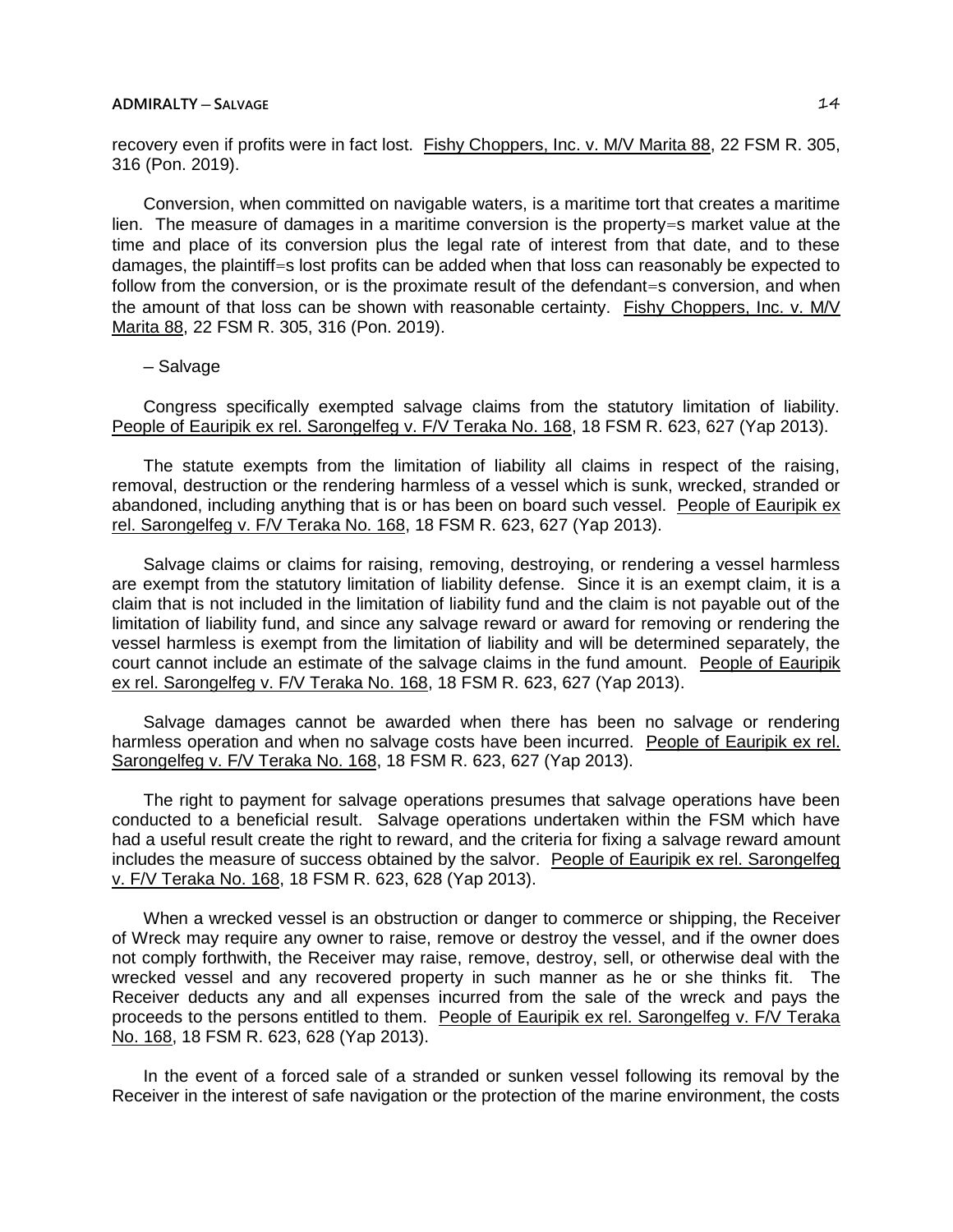# **ADMIRALTY ─ SALVAGE** 14

recovery even if profits were in fact lost. Fishy Choppers, Inc. v. M/V Marita 88, 22 FSM R. 305, 316 (Pon. 2019).

Conversion, when committed on navigable waters, is a maritime tort that creates a maritime lien. The measure of damages in a maritime conversion is the property=s market value at the time and place of its conversion plus the legal rate of interest from that date, and to these damages, the plaintiff=s lost profits can be added when that loss can reasonably be expected to follow from the conversion, or is the proximate result of the defendant=s conversion, and when the amount of that loss can be shown with reasonable certainty. Fishy Choppers, Inc. v. M/V Marita 88, 22 FSM R. 305, 316 (Pon. 2019).

# ─ Salvage

Congress specifically exempted salvage claims from the statutory limitation of liability. People of Eauripik ex rel. Sarongelfeg v. F/V Teraka No. 168, 18 FSM R. 623, 627 (Yap 2013).

The statute exempts from the limitation of liability all claims in respect of the raising, removal, destruction or the rendering harmless of a vessel which is sunk, wrecked, stranded or abandoned, including anything that is or has been on board such vessel. People of Eauripik ex rel. Sarongelfeg v. F/V Teraka No. 168, 18 FSM R. 623, 627 (Yap 2013).

Salvage claims or claims for raising, removing, destroying, or rendering a vessel harmless are exempt from the statutory limitation of liability defense. Since it is an exempt claim, it is a claim that is not included in the limitation of liability fund and the claim is not payable out of the limitation of liability fund, and since any salvage reward or award for removing or rendering the vessel harmless is exempt from the limitation of liability and will be determined separately, the court cannot include an estimate of the salvage claims in the fund amount. People of Eauripik ex rel. Sarongelfeg v. F/V Teraka No. 168, 18 FSM R. 623, 627 (Yap 2013).

Salvage damages cannot be awarded when there has been no salvage or rendering harmless operation and when no salvage costs have been incurred. People of Eauripik ex rel. Sarongelfeg v. F/V Teraka No. 168, 18 FSM R. 623, 627 (Yap 2013).

The right to payment for salvage operations presumes that salvage operations have been conducted to a beneficial result. Salvage operations undertaken within the FSM which have had a useful result create the right to reward, and the criteria for fixing a salvage reward amount includes the measure of success obtained by the salvor. People of Eauripik ex rel. Sarongelfeg v. F/V Teraka No. 168, 18 FSM R. 623, 628 (Yap 2013).

When a wrecked vessel is an obstruction or danger to commerce or shipping, the Receiver of Wreck may require any owner to raise, remove or destroy the vessel, and if the owner does not comply forthwith, the Receiver may raise, remove, destroy, sell, or otherwise deal with the wrecked vessel and any recovered property in such manner as he or she thinks fit. The Receiver deducts any and all expenses incurred from the sale of the wreck and pays the proceeds to the persons entitled to them. People of Eauripik ex rel. Sarongelfeg v. F/V Teraka No. 168, 18 FSM R. 623, 628 (Yap 2013).

In the event of a forced sale of a stranded or sunken vessel following its removal by the Receiver in the interest of safe navigation or the protection of the marine environment, the costs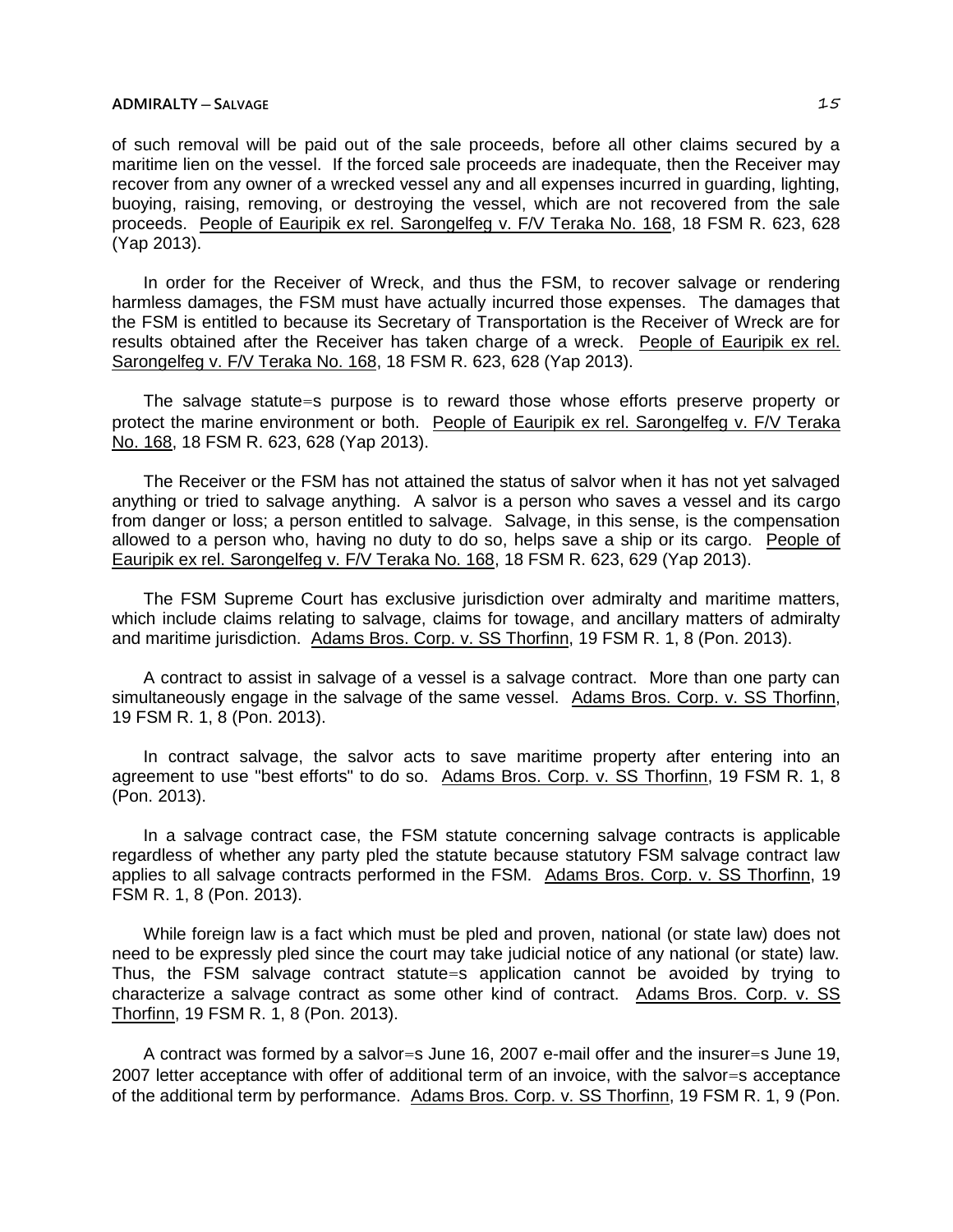# **ADMIRALTY ─ SALVAGE** 15

of such removal will be paid out of the sale proceeds, before all other claims secured by a maritime lien on the vessel. If the forced sale proceeds are inadequate, then the Receiver may recover from any owner of a wrecked vessel any and all expenses incurred in guarding, lighting, buoying, raising, removing, or destroying the vessel, which are not recovered from the sale proceeds. People of Eauripik ex rel. Sarongelfeg v. F/V Teraka No. 168, 18 FSM R. 623, 628 (Yap 2013).

In order for the Receiver of Wreck, and thus the FSM, to recover salvage or rendering harmless damages, the FSM must have actually incurred those expenses. The damages that the FSM is entitled to because its Secretary of Transportation is the Receiver of Wreck are for results obtained after the Receiver has taken charge of a wreck. People of Eauripik ex rel. Sarongelfeg v. F/V Teraka No. 168, 18 FSM R. 623, 628 (Yap 2013).

The salvage statute=s purpose is to reward those whose efforts preserve property or protect the marine environment or both. People of Eauripik ex rel. Sarongelfeg v. F/V Teraka No. 168, 18 FSM R. 623, 628 (Yap 2013).

The Receiver or the FSM has not attained the status of salvor when it has not yet salvaged anything or tried to salvage anything. A salvor is a person who saves a vessel and its cargo from danger or loss; a person entitled to salvage. Salvage, in this sense, is the compensation allowed to a person who, having no duty to do so, helps save a ship or its cargo. People of Eauripik ex rel. Sarongelfeg v. F/V Teraka No. 168, 18 FSM R. 623, 629 (Yap 2013).

The FSM Supreme Court has exclusive jurisdiction over admiralty and maritime matters, which include claims relating to salvage, claims for towage, and ancillary matters of admiralty and maritime jurisdiction. Adams Bros. Corp. v. SS Thorfinn, 19 FSM R. 1, 8 (Pon. 2013).

A contract to assist in salvage of a vessel is a salvage contract. More than one party can simultaneously engage in the salvage of the same vessel. Adams Bros. Corp. v. SS Thorfinn, 19 FSM R. 1, 8 (Pon. 2013).

In contract salvage, the salvor acts to save maritime property after entering into an agreement to use "best efforts" to do so. Adams Bros. Corp. v. SS Thorfinn, 19 FSM R. 1, 8 (Pon. 2013).

In a salvage contract case, the FSM statute concerning salvage contracts is applicable regardless of whether any party pled the statute because statutory FSM salvage contract law applies to all salvage contracts performed in the FSM. Adams Bros. Corp. v. SS Thorfinn, 19 FSM R. 1, 8 (Pon. 2013).

While foreign law is a fact which must be pled and proven, national (or state law) does not need to be expressly pled since the court may take judicial notice of any national (or state) law. Thus, the FSM salvage contract statute=s application cannot be avoided by trying to characterize a salvage contract as some other kind of contract. Adams Bros. Corp. v. SS Thorfinn, 19 FSM R. 1, 8 (Pon. 2013).

A contract was formed by a salvor=s June 16, 2007 e-mail offer and the insurer=s June 19, 2007 letter acceptance with offer of additional term of an invoice, with the salvor=s acceptance of the additional term by performance. Adams Bros. Corp. v. SS Thorfinn, 19 FSM R. 1, 9 (Pon.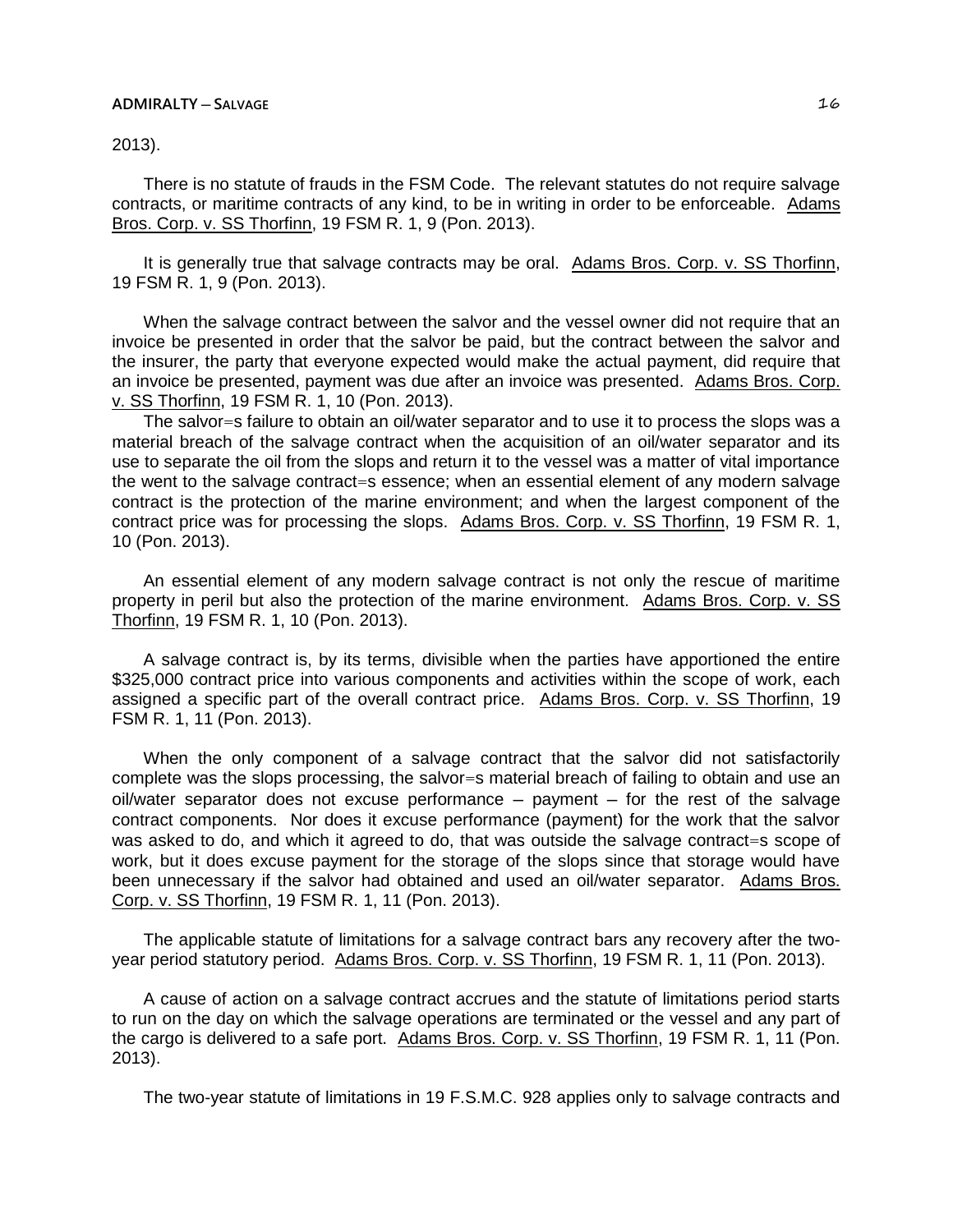# **ADMIRALTY ─ SALVAGE** 16

2013).

There is no statute of frauds in the FSM Code. The relevant statutes do not require salvage contracts, or maritime contracts of any kind, to be in writing in order to be enforceable. Adams Bros. Corp. v. SS Thorfinn, 19 FSM R. 1, 9 (Pon. 2013).

It is generally true that salvage contracts may be oral. Adams Bros. Corp. v. SS Thorfinn, 19 FSM R. 1, 9 (Pon. 2013).

When the salvage contract between the salvor and the vessel owner did not require that an invoice be presented in order that the salvor be paid, but the contract between the salvor and the insurer, the party that everyone expected would make the actual payment, did require that an invoice be presented, payment was due after an invoice was presented. Adams Bros. Corp. v. SS Thorfinn, 19 FSM R. 1, 10 (Pon. 2013).

The salvor=s failure to obtain an oil/water separator and to use it to process the slops was a material breach of the salvage contract when the acquisition of an oil/water separator and its use to separate the oil from the slops and return it to the vessel was a matter of vital importance the went to the salvage contract=s essence; when an essential element of any modern salvage contract is the protection of the marine environment; and when the largest component of the contract price was for processing the slops. Adams Bros. Corp. v. SS Thorfinn, 19 FSM R. 1, 10 (Pon. 2013).

An essential element of any modern salvage contract is not only the rescue of maritime property in peril but also the protection of the marine environment. Adams Bros. Corp. v. SS Thorfinn, 19 FSM R. 1, 10 (Pon. 2013).

A salvage contract is, by its terms, divisible when the parties have apportioned the entire \$325,000 contract price into various components and activities within the scope of work, each assigned a specific part of the overall contract price. Adams Bros. Corp. v. SS Thorfinn, 19 FSM R. 1, 11 (Pon. 2013).

When the only component of a salvage contract that the salvor did not satisfactorily complete was the slops processing, the salvor=s material breach of failing to obtain and use an  $oi$ water separator does not excuse performance  $-$  payment  $-$  for the rest of the salvage contract components. Nor does it excuse performance (payment) for the work that the salvor was asked to do, and which it agreed to do, that was outside the salvage contract=s scope of work, but it does excuse payment for the storage of the slops since that storage would have been unnecessary if the salvor had obtained and used an oil/water separator. Adams Bros. Corp. v. SS Thorfinn, 19 FSM R. 1, 11 (Pon. 2013).

The applicable statute of limitations for a salvage contract bars any recovery after the twoyear period statutory period. Adams Bros. Corp. v. SS Thorfinn, 19 FSM R. 1, 11 (Pon. 2013).

A cause of action on a salvage contract accrues and the statute of limitations period starts to run on the day on which the salvage operations are terminated or the vessel and any part of the cargo is delivered to a safe port. Adams Bros. Corp. v. SS Thorfinn, 19 FSM R. 1, 11 (Pon. 2013).

The two-year statute of limitations in 19 F.S.M.C. 928 applies only to salvage contracts and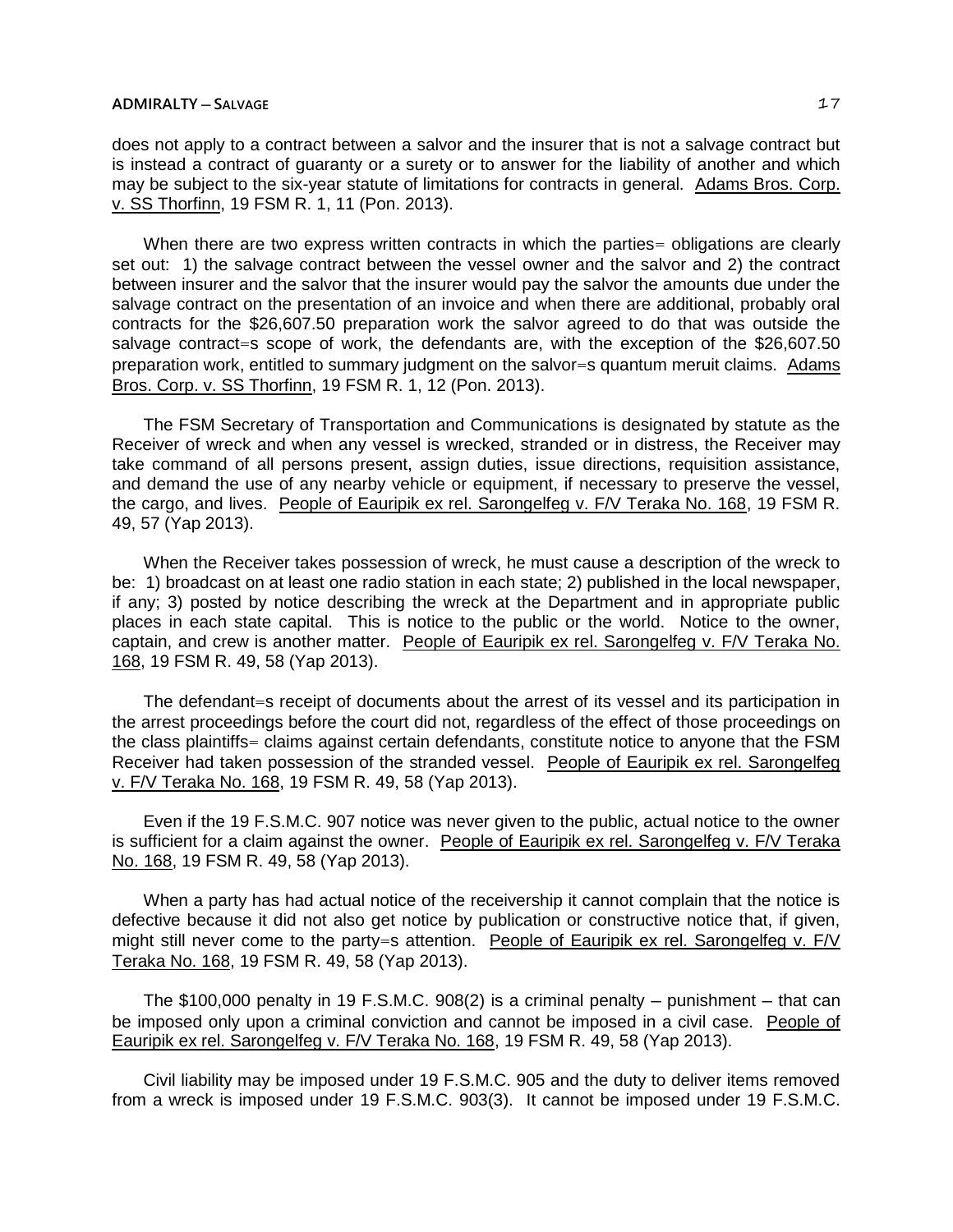does not apply to a contract between a salvor and the insurer that is not a salvage contract but is instead a contract of guaranty or a surety or to answer for the liability of another and which may be subject to the six-year statute of limitations for contracts in general. Adams Bros. Corp. v. SS Thorfinn, 19 FSM R. 1, 11 (Pon. 2013).

When there are two express written contracts in which the parties = obligations are clearly set out: 1) the salvage contract between the vessel owner and the salvor and 2) the contract between insurer and the salvor that the insurer would pay the salvor the amounts due under the salvage contract on the presentation of an invoice and when there are additional, probably oral contracts for the \$26,607.50 preparation work the salvor agreed to do that was outside the salvage contract=s scope of work, the defendants are, with the exception of the \$26,607.50 preparation work, entitled to summary judgment on the salvor=s quantum meruit claims. Adams Bros. Corp. v. SS Thorfinn, 19 FSM R. 1, 12 (Pon. 2013).

The FSM Secretary of Transportation and Communications is designated by statute as the Receiver of wreck and when any vessel is wrecked, stranded or in distress, the Receiver may take command of all persons present, assign duties, issue directions, requisition assistance, and demand the use of any nearby vehicle or equipment, if necessary to preserve the vessel, the cargo, and lives. People of Eauripik ex rel. Sarongelfeg v. F/V Teraka No. 168, 19 FSM R. 49, 57 (Yap 2013).

When the Receiver takes possession of wreck, he must cause a description of the wreck to be: 1) broadcast on at least one radio station in each state; 2) published in the local newspaper, if any; 3) posted by notice describing the wreck at the Department and in appropriate public places in each state capital. This is notice to the public or the world. Notice to the owner, captain, and crew is another matter. People of Eauripik ex rel. Sarongelfeg v. F/V Teraka No. 168, 19 FSM R. 49, 58 (Yap 2013).

The defendant=s receipt of documents about the arrest of its vessel and its participation in the arrest proceedings before the court did not, regardless of the effect of those proceedings on the class plaintiffs= claims against certain defendants, constitute notice to anyone that the FSM Receiver had taken possession of the stranded vessel. People of Eauripik ex rel. Sarongelfeg v. F/V Teraka No. 168, 19 FSM R. 49, 58 (Yap 2013).

Even if the 19 F.S.M.C. 907 notice was never given to the public, actual notice to the owner is sufficient for a claim against the owner. People of Eauripik ex rel. Sarongelfeg v. F/V Teraka No. 168, 19 FSM R. 49, 58 (Yap 2013).

When a party has had actual notice of the receivership it cannot complain that the notice is defective because it did not also get notice by publication or constructive notice that, if given, might still never come to the party=s attention. People of Eauripik ex rel. Sarongelfeg v. F/V Teraka No. 168, 19 FSM R. 49, 58 (Yap 2013).

The  $$100,000$  penalty in 19 F.S.M.C. 908(2) is a criminal penalty  $-$  punishment  $-$  that can be imposed only upon a criminal conviction and cannot be imposed in a civil case. People of Eauripik ex rel. Sarongelfeg v. F/V Teraka No. 168, 19 FSM R. 49, 58 (Yap 2013).

Civil liability may be imposed under 19 F.S.M.C. 905 and the duty to deliver items removed from a wreck is imposed under 19 F.S.M.C. 903(3). It cannot be imposed under 19 F.S.M.C.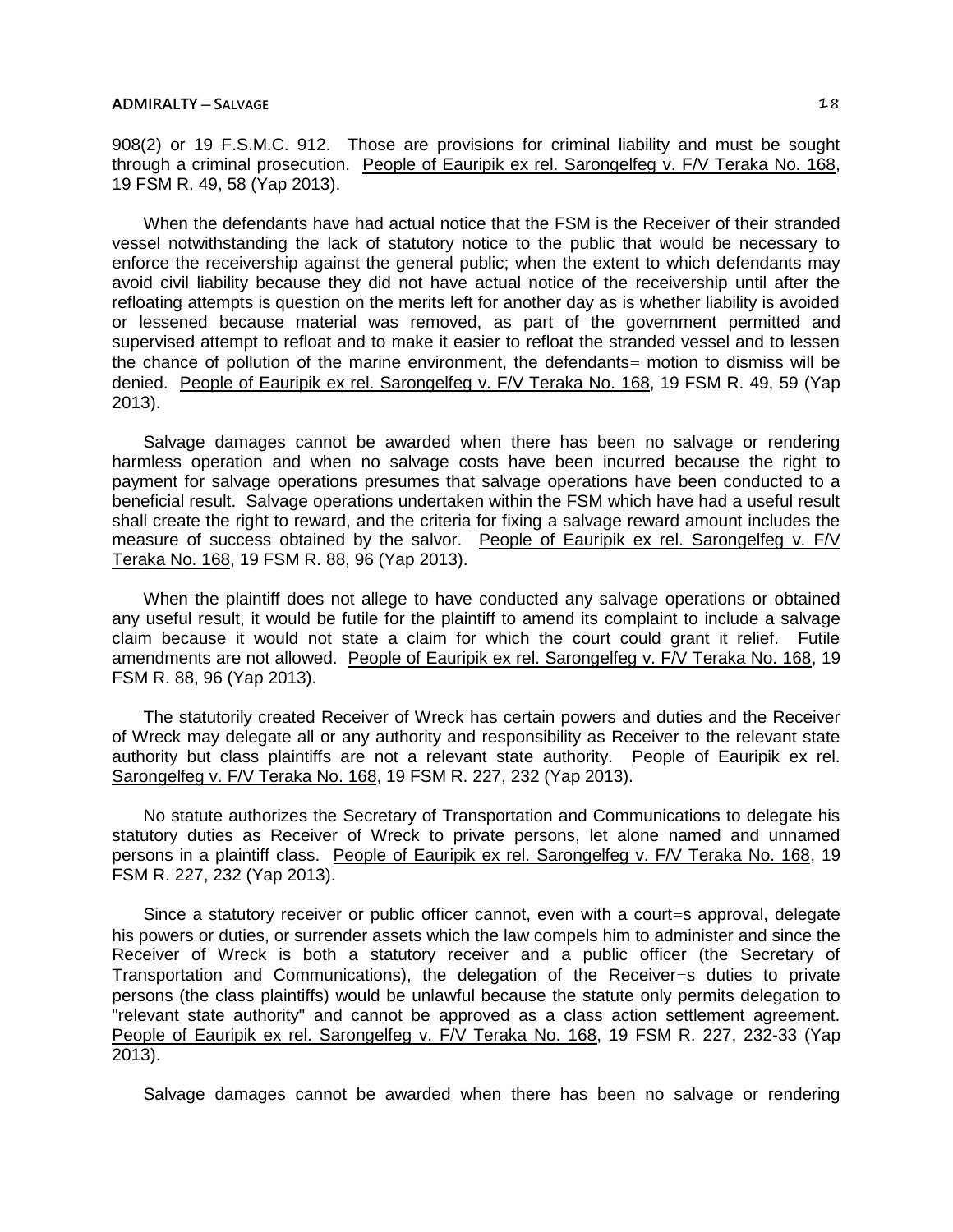908(2) or 19 F.S.M.C. 912. Those are provisions for criminal liability and must be sought through a criminal prosecution. People of Eauripik ex rel. Sarongelfeg v. F/V Teraka No. 168, 19 FSM R. 49, 58 (Yap 2013).

When the defendants have had actual notice that the FSM is the Receiver of their stranded vessel notwithstanding the lack of statutory notice to the public that would be necessary to enforce the receivership against the general public; when the extent to which defendants may avoid civil liability because they did not have actual notice of the receivership until after the refloating attempts is question on the merits left for another day as is whether liability is avoided or lessened because material was removed, as part of the government permitted and supervised attempt to refloat and to make it easier to refloat the stranded vessel and to lessen the chance of pollution of the marine environment, the defendants= motion to dismiss will be denied. People of Eauripik ex rel. Sarongelfeg v. F/V Teraka No. 168, 19 FSM R. 49, 59 (Yap 2013).

Salvage damages cannot be awarded when there has been no salvage or rendering harmless operation and when no salvage costs have been incurred because the right to payment for salvage operations presumes that salvage operations have been conducted to a beneficial result. Salvage operations undertaken within the FSM which have had a useful result shall create the right to reward, and the criteria for fixing a salvage reward amount includes the measure of success obtained by the salvor. People of Eauripik ex rel. Sarongelfeg v. F/V Teraka No. 168, 19 FSM R. 88, 96 (Yap 2013).

When the plaintiff does not allege to have conducted any salvage operations or obtained any useful result, it would be futile for the plaintiff to amend its complaint to include a salvage claim because it would not state a claim for which the court could grant it relief. Futile amendments are not allowed. People of Eauripik ex rel. Sarongelfeg v. F/V Teraka No. 168, 19 FSM R. 88, 96 (Yap 2013).

The statutorily created Receiver of Wreck has certain powers and duties and the Receiver of Wreck may delegate all or any authority and responsibility as Receiver to the relevant state authority but class plaintiffs are not a relevant state authority. People of Eauripik ex rel. Sarongelfeg v. F/V Teraka No. 168, 19 FSM R. 227, 232 (Yap 2013).

No statute authorizes the Secretary of Transportation and Communications to delegate his statutory duties as Receiver of Wreck to private persons, let alone named and unnamed persons in a plaintiff class. People of Eauripik ex rel. Sarongelfeg v. F/V Teraka No. 168, 19 FSM R. 227, 232 (Yap 2013).

Since a statutory receiver or public officer cannot, even with a court=s approval, delegate his powers or duties, or surrender assets which the law compels him to administer and since the Receiver of Wreck is both a statutory receiver and a public officer (the Secretary of Transportation and Communications), the delegation of the Receiver=s duties to private persons (the class plaintiffs) would be unlawful because the statute only permits delegation to "relevant state authority" and cannot be approved as a class action settlement agreement. People of Eauripik ex rel. Sarongelfeg v. F/V Teraka No. 168, 19 FSM R. 227, 232-33 (Yap 2013).

Salvage damages cannot be awarded when there has been no salvage or rendering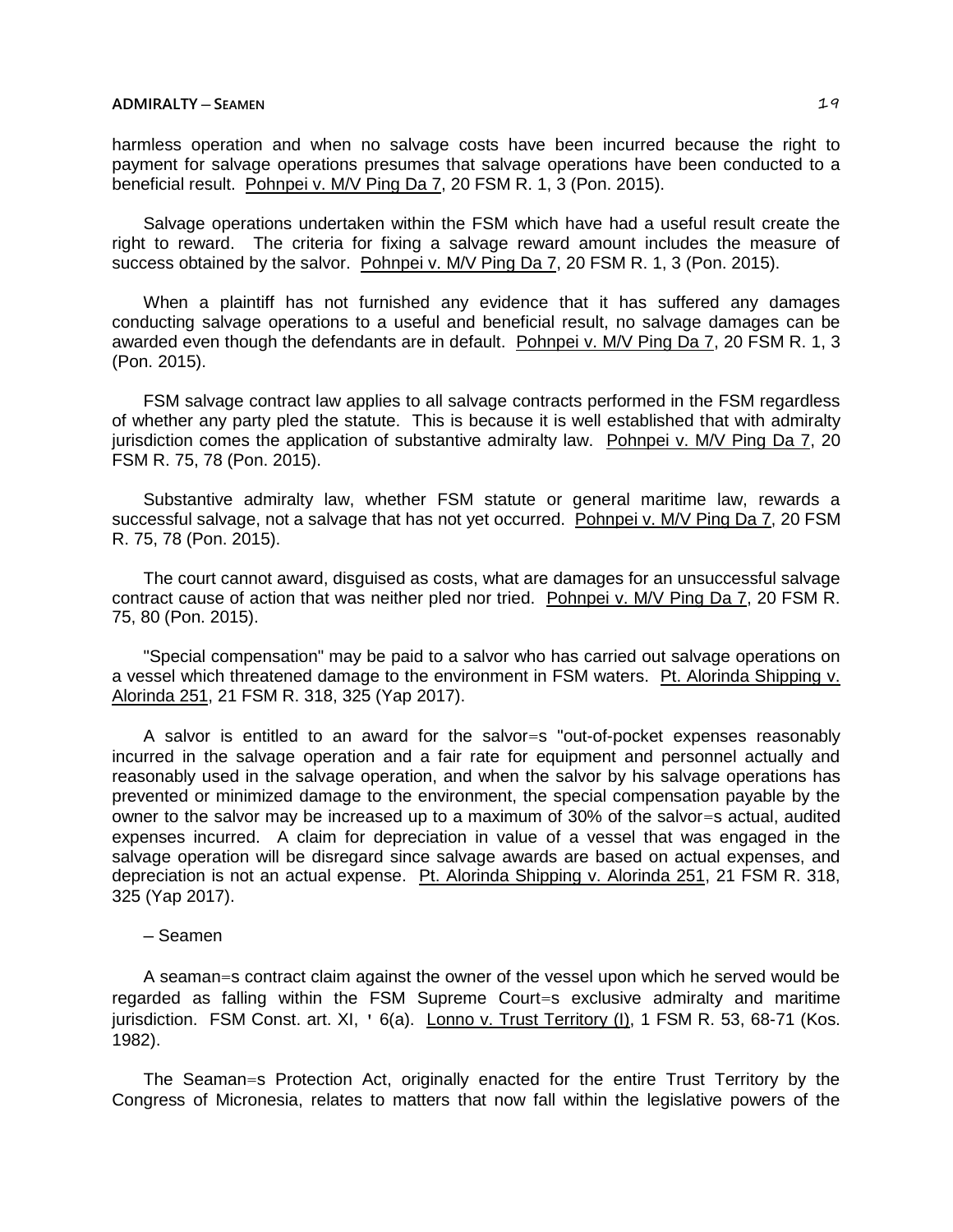harmless operation and when no salvage costs have been incurred because the right to payment for salvage operations presumes that salvage operations have been conducted to a beneficial result. Pohnpei v. M/V Ping Da 7, 20 FSM R. 1, 3 (Pon. 2015).

Salvage operations undertaken within the FSM which have had a useful result create the right to reward. The criteria for fixing a salvage reward amount includes the measure of success obtained by the salvor. Pohnpei v. M/V Ping Da 7, 20 FSM R. 1, 3 (Pon. 2015).

When a plaintiff has not furnished any evidence that it has suffered any damages conducting salvage operations to a useful and beneficial result, no salvage damages can be awarded even though the defendants are in default. Pohnpei v. M/V Ping Da 7, 20 FSM R. 1, 3 (Pon. 2015).

FSM salvage contract law applies to all salvage contracts performed in the FSM regardless of whether any party pled the statute. This is because it is well established that with admiralty jurisdiction comes the application of substantive admiralty law. Pohnpei v. M/V Ping Da 7, 20 FSM R. 75, 78 (Pon. 2015).

Substantive admiralty law, whether FSM statute or general maritime law, rewards a successful salvage, not a salvage that has not yet occurred. Pohnpei v. M/V Ping Da 7, 20 FSM R. 75, 78 (Pon. 2015).

The court cannot award, disguised as costs, what are damages for an unsuccessful salvage contract cause of action that was neither pled nor tried. Pohnpei v. M/V Ping Da 7, 20 FSM R. 75, 80 (Pon. 2015).

"Special compensation" may be paid to a salvor who has carried out salvage operations on a vessel which threatened damage to the environment in FSM waters. Pt. Alorinda Shipping v. Alorinda 251, 21 FSM R. 318, 325 (Yap 2017).

A salvor is entitled to an award for the salvor=s "out-of-pocket expenses reasonably incurred in the salvage operation and a fair rate for equipment and personnel actually and reasonably used in the salvage operation, and when the salvor by his salvage operations has prevented or minimized damage to the environment, the special compensation payable by the owner to the salvor may be increased up to a maximum of 30% of the salvor=s actual, audited expenses incurred. A claim for depreciation in value of a vessel that was engaged in the salvage operation will be disregard since salvage awards are based on actual expenses, and depreciation is not an actual expense. Pt. Alorinda Shipping v. Alorinda 251, 21 FSM R. 318, 325 (Yap 2017).

# ─ Seamen

A seaman=s contract claim against the owner of the vessel upon which he served would be regarded as falling within the FSM Supreme Court=s exclusive admiralty and maritime jurisdiction. FSM Const. art. XI, ' 6(a). Lonno v. Trust Territory (I), 1 FSM R. 53, 68-71 (Kos. 1982).

The Seaman=s Protection Act, originally enacted for the entire Trust Territory by the Congress of Micronesia, relates to matters that now fall within the legislative powers of the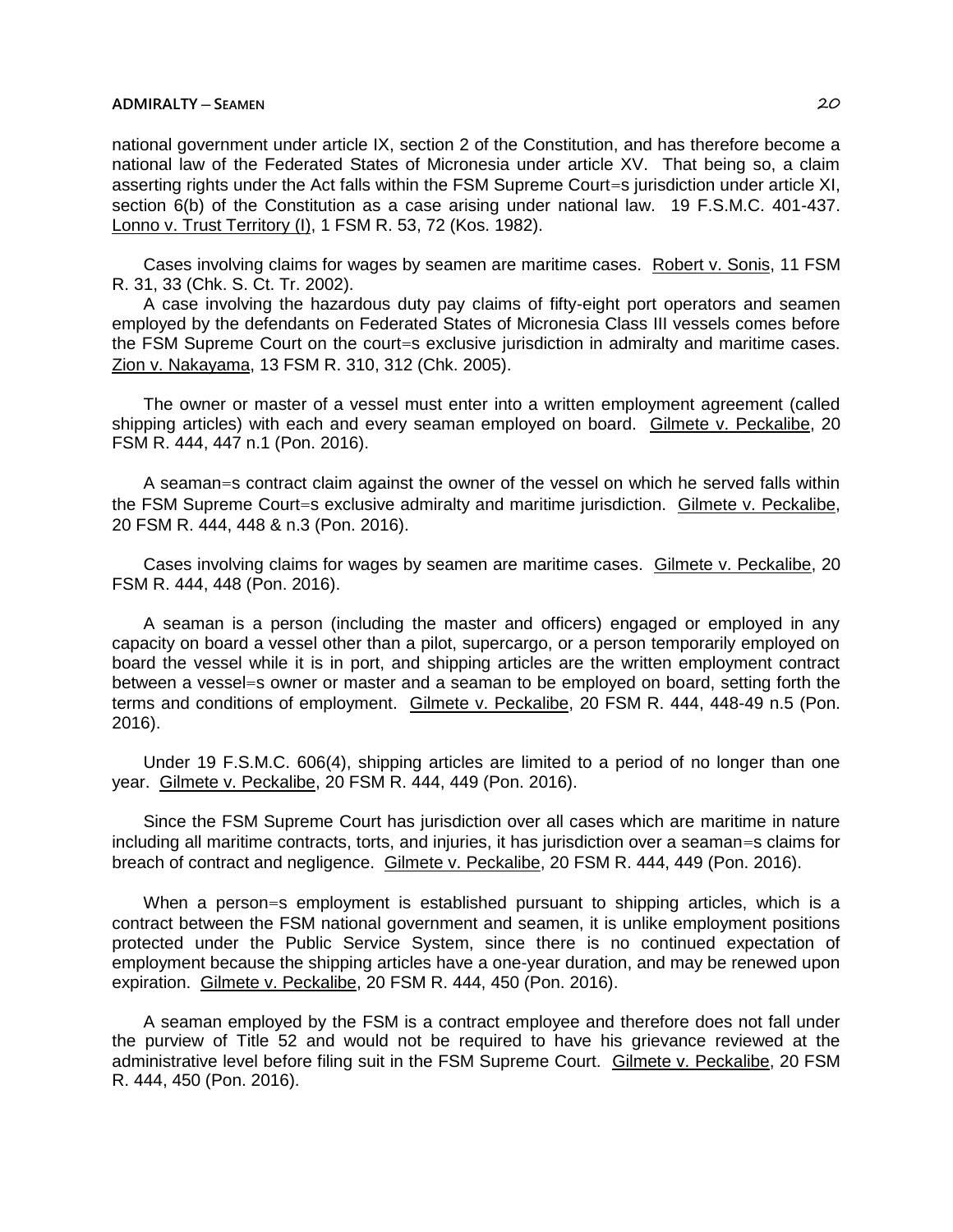# **ADMIRALTY ─ SEAMEN** 20

national government under article IX, section 2 of the Constitution, and has therefore become a national law of the Federated States of Micronesia under article XV. That being so, a claim asserting rights under the Act falls within the FSM Supreme Court=s jurisdiction under article XI, section 6(b) of the Constitution as a case arising under national law. 19 F.S.M.C. 401-437. Lonno v. Trust Territory (I), 1 FSM R. 53, 72 (Kos. 1982).

Cases involving claims for wages by seamen are maritime cases. Robert v. Sonis, 11 FSM R. 31, 33 (Chk. S. Ct. Tr. 2002).

A case involving the hazardous duty pay claims of fifty-eight port operators and seamen employed by the defendants on Federated States of Micronesia Class III vessels comes before the FSM Supreme Court on the court=s exclusive jurisdiction in admiralty and maritime cases. Zion v. Nakayama, 13 FSM R. 310, 312 (Chk. 2005).

The owner or master of a vessel must enter into a written employment agreement (called shipping articles) with each and every seaman employed on board. Gilmete v. Peckalibe, 20 FSM R. 444, 447 n.1 (Pon. 2016).

A seaman=s contract claim against the owner of the vessel on which he served falls within the FSM Supreme Court=s exclusive admiralty and maritime jurisdiction. Gilmete v. Peckalibe, 20 FSM R. 444, 448 & n.3 (Pon. 2016).

Cases involving claims for wages by seamen are maritime cases. Gilmete v. Peckalibe, 20 FSM R. 444, 448 (Pon. 2016).

A seaman is a person (including the master and officers) engaged or employed in any capacity on board a vessel other than a pilot, supercargo, or a person temporarily employed on board the vessel while it is in port, and shipping articles are the written employment contract between a vessel=s owner or master and a seaman to be employed on board, setting forth the terms and conditions of employment. Gilmete v. Peckalibe, 20 FSM R. 444, 448-49 n.5 (Pon. 2016).

Under 19 F.S.M.C. 606(4), shipping articles are limited to a period of no longer than one year. Gilmete v. Peckalibe, 20 FSM R. 444, 449 (Pon. 2016).

Since the FSM Supreme Court has jurisdiction over all cases which are maritime in nature including all maritime contracts, torts, and injuries, it has jurisdiction over a seaman=s claims for breach of contract and negligence. Gilmete v. Peckalibe, 20 FSM R. 444, 449 (Pon. 2016).

When a person=s employment is established pursuant to shipping articles, which is a contract between the FSM national government and seamen, it is unlike employment positions protected under the Public Service System, since there is no continued expectation of employment because the shipping articles have a one-year duration, and may be renewed upon expiration. Gilmete v. Peckalibe, 20 FSM R. 444, 450 (Pon. 2016).

A seaman employed by the FSM is a contract employee and therefore does not fall under the purview of Title 52 and would not be required to have his grievance reviewed at the administrative level before filing suit in the FSM Supreme Court. Gilmete v. Peckalibe, 20 FSM R. 444, 450 (Pon. 2016).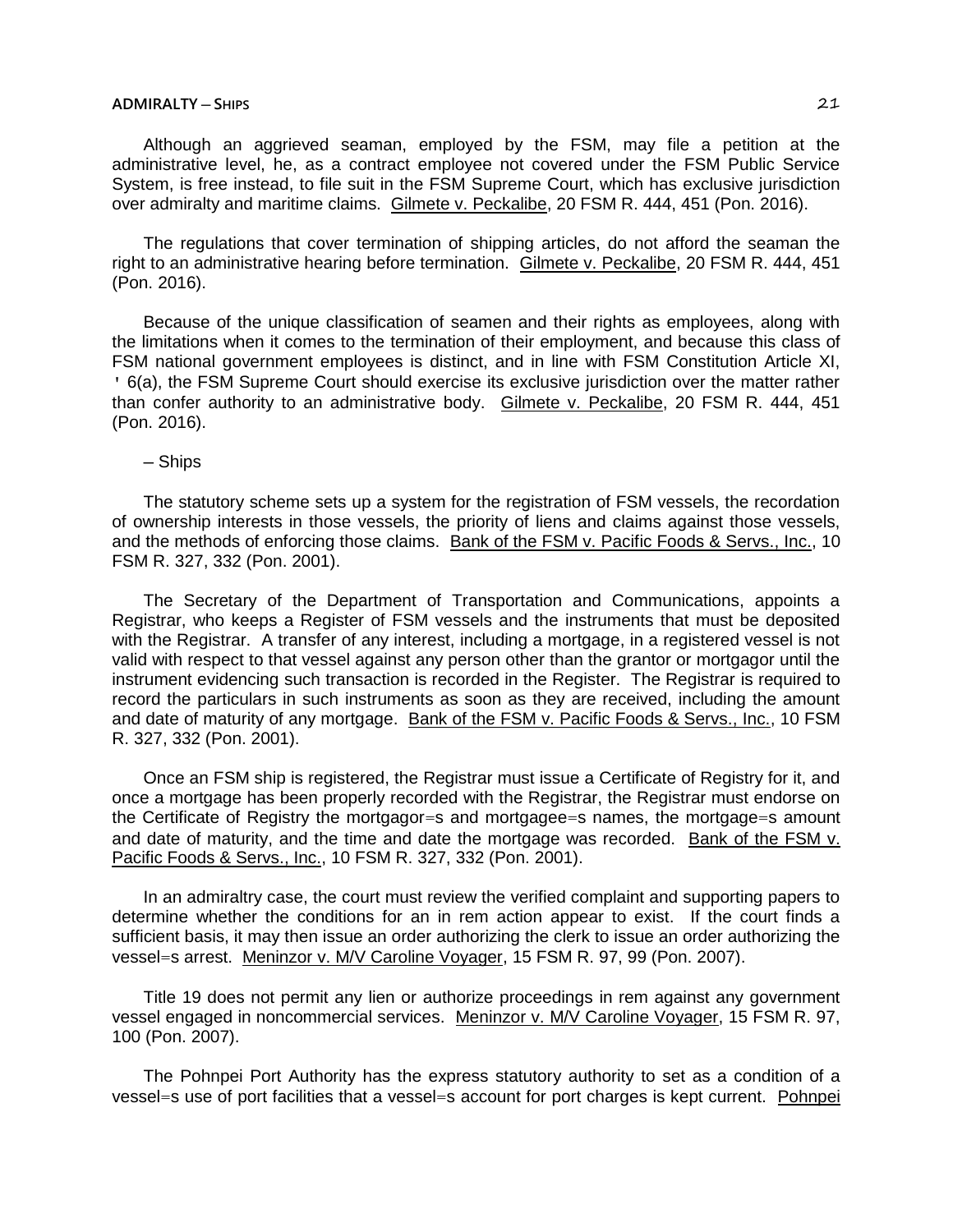# **ADMIRALTY ─ SHIPS** 21

Although an aggrieved seaman, employed by the FSM, may file a petition at the administrative level, he, as a contract employee not covered under the FSM Public Service System, is free instead, to file suit in the FSM Supreme Court, which has exclusive jurisdiction over admiralty and maritime claims. Gilmete v. Peckalibe, 20 FSM R. 444, 451 (Pon. 2016).

The regulations that cover termination of shipping articles, do not afford the seaman the right to an administrative hearing before termination. Gilmete v. Peckalibe, 20 FSM R. 444, 451 (Pon. 2016).

Because of the unique classification of seamen and their rights as employees, along with the limitations when it comes to the termination of their employment, and because this class of FSM national government employees is distinct, and in line with FSM Constitution Article XI, ' 6(a), the FSM Supreme Court should exercise its exclusive jurisdiction over the matter rather than confer authority to an administrative body. Gilmete v. Peckalibe, 20 FSM R. 444, 451 (Pon. 2016).

─ Ships

The statutory scheme sets up a system for the registration of FSM vessels, the recordation of ownership interests in those vessels, the priority of liens and claims against those vessels, and the methods of enforcing those claims. Bank of the FSM v. Pacific Foods & Servs., Inc., 10 FSM R. 327, 332 (Pon. 2001).

The Secretary of the Department of Transportation and Communications, appoints a Registrar, who keeps a Register of FSM vessels and the instruments that must be deposited with the Registrar. A transfer of any interest, including a mortgage, in a registered vessel is not valid with respect to that vessel against any person other than the grantor or mortgagor until the instrument evidencing such transaction is recorded in the Register. The Registrar is required to record the particulars in such instruments as soon as they are received, including the amount and date of maturity of any mortgage. Bank of the FSM v. Pacific Foods & Servs., Inc., 10 FSM R. 327, 332 (Pon. 2001).

Once an FSM ship is registered, the Registrar must issue a Certificate of Registry for it, and once a mortgage has been properly recorded with the Registrar, the Registrar must endorse on the Certificate of Registry the mortgagor=s and mortgagee=s names, the mortgage=s amount and date of maturity, and the time and date the mortgage was recorded. Bank of the FSM v. Pacific Foods & Servs., Inc., 10 FSM R. 327, 332 (Pon. 2001).

In an admiraltry case, the court must review the verified complaint and supporting papers to determine whether the conditions for an in rem action appear to exist. If the court finds a sufficient basis, it may then issue an order authorizing the clerk to issue an order authorizing the vessel=s arrest. Meninzor v. M/V Caroline Voyager, 15 FSM R. 97, 99 (Pon. 2007).

Title 19 does not permit any lien or authorize proceedings in rem against any government vessel engaged in noncommercial services. Meninzor v. M/V Caroline Voyager, 15 FSM R. 97, 100 (Pon. 2007).

The Pohnpei Port Authority has the express statutory authority to set as a condition of a vessel=s use of port facilities that a vessel=s account for port charges is kept current. Pohnpei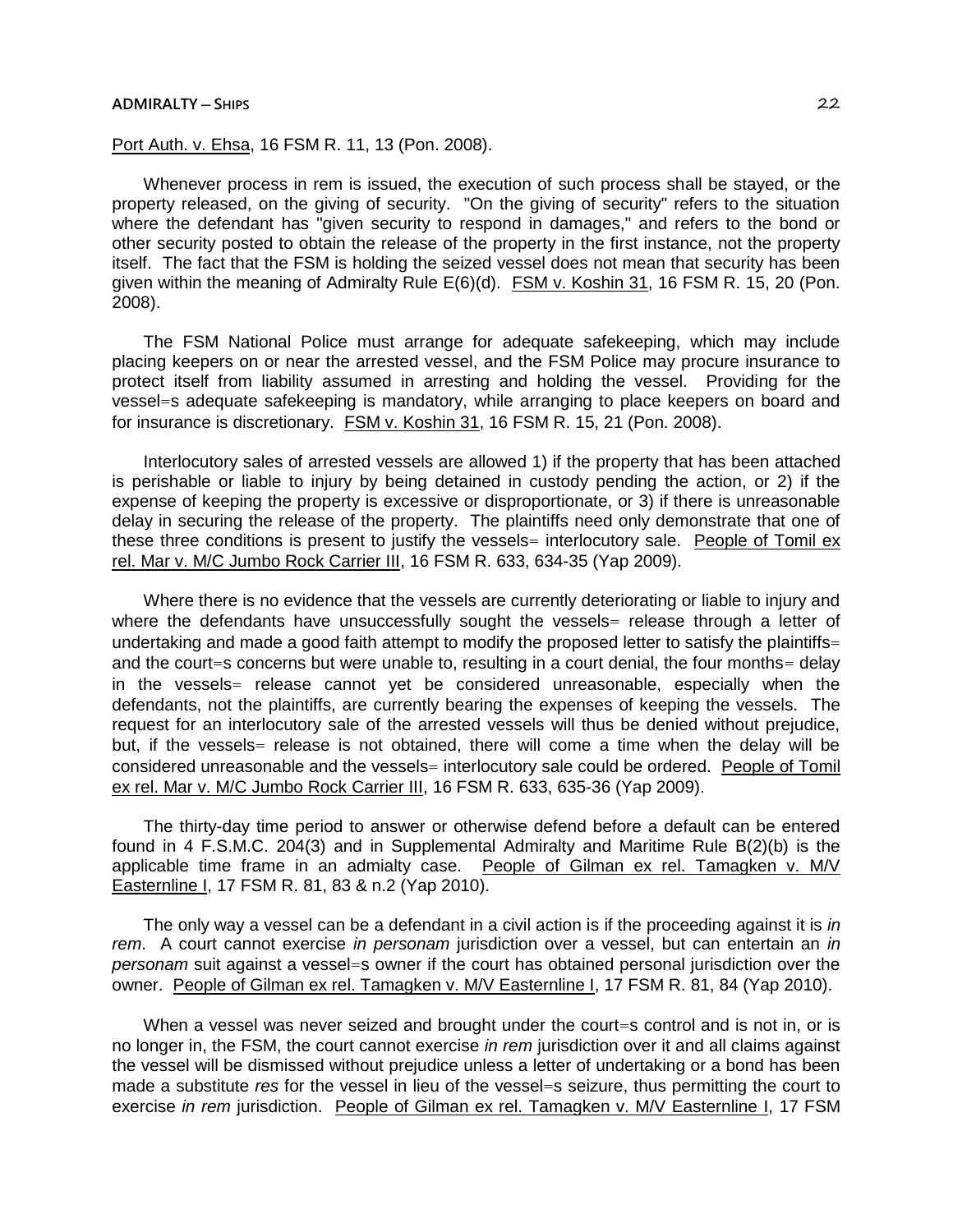### **ADMIRALTY ─ SHIPS** 22

# Port Auth. v. Ehsa, 16 FSM R. 11, 13 (Pon. 2008).

Whenever process in rem is issued, the execution of such process shall be stayed, or the property released, on the giving of security. "On the giving of security" refers to the situation where the defendant has "given security to respond in damages," and refers to the bond or other security posted to obtain the release of the property in the first instance, not the property itself. The fact that the FSM is holding the seized vessel does not mean that security has been given within the meaning of Admiralty Rule E(6)(d). FSM v. Koshin 31, 16 FSM R. 15, 20 (Pon. 2008).

The FSM National Police must arrange for adequate safekeeping, which may include placing keepers on or near the arrested vessel, and the FSM Police may procure insurance to protect itself from liability assumed in arresting and holding the vessel. Providing for the vessel=s adequate safekeeping is mandatory, while arranging to place keepers on board and for insurance is discretionary. FSM v. Koshin 31, 16 FSM R. 15, 21 (Pon. 2008).

Interlocutory sales of arrested vessels are allowed 1) if the property that has been attached is perishable or liable to injury by being detained in custody pending the action, or 2) if the expense of keeping the property is excessive or disproportionate, or 3) if there is unreasonable delay in securing the release of the property. The plaintiffs need only demonstrate that one of these three conditions is present to justify the vessels= interlocutory sale. People of Tomil ex rel. Mar v. M/C Jumbo Rock Carrier III, 16 FSM R. 633, 634-35 (Yap 2009).

Where there is no evidence that the vessels are currently deteriorating or liable to injury and where the defendants have unsuccessfully sought the vessels release through a letter of undertaking and made a good faith attempt to modify the proposed letter to satisfy the plaintiffs= and the court=s concerns but were unable to, resulting in a court denial, the four months= delay in the vessels= release cannot yet be considered unreasonable, especially when the defendants, not the plaintiffs, are currently bearing the expenses of keeping the vessels. The request for an interlocutory sale of the arrested vessels will thus be denied without prejudice, but, if the vessels= release is not obtained, there will come a time when the delay will be considered unreasonable and the vessels= interlocutory sale could be ordered. People of Tomil ex rel. Mar v. M/C Jumbo Rock Carrier III, 16 FSM R. 633, 635-36 (Yap 2009).

The thirty-day time period to answer or otherwise defend before a default can be entered found in 4 F.S.M.C. 204(3) and in Supplemental Admiralty and Maritime Rule B(2)(b) is the applicable time frame in an admialty case. People of Gilman ex rel. Tamagken v. M/V Easternline I, 17 FSM R. 81, 83 & n.2 (Yap 2010).

The only way a vessel can be a defendant in a civil action is if the proceeding against it is *in rem*. A court cannot exercise *in personam* jurisdiction over a vessel, but can entertain an *in personam* suit against a vessel=s owner if the court has obtained personal jurisdiction over the owner. People of Gilman ex rel. Tamagken v. M/V Easternline I, 17 FSM R. 81, 84 (Yap 2010).

When a vessel was never seized and brought under the court=s control and is not in, or is no longer in, the FSM, the court cannot exercise *in rem* jurisdiction over it and all claims against the vessel will be dismissed without prejudice unless a letter of undertaking or a bond has been made a substitute *res* for the vessel in lieu of the vessel=s seizure, thus permitting the court to exercise *in rem* jurisdiction. People of Gilman ex rel. Tamagken v. M/V Easternline I, 17 FSM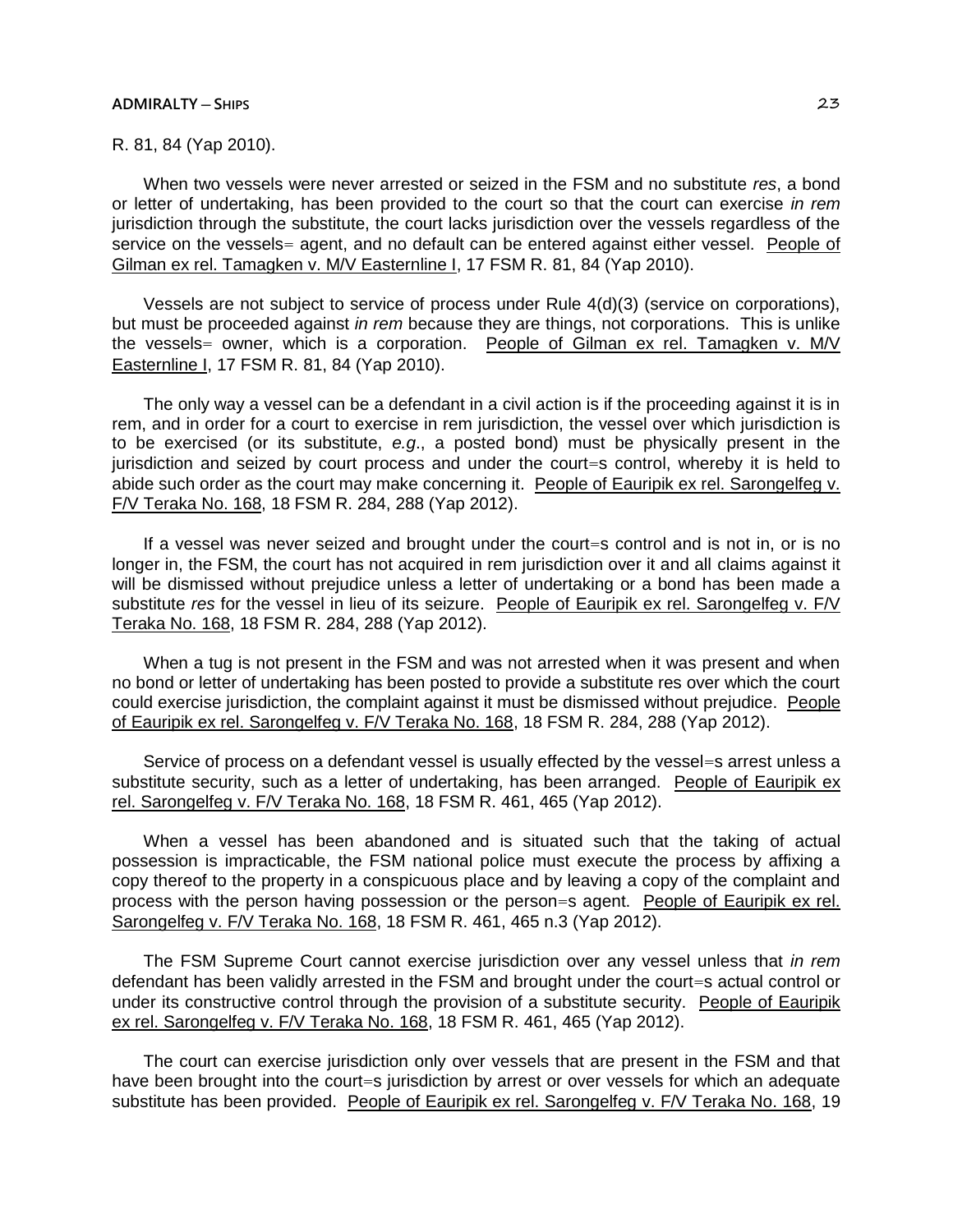### **ADMIRALTY ─ SHIPS** 23

R. 81, 84 (Yap 2010).

When two vessels were never arrested or seized in the FSM and no substitute *res*, a bond or letter of undertaking, has been provided to the court so that the court can exercise *in rem* jurisdiction through the substitute, the court lacks jurisdiction over the vessels regardless of the service on the vessels= agent, and no default can be entered against either vessel. People of Gilman ex rel. Tamagken v. M/V Easternline I, 17 FSM R. 81, 84 (Yap 2010).

Vessels are not subject to service of process under Rule 4(d)(3) (service on corporations), but must be proceeded against *in rem* because they are things, not corporations. This is unlike the vessels= owner, which is a corporation. People of Gilman ex rel. Tamagken v. M/V Easternline I, 17 FSM R. 81, 84 (Yap 2010).

The only way a vessel can be a defendant in a civil action is if the proceeding against it is in rem, and in order for a court to exercise in rem jurisdiction, the vessel over which jurisdiction is to be exercised (or its substitute, *e.g*., a posted bond) must be physically present in the jurisdiction and seized by court process and under the court=s control, whereby it is held to abide such order as the court may make concerning it. People of Eauripik ex rel. Sarongelfeg v. F/V Teraka No. 168, 18 FSM R. 284, 288 (Yap 2012).

If a vessel was never seized and brought under the court=s control and is not in, or is no longer in, the FSM, the court has not acquired in rem jurisdiction over it and all claims against it will be dismissed without prejudice unless a letter of undertaking or a bond has been made a substitute *res* for the vessel in lieu of its seizure. People of Eauripik ex rel. Sarongelfeg v. F/V Teraka No. 168, 18 FSM R. 284, 288 (Yap 2012).

When a tug is not present in the FSM and was not arrested when it was present and when no bond or letter of undertaking has been posted to provide a substitute res over which the court could exercise jurisdiction, the complaint against it must be dismissed without prejudice. People of Eauripik ex rel. Sarongelfeg v. F/V Teraka No. 168, 18 FSM R. 284, 288 (Yap 2012).

Service of process on a defendant vessel is usually effected by the vessel=s arrest unless a substitute security, such as a letter of undertaking, has been arranged. People of Eauripik ex rel. Sarongelfeg v. F/V Teraka No. 168, 18 FSM R. 461, 465 (Yap 2012).

When a vessel has been abandoned and is situated such that the taking of actual possession is impracticable, the FSM national police must execute the process by affixing a copy thereof to the property in a conspicuous place and by leaving a copy of the complaint and process with the person having possession or the person=s agent. People of Eauripik ex rel. Sarongelfeg v. F/V Teraka No. 168, 18 FSM R. 461, 465 n.3 (Yap 2012).

The FSM Supreme Court cannot exercise jurisdiction over any vessel unless that *in rem* defendant has been validly arrested in the FSM and brought under the court=s actual control or under its constructive control through the provision of a substitute security. People of Eauripik ex rel. Sarongelfeg v. F/V Teraka No. 168, 18 FSM R. 461, 465 (Yap 2012).

The court can exercise jurisdiction only over vessels that are present in the FSM and that have been brought into the court=s jurisdiction by arrest or over vessels for which an adequate substitute has been provided. People of Eauripik ex rel. Sarongelfeg v. F/V Teraka No. 168, 19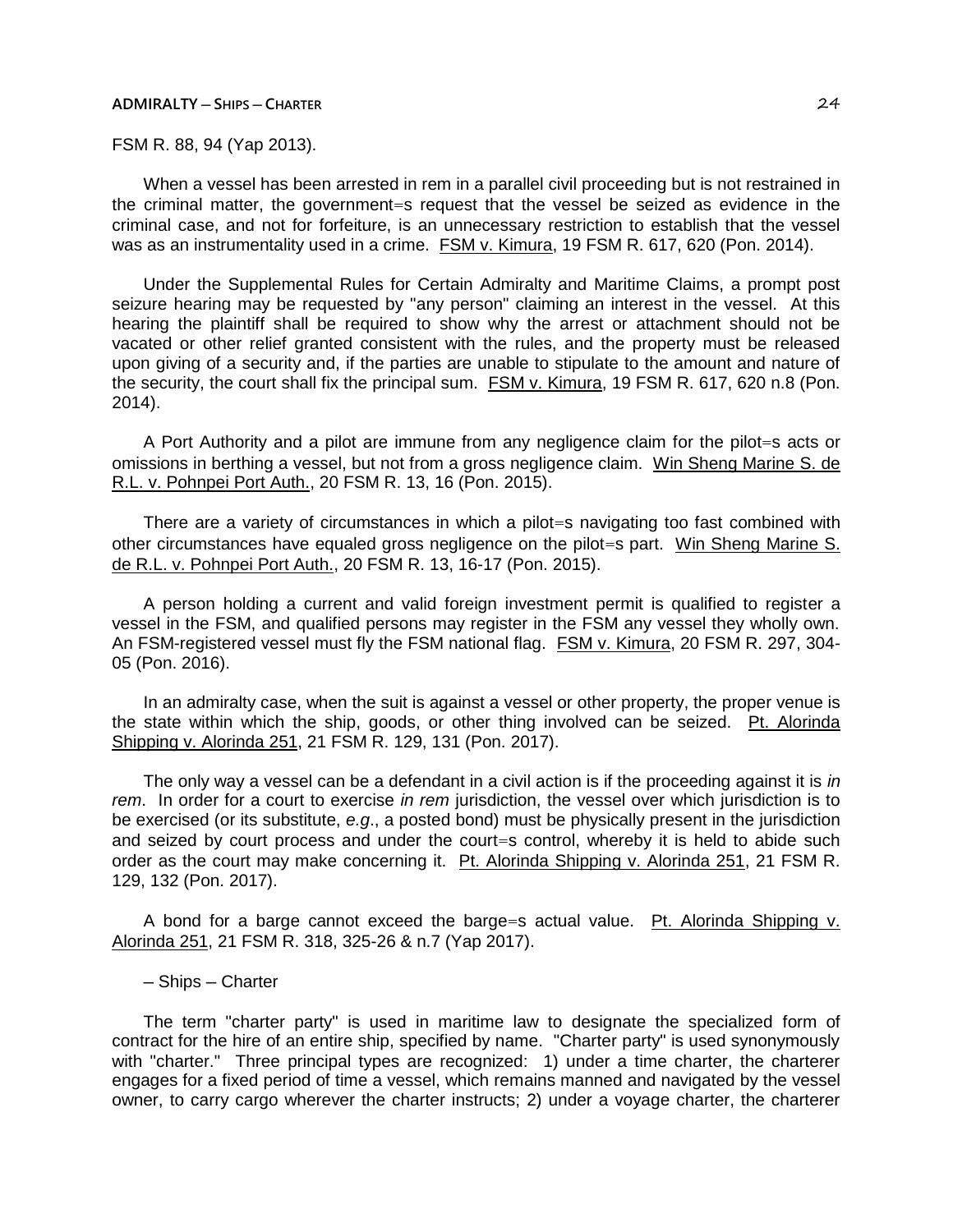## **ADMIRALTY ─ SHIPS ─ CHARTER** 24

FSM R. 88, 94 (Yap 2013).

When a vessel has been arrested in rem in a parallel civil proceeding but is not restrained in the criminal matter, the government=s request that the vessel be seized as evidence in the criminal case, and not for forfeiture, is an unnecessary restriction to establish that the vessel was as an instrumentality used in a crime. FSM v. Kimura, 19 FSM R. 617, 620 (Pon. 2014).

Under the Supplemental Rules for Certain Admiralty and Maritime Claims, a prompt post seizure hearing may be requested by "any person" claiming an interest in the vessel. At this hearing the plaintiff shall be required to show why the arrest or attachment should not be vacated or other relief granted consistent with the rules, and the property must be released upon giving of a security and, if the parties are unable to stipulate to the amount and nature of the security, the court shall fix the principal sum. FSM v. Kimura, 19 FSM R. 617, 620 n.8 (Pon. 2014).

A Port Authority and a pilot are immune from any negligence claim for the pilot=s acts or omissions in berthing a vessel, but not from a gross negligence claim. Win Sheng Marine S. de R.L. v. Pohnpei Port Auth., 20 FSM R. 13, 16 (Pon. 2015).

There are a variety of circumstances in which a pilot=s navigating too fast combined with other circumstances have equaled gross negligence on the pilot=s part. Win Sheng Marine S. de R.L. v. Pohnpei Port Auth., 20 FSM R. 13, 16-17 (Pon. 2015).

A person holding a current and valid foreign investment permit is qualified to register a vessel in the FSM, and qualified persons may register in the FSM any vessel they wholly own. An FSM-registered vessel must fly the FSM national flag. FSM v. Kimura, 20 FSM R. 297, 304- 05 (Pon. 2016).

In an admiralty case, when the suit is against a vessel or other property, the proper venue is the state within which the ship, goods, or other thing involved can be seized. Pt. Alorinda Shipping v. Alorinda 251, 21 FSM R. 129, 131 (Pon. 2017).

The only way a vessel can be a defendant in a civil action is if the proceeding against it is *in rem*. In order for a court to exercise *in rem* jurisdiction, the vessel over which jurisdiction is to be exercised (or its substitute, *e.g*., a posted bond) must be physically present in the jurisdiction and seized by court process and under the court=s control, whereby it is held to abide such order as the court may make concerning it. Pt. Alorinda Shipping v. Alorinda 251, 21 FSM R. 129, 132 (Pon. 2017).

A bond for a barge cannot exceed the barge=s actual value. Pt. Alorinda Shipping v. Alorinda 251, 21 FSM R. 318, 325-26 & n.7 (Yap 2017).

## ─ Ships ─ Charter

The term "charter party" is used in maritime law to designate the specialized form of contract for the hire of an entire ship, specified by name. "Charter party" is used synonymously with "charter." Three principal types are recognized: 1) under a time charter, the charterer engages for a fixed period of time a vessel, which remains manned and navigated by the vessel owner, to carry cargo wherever the charter instructs; 2) under a voyage charter, the charterer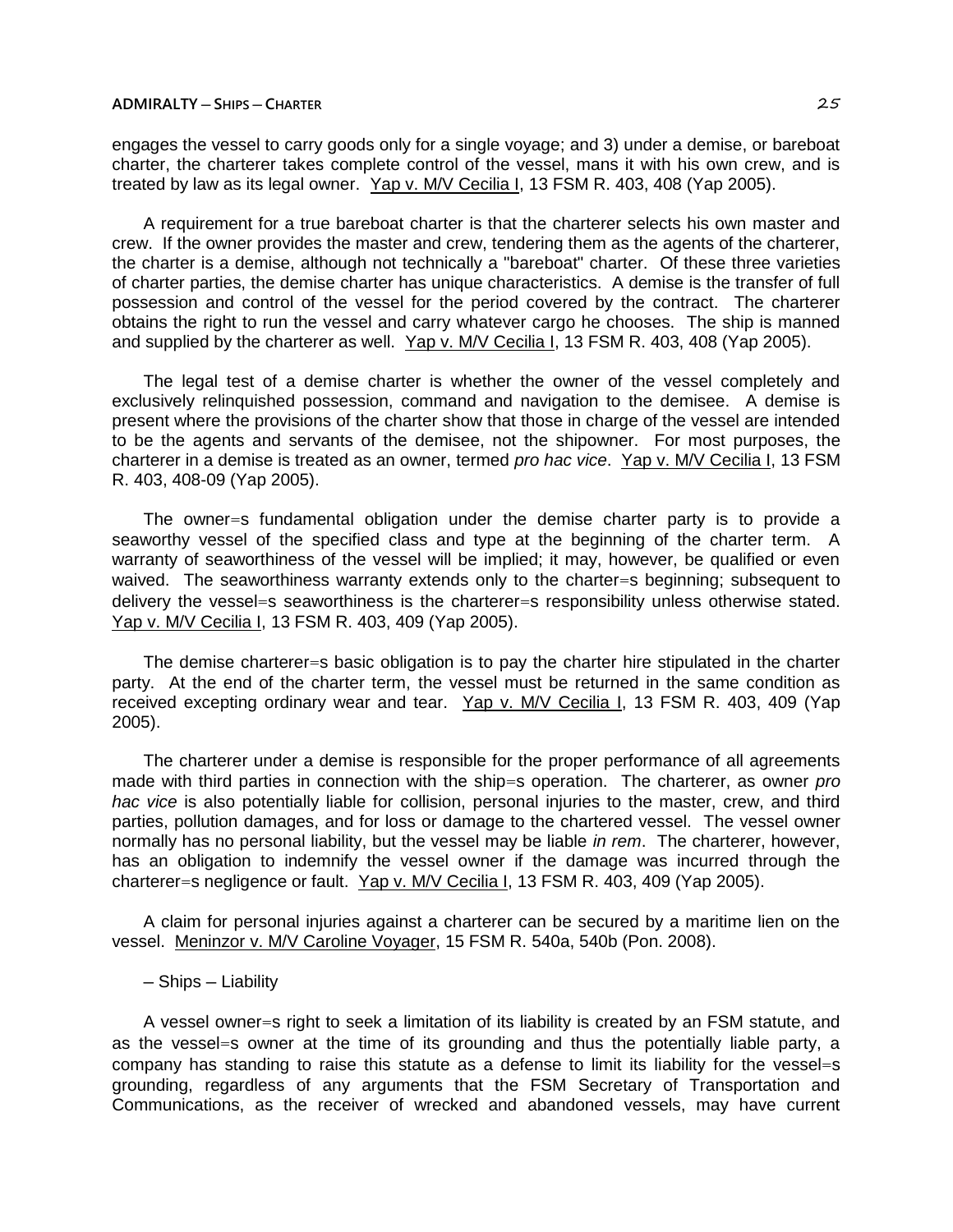engages the vessel to carry goods only for a single voyage; and 3) under a demise, or bareboat charter, the charterer takes complete control of the vessel, mans it with his own crew, and is treated by law as its legal owner. Yap v. M/V Cecilia I, 13 FSM R. 403, 408 (Yap 2005).

A requirement for a true bareboat charter is that the charterer selects his own master and crew. If the owner provides the master and crew, tendering them as the agents of the charterer, the charter is a demise, although not technically a "bareboat" charter. Of these three varieties of charter parties, the demise charter has unique characteristics. A demise is the transfer of full possession and control of the vessel for the period covered by the contract. The charterer obtains the right to run the vessel and carry whatever cargo he chooses. The ship is manned and supplied by the charterer as well. Yap v. M/V Cecilia I, 13 FSM R. 403, 408 (Yap 2005).

The legal test of a demise charter is whether the owner of the vessel completely and exclusively relinquished possession, command and navigation to the demisee. A demise is present where the provisions of the charter show that those in charge of the vessel are intended to be the agents and servants of the demisee, not the shipowner. For most purposes, the charterer in a demise is treated as an owner, termed *pro hac vice*. Yap v. M/V Cecilia I, 13 FSM R. 403, 408-09 (Yap 2005).

The owner=s fundamental obligation under the demise charter party is to provide a seaworthy vessel of the specified class and type at the beginning of the charter term. A warranty of seaworthiness of the vessel will be implied; it may, however, be qualified or even waived. The seaworthiness warranty extends only to the charter=s beginning; subsequent to delivery the vessel=s seaworthiness is the charterer=s responsibility unless otherwise stated. Yap v. M/V Cecilia I, 13 FSM R. 403, 409 (Yap 2005).

The demise charterer=s basic obligation is to pay the charter hire stipulated in the charter party. At the end of the charter term, the vessel must be returned in the same condition as received excepting ordinary wear and tear. Yap v. M/V Cecilia I, 13 FSM R. 403, 409 (Yap 2005).

The charterer under a demise is responsible for the proper performance of all agreements made with third parties in connection with the ship=s operation. The charterer, as owner *pro hac vice* is also potentially liable for collision, personal injuries to the master, crew, and third parties, pollution damages, and for loss or damage to the chartered vessel. The vessel owner normally has no personal liability, but the vessel may be liable *in rem*. The charterer, however, has an obligation to indemnify the vessel owner if the damage was incurred through the charterer=s negligence or fault. Yap v. M/V Cecilia I, 13 FSM R. 403, 409 (Yap 2005).

A claim for personal injuries against a charterer can be secured by a maritime lien on the vessel. Meninzor v. M/V Caroline Voyager, 15 FSM R. 540a, 540b (Pon. 2008).

─ Ships ─ Liability

A vessel owner=s right to seek a limitation of its liability is created by an FSM statute, and as the vessel=s owner at the time of its grounding and thus the potentially liable party, a company has standing to raise this statute as a defense to limit its liability for the vessel=s grounding, regardless of any arguments that the FSM Secretary of Transportation and Communications, as the receiver of wrecked and abandoned vessels, may have current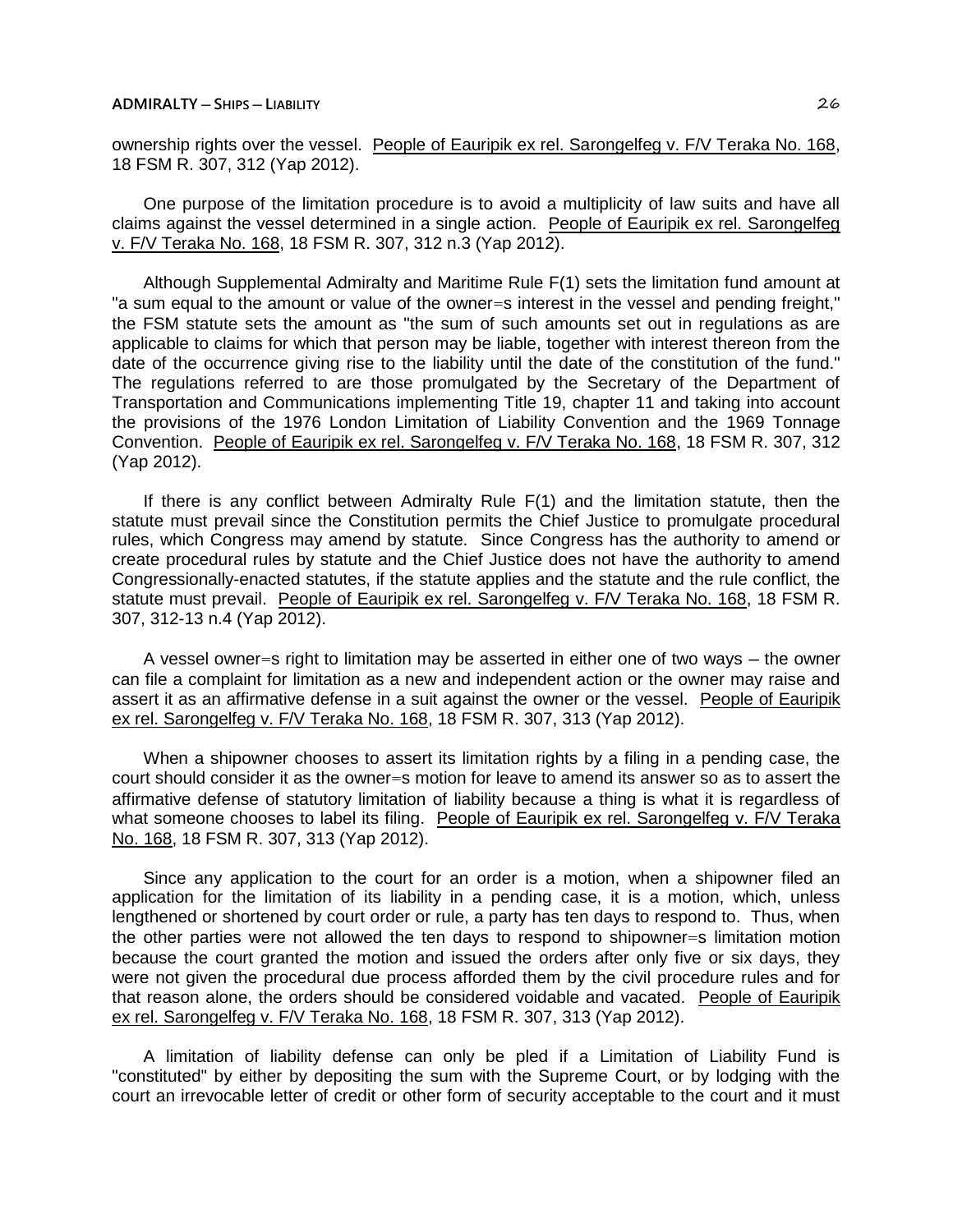ownership rights over the vessel. People of Eauripik ex rel. Sarongelfeg v. F/V Teraka No. 168, 18 FSM R. 307, 312 (Yap 2012).

One purpose of the limitation procedure is to avoid a multiplicity of law suits and have all claims against the vessel determined in a single action. People of Eauripik ex rel. Sarongelfeg v. F/V Teraka No. 168, 18 FSM R. 307, 312 n.3 (Yap 2012).

Although Supplemental Admiralty and Maritime Rule F(1) sets the limitation fund amount at "a sum equal to the amount or value of the owner=s interest in the vessel and pending freight," the FSM statute sets the amount as "the sum of such amounts set out in regulations as are applicable to claims for which that person may be liable, together with interest thereon from the date of the occurrence giving rise to the liability until the date of the constitution of the fund." The regulations referred to are those promulgated by the Secretary of the Department of Transportation and Communications implementing Title 19, chapter 11 and taking into account the provisions of the 1976 London Limitation of Liability Convention and the 1969 Tonnage Convention. People of Eauripik ex rel. Sarongelfeg v. F/V Teraka No. 168, 18 FSM R. 307, 312 (Yap 2012).

If there is any conflict between Admiralty Rule F(1) and the limitation statute, then the statute must prevail since the Constitution permits the Chief Justice to promulgate procedural rules, which Congress may amend by statute. Since Congress has the authority to amend or create procedural rules by statute and the Chief Justice does not have the authority to amend Congressionally-enacted statutes, if the statute applies and the statute and the rule conflict, the statute must prevail. People of Eauripik ex rel. Sarongelfeg v. F/V Teraka No. 168, 18 FSM R. 307, 312-13 n.4 (Yap 2012).

A vessel owner=s right to limitation may be asserted in either one of two ways – the owner can file a complaint for limitation as a new and independent action or the owner may raise and assert it as an affirmative defense in a suit against the owner or the vessel. People of Eauripik ex rel. Sarongelfeg v. F/V Teraka No. 168, 18 FSM R. 307, 313 (Yap 2012).

When a shipowner chooses to assert its limitation rights by a filing in a pending case, the court should consider it as the owner=s motion for leave to amend its answer so as to assert the affirmative defense of statutory limitation of liability because a thing is what it is regardless of what someone chooses to label its filing. People of Eauripik ex rel. Sarongelfeg v. F/V Teraka No. 168, 18 FSM R. 307, 313 (Yap 2012).

Since any application to the court for an order is a motion, when a shipowner filed an application for the limitation of its liability in a pending case, it is a motion, which, unless lengthened or shortened by court order or rule, a party has ten days to respond to. Thus, when the other parties were not allowed the ten days to respond to shipowner=s limitation motion because the court granted the motion and issued the orders after only five or six days, they were not given the procedural due process afforded them by the civil procedure rules and for that reason alone, the orders should be considered voidable and vacated. People of Eauripik ex rel. Sarongelfeg v. F/V Teraka No. 168, 18 FSM R. 307, 313 (Yap 2012).

A limitation of liability defense can only be pled if a Limitation of Liability Fund is "constituted" by either by depositing the sum with the Supreme Court, or by lodging with the court an irrevocable letter of credit or other form of security acceptable to the court and it must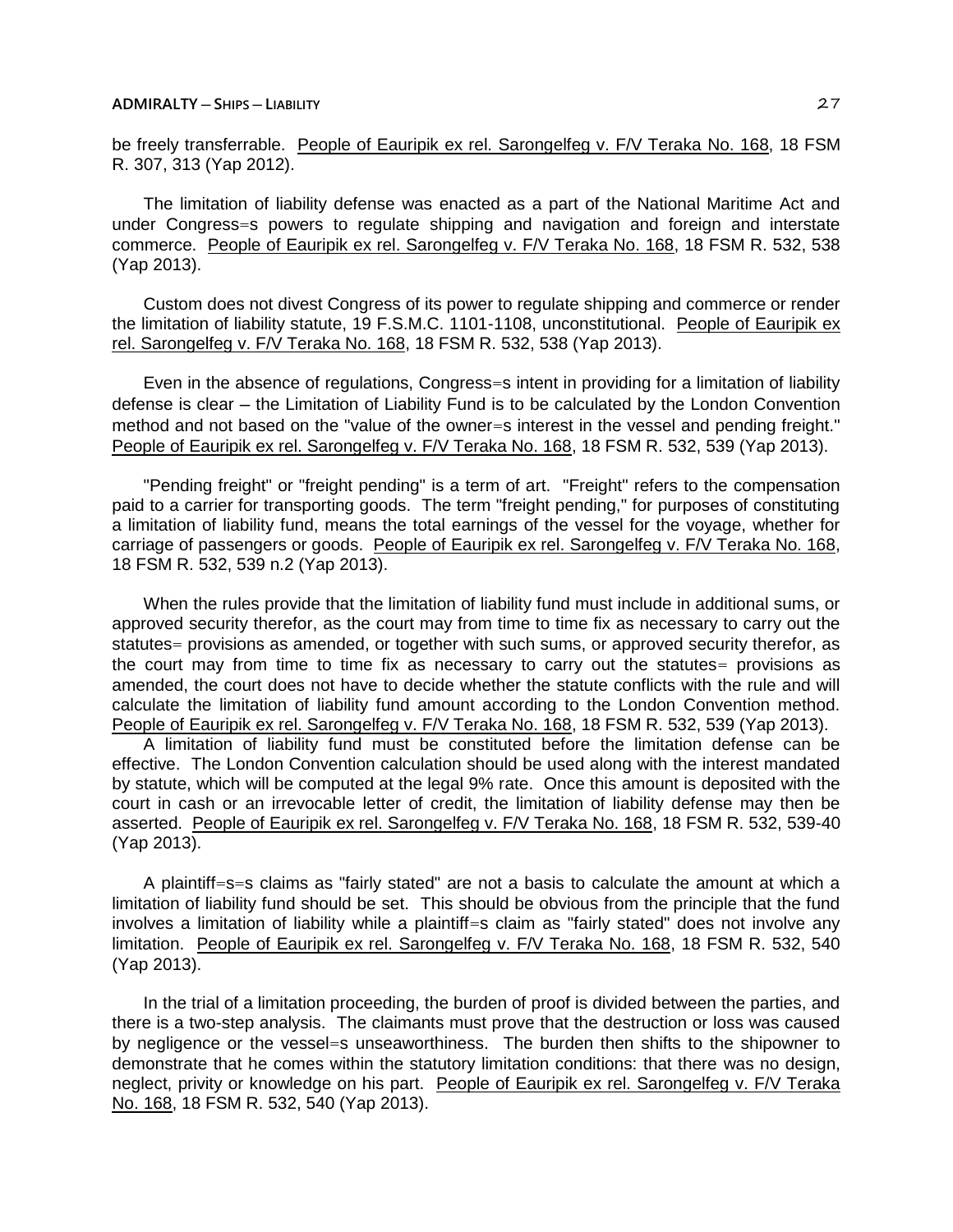be freely transferrable. People of Eauripik ex rel. Sarongelfeg v. F/V Teraka No. 168, 18 FSM R. 307, 313 (Yap 2012).

The limitation of liability defense was enacted as a part of the National Maritime Act and under Congress=s powers to regulate shipping and navigation and foreign and interstate commerce. People of Eauripik ex rel. Sarongelfeg v. F/V Teraka No. 168, 18 FSM R. 532, 538 (Yap 2013).

Custom does not divest Congress of its power to regulate shipping and commerce or render the limitation of liability statute, 19 F.S.M.C. 1101-1108, unconstitutional. People of Eauripik ex rel. Sarongelfeg v. F/V Teraka No. 168, 18 FSM R. 532, 538 (Yap 2013).

Even in the absence of regulations, Congress=s intent in providing for a limitation of liability defense is clear ─ the Limitation of Liability Fund is to be calculated by the London Convention method and not based on the "value of the owner=s interest in the vessel and pending freight." People of Eauripik ex rel. Sarongelfeg v. F/V Teraka No. 168, 18 FSM R. 532, 539 (Yap 2013).

"Pending freight" or "freight pending" is a term of art. "Freight" refers to the compensation paid to a carrier for transporting goods. The term "freight pending," for purposes of constituting a limitation of liability fund, means the total earnings of the vessel for the voyage, whether for carriage of passengers or goods. People of Eauripik ex rel. Sarongelfeg v. F/V Teraka No. 168, 18 FSM R. 532, 539 n.2 (Yap 2013).

When the rules provide that the limitation of liability fund must include in additional sums, or approved security therefor, as the court may from time to time fix as necessary to carry out the statutes= provisions as amended, or together with such sums, or approved security therefor, as the court may from time to time fix as necessary to carry out the statutes= provisions as amended, the court does not have to decide whether the statute conflicts with the rule and will calculate the limitation of liability fund amount according to the London Convention method. People of Eauripik ex rel. Sarongelfeg v. F/V Teraka No. 168, 18 FSM R. 532, 539 (Yap 2013).

A limitation of liability fund must be constituted before the limitation defense can be effective. The London Convention calculation should be used along with the interest mandated by statute, which will be computed at the legal 9% rate. Once this amount is deposited with the court in cash or an irrevocable letter of credit, the limitation of liability defense may then be asserted. People of Eauripik ex rel. Sarongelfeg v. F/V Teraka No. 168, 18 FSM R. 532, 539-40 (Yap 2013).

A plaintiff=s=s claims as "fairly stated" are not a basis to calculate the amount at which a limitation of liability fund should be set. This should be obvious from the principle that the fund involves a limitation of liability while a plaintiff=s claim as "fairly stated" does not involve any limitation. People of Eauripik ex rel. Sarongelfeg v. F/V Teraka No. 168, 18 FSM R. 532, 540 (Yap 2013).

In the trial of a limitation proceeding, the burden of proof is divided between the parties, and there is a two-step analysis. The claimants must prove that the destruction or loss was caused by negligence or the vessel=s unseaworthiness. The burden then shifts to the shipowner to demonstrate that he comes within the statutory limitation conditions: that there was no design, neglect, privity or knowledge on his part. People of Eauripik ex rel. Sarongelfeg v. F/V Teraka No. 168, 18 FSM R. 532, 540 (Yap 2013).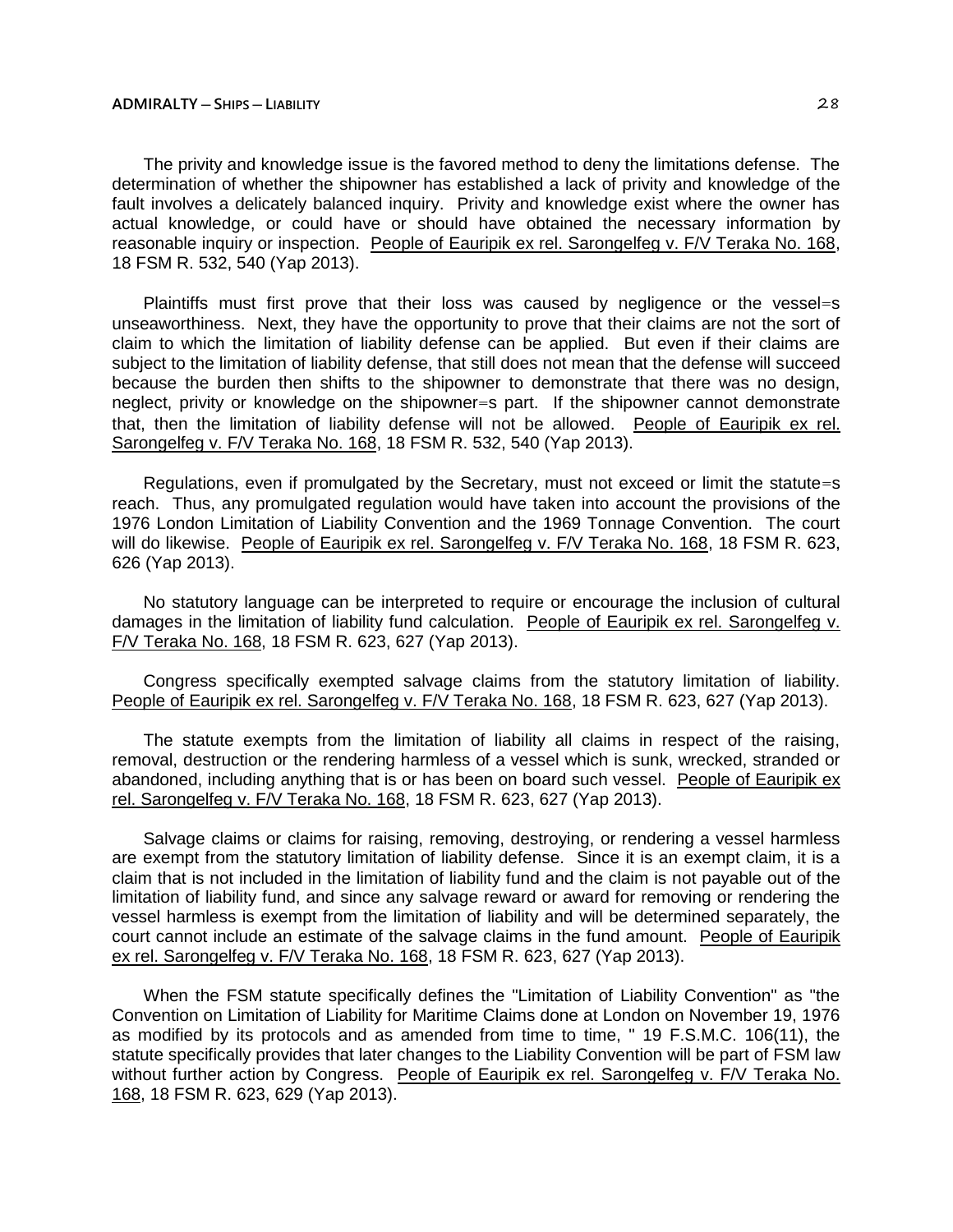The privity and knowledge issue is the favored method to deny the limitations defense. The determination of whether the shipowner has established a lack of privity and knowledge of the fault involves a delicately balanced inquiry. Privity and knowledge exist where the owner has actual knowledge, or could have or should have obtained the necessary information by reasonable inquiry or inspection. People of Eauripik ex rel. Sarongelfeg v. F/V Teraka No. 168, 18 FSM R. 532, 540 (Yap 2013).

Plaintiffs must first prove that their loss was caused by negligence or the vessel=s unseaworthiness. Next, they have the opportunity to prove that their claims are not the sort of claim to which the limitation of liability defense can be applied. But even if their claims are subject to the limitation of liability defense, that still does not mean that the defense will succeed because the burden then shifts to the shipowner to demonstrate that there was no design, neglect, privity or knowledge on the shipowner=s part. If the shipowner cannot demonstrate that, then the limitation of liability defense will not be allowed. People of Eauripik ex rel. Sarongelfeg v. F/V Teraka No. 168, 18 FSM R. 532, 540 (Yap 2013).

Regulations, even if promulgated by the Secretary, must not exceed or limit the statute=s reach. Thus, any promulgated regulation would have taken into account the provisions of the 1976 London Limitation of Liability Convention and the 1969 Tonnage Convention. The court will do likewise. People of Eauripik ex rel. Sarongelfeg v. F/V Teraka No. 168, 18 FSM R. 623, 626 (Yap 2013).

No statutory language can be interpreted to require or encourage the inclusion of cultural damages in the limitation of liability fund calculation. People of Eauripik ex rel. Sarongelfeg v. F/V Teraka No. 168, 18 FSM R. 623, 627 (Yap 2013).

Congress specifically exempted salvage claims from the statutory limitation of liability. People of Eauripik ex rel. Sarongelfeg v. F/V Teraka No. 168, 18 FSM R. 623, 627 (Yap 2013).

The statute exempts from the limitation of liability all claims in respect of the raising, removal, destruction or the rendering harmless of a vessel which is sunk, wrecked, stranded or abandoned, including anything that is or has been on board such vessel. People of Eauripik ex rel. Sarongelfeg v. F/V Teraka No. 168, 18 FSM R. 623, 627 (Yap 2013).

Salvage claims or claims for raising, removing, destroying, or rendering a vessel harmless are exempt from the statutory limitation of liability defense. Since it is an exempt claim, it is a claim that is not included in the limitation of liability fund and the claim is not payable out of the limitation of liability fund, and since any salvage reward or award for removing or rendering the vessel harmless is exempt from the limitation of liability and will be determined separately, the court cannot include an estimate of the salvage claims in the fund amount. People of Eauripik ex rel. Sarongelfeg v. F/V Teraka No. 168, 18 FSM R. 623, 627 (Yap 2013).

When the FSM statute specifically defines the "Limitation of Liability Convention" as "the Convention on Limitation of Liability for Maritime Claims done at London on November 19, 1976 as modified by its protocols and as amended from time to time, " 19 F.S.M.C. 106(11), the statute specifically provides that later changes to the Liability Convention will be part of FSM law without further action by Congress. People of Eauripik ex rel. Sarongelfeg v. F/V Teraka No. 168, 18 FSM R. 623, 629 (Yap 2013).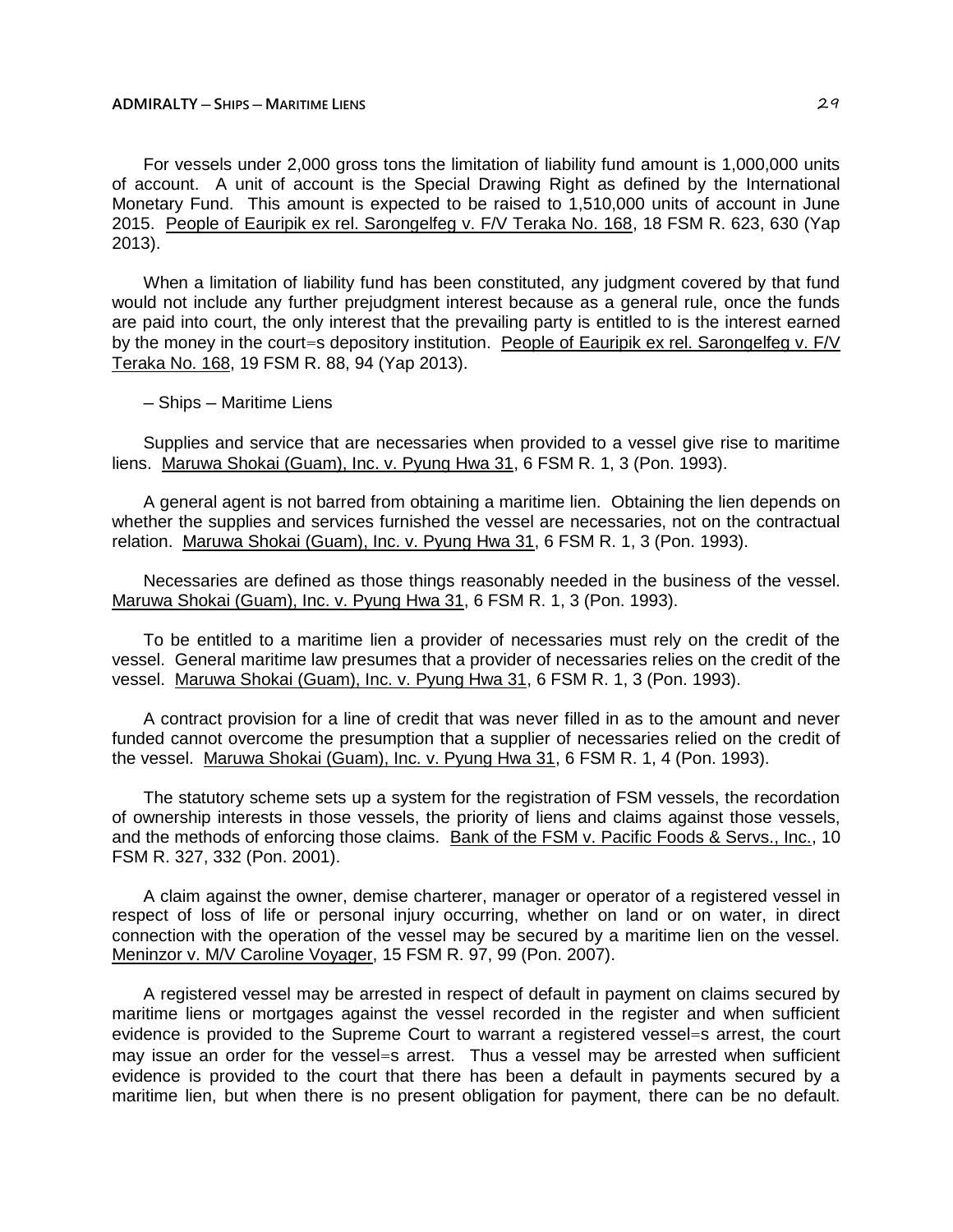### **ADMIRALTY ─ SHIPS ─ MARITIME LIENS** 29

For vessels under 2,000 gross tons the limitation of liability fund amount is 1,000,000 units of account. A unit of account is the Special Drawing Right as defined by the International Monetary Fund. This amount is expected to be raised to 1,510,000 units of account in June 2015. People of Eauripik ex rel. Sarongelfeg v. F/V Teraka No. 168, 18 FSM R. 623, 630 (Yap 2013).

When a limitation of liability fund has been constituted, any judgment covered by that fund would not include any further prejudgment interest because as a general rule, once the funds are paid into court, the only interest that the prevailing party is entitled to is the interest earned by the money in the court=s depository institution. People of Eauripik ex rel. Sarongelfeg v. F/V Teraka No. 168, 19 FSM R. 88, 94 (Yap 2013).

─ Ships ─ Maritime Liens

Supplies and service that are necessaries when provided to a vessel give rise to maritime liens. Maruwa Shokai (Guam), Inc. v. Pyung Hwa 31, 6 FSM R. 1, 3 (Pon. 1993).

A general agent is not barred from obtaining a maritime lien. Obtaining the lien depends on whether the supplies and services furnished the vessel are necessaries, not on the contractual relation. Maruwa Shokai (Guam), Inc. v. Pyung Hwa 31, 6 FSM R. 1, 3 (Pon. 1993).

Necessaries are defined as those things reasonably needed in the business of the vessel. Maruwa Shokai (Guam), Inc. v. Pyung Hwa 31, 6 FSM R. 1, 3 (Pon. 1993).

To be entitled to a maritime lien a provider of necessaries must rely on the credit of the vessel. General maritime law presumes that a provider of necessaries relies on the credit of the vessel. Maruwa Shokai (Guam), Inc. v. Pyung Hwa 31, 6 FSM R. 1, 3 (Pon. 1993).

A contract provision for a line of credit that was never filled in as to the amount and never funded cannot overcome the presumption that a supplier of necessaries relied on the credit of the vessel. Maruwa Shokai (Guam), Inc. v. Pyung Hwa 31, 6 FSM R. 1, 4 (Pon. 1993).

The statutory scheme sets up a system for the registration of FSM vessels, the recordation of ownership interests in those vessels, the priority of liens and claims against those vessels, and the methods of enforcing those claims. Bank of the FSM v. Pacific Foods & Servs., Inc., 10 FSM R. 327, 332 (Pon. 2001).

A claim against the owner, demise charterer, manager or operator of a registered vessel in respect of loss of life or personal injury occurring, whether on land or on water, in direct connection with the operation of the vessel may be secured by a maritime lien on the vessel. Meninzor v. M/V Caroline Voyager, 15 FSM R. 97, 99 (Pon. 2007).

A registered vessel may be arrested in respect of default in payment on claims secured by maritime liens or mortgages against the vessel recorded in the register and when sufficient evidence is provided to the Supreme Court to warrant a registered vessel=s arrest, the court may issue an order for the vessel=s arrest. Thus a vessel may be arrested when sufficient evidence is provided to the court that there has been a default in payments secured by a maritime lien, but when there is no present obligation for payment, there can be no default.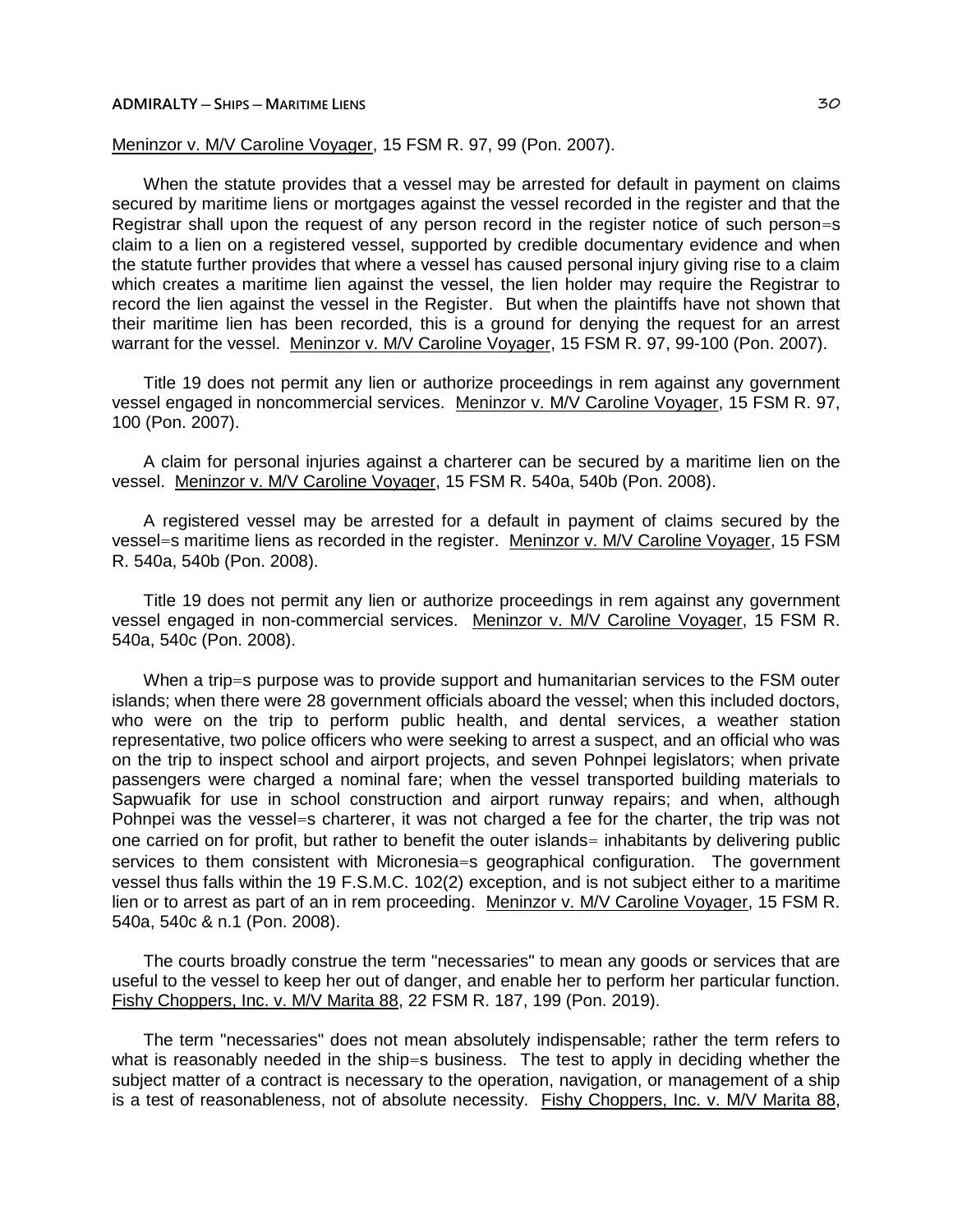# Meninzor v. M/V Caroline Voyager, 15 FSM R. 97, 99 (Pon. 2007).

When the statute provides that a vessel may be arrested for default in payment on claims secured by maritime liens or mortgages against the vessel recorded in the register and that the Registrar shall upon the request of any person record in the register notice of such person=s claim to a lien on a registered vessel, supported by credible documentary evidence and when the statute further provides that where a vessel has caused personal injury giving rise to a claim which creates a maritime lien against the vessel, the lien holder may require the Registrar to record the lien against the vessel in the Register. But when the plaintiffs have not shown that their maritime lien has been recorded, this is a ground for denying the request for an arrest warrant for the vessel. Meninzor v. M/V Caroline Voyager, 15 FSM R. 97, 99-100 (Pon. 2007).

Title 19 does not permit any lien or authorize proceedings in rem against any government vessel engaged in noncommercial services. Meninzor v. M/V Caroline Voyager, 15 FSM R. 97, 100 (Pon. 2007).

A claim for personal injuries against a charterer can be secured by a maritime lien on the vessel. Meninzor v. M/V Caroline Voyager, 15 FSM R. 540a, 540b (Pon. 2008).

A registered vessel may be arrested for a default in payment of claims secured by the vessel=s maritime liens as recorded in the register. Meninzor v. M/V Caroline Voyager, 15 FSM R. 540a, 540b (Pon. 2008).

Title 19 does not permit any lien or authorize proceedings in rem against any government vessel engaged in non-commercial services. Meninzor v. M/V Caroline Voyager, 15 FSM R. 540a, 540c (Pon. 2008).

When a trip=s purpose was to provide support and humanitarian services to the FSM outer islands; when there were 28 government officials aboard the vessel; when this included doctors, who were on the trip to perform public health, and dental services, a weather station representative, two police officers who were seeking to arrest a suspect, and an official who was on the trip to inspect school and airport projects, and seven Pohnpei legislators; when private passengers were charged a nominal fare; when the vessel transported building materials to Sapwuafik for use in school construction and airport runway repairs; and when, although Pohnpei was the vessel=s charterer, it was not charged a fee for the charter, the trip was not one carried on for profit, but rather to benefit the outer islands= inhabitants by delivering public services to them consistent with Micronesia=s geographical configuration. The government vessel thus falls within the 19 F.S.M.C. 102(2) exception, and is not subject either to a maritime lien or to arrest as part of an in rem proceeding. Meninzor v. M/V Caroline Voyager, 15 FSM R. 540a, 540c & n.1 (Pon. 2008).

The courts broadly construe the term "necessaries" to mean any goods or services that are useful to the vessel to keep her out of danger, and enable her to perform her particular function. Fishy Choppers, Inc. v. M/V Marita 88, 22 FSM R. 187, 199 (Pon. 2019).

The term "necessaries" does not mean absolutely indispensable; rather the term refers to what is reasonably needed in the ship=s business. The test to apply in deciding whether the subject matter of a contract is necessary to the operation, navigation, or management of a ship is a test of reasonableness, not of absolute necessity. Fishy Choppers, Inc. v. M/V Marita 88,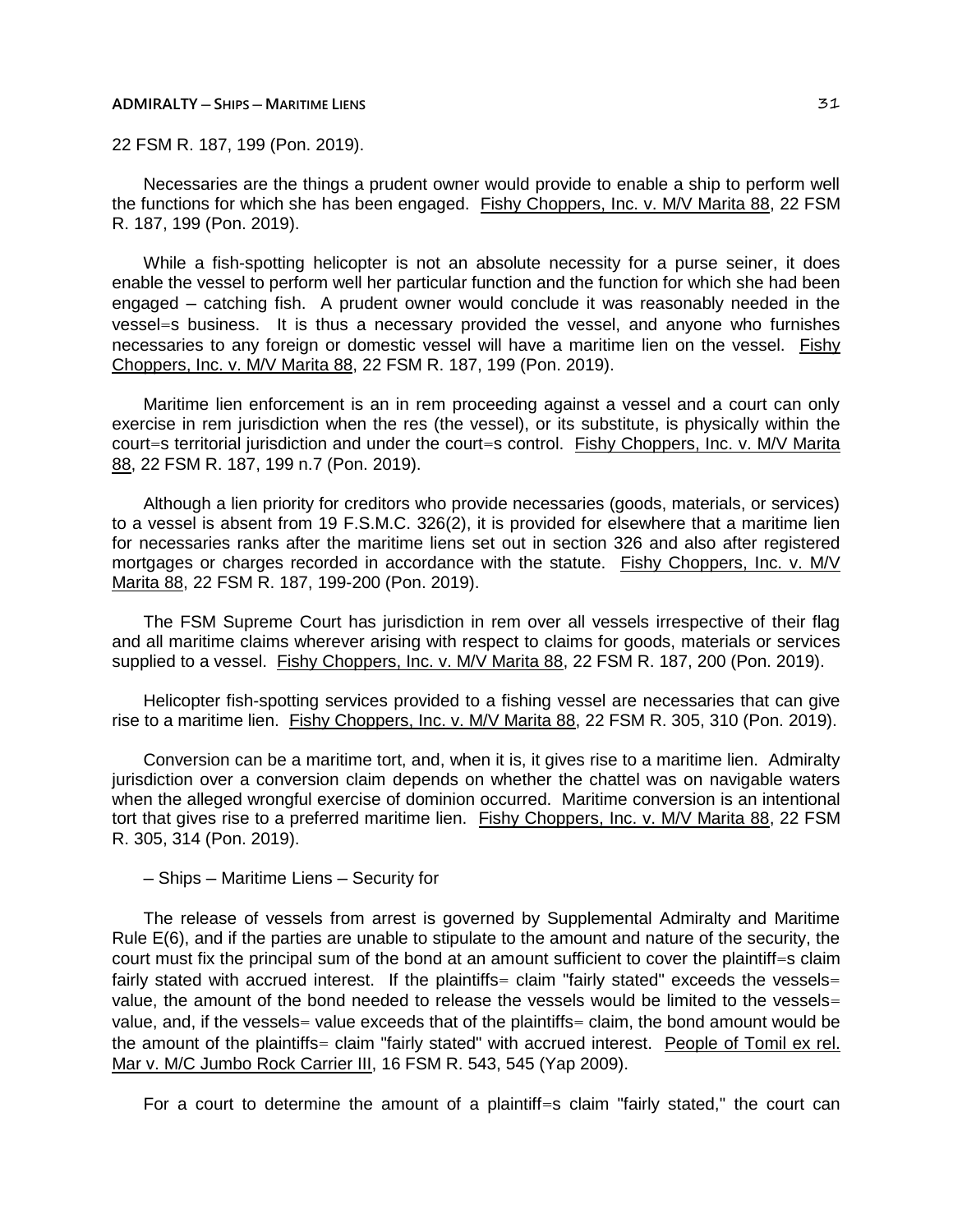#### **ADMIRALTY ─ SHIPS ─ MARITIME LIENS** 31

22 FSM R. 187, 199 (Pon. 2019).

Necessaries are the things a prudent owner would provide to enable a ship to perform well the functions for which she has been engaged. Fishy Choppers, Inc. v. M/V Marita 88, 22 FSM R. 187, 199 (Pon. 2019).

While a fish-spotting helicopter is not an absolute necessity for a purse seiner, it does enable the vessel to perform well her particular function and the function for which she had been engaged – catching fish. A prudent owner would conclude it was reasonably needed in the vessel=s business. It is thus a necessary provided the vessel, and anyone who furnishes necessaries to any foreign or domestic vessel will have a maritime lien on the vessel. Fishy Choppers, Inc. v. M/V Marita 88, 22 FSM R. 187, 199 (Pon. 2019).

Maritime lien enforcement is an in rem proceeding against a vessel and a court can only exercise in rem jurisdiction when the res (the vessel), or its substitute, is physically within the court=s territorial jurisdiction and under the court=s control. Fishy Choppers, Inc. v. M/V Marita 88, 22 FSM R. 187, 199 n.7 (Pon. 2019).

Although a lien priority for creditors who provide necessaries (goods, materials, or services) to a vessel is absent from 19 F.S.M.C. 326(2), it is provided for elsewhere that a maritime lien for necessaries ranks after the maritime liens set out in section 326 and also after registered mortgages or charges recorded in accordance with the statute. Fishy Choppers, Inc. v. M/V Marita 88, 22 FSM R. 187, 199-200 (Pon. 2019).

The FSM Supreme Court has jurisdiction in rem over all vessels irrespective of their flag and all maritime claims wherever arising with respect to claims for goods, materials or services supplied to a vessel. Fishy Choppers, Inc. v. M/V Marita 88, 22 FSM R. 187, 200 (Pon. 2019).

Helicopter fish-spotting services provided to a fishing vessel are necessaries that can give rise to a maritime lien. Fishy Choppers, Inc. v. M/V Marita 88, 22 FSM R. 305, 310 (Pon. 2019).

Conversion can be a maritime tort, and, when it is, it gives rise to a maritime lien. Admiralty jurisdiction over a conversion claim depends on whether the chattel was on navigable waters when the alleged wrongful exercise of dominion occurred. Maritime conversion is an intentional tort that gives rise to a preferred maritime lien. Fishy Choppers, Inc. v. M/V Marita 88, 22 FSM R. 305, 314 (Pon. 2019).

### ─ Ships ─ Maritime Liens ─ Security for

The release of vessels from arrest is governed by Supplemental Admiralty and Maritime Rule E(6), and if the parties are unable to stipulate to the amount and nature of the security, the court must fix the principal sum of the bond at an amount sufficient to cover the plaintiff=s claim fairly stated with accrued interest. If the plaintiffs = claim "fairly stated" exceeds the vessels = value, the amount of the bond needed to release the vessels would be limited to the vessels= value, and, if the vessels= value exceeds that of the plaintiffs= claim, the bond amount would be the amount of the plaintiffs= claim "fairly stated" with accrued interest. People of Tomil ex rel. Mar v. M/C Jumbo Rock Carrier III, 16 FSM R. 543, 545 (Yap 2009).

For a court to determine the amount of a plaintiff=s claim "fairly stated," the court can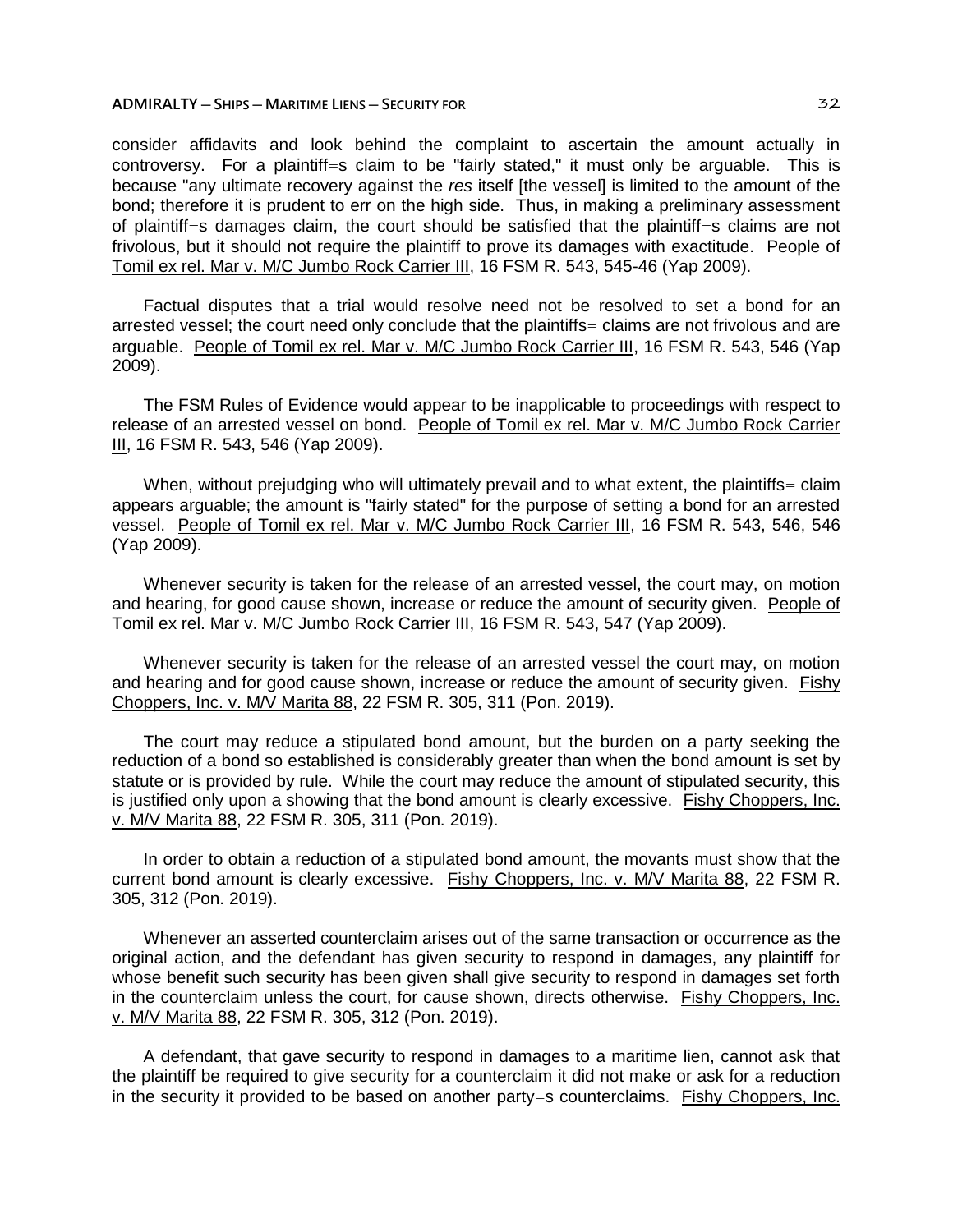### **ADMIRALTY** — **SHIPS** — **MARITIME LIENS** — **SECURITY FOR** 32

consider affidavits and look behind the complaint to ascertain the amount actually in controversy. For a plaintiff=s claim to be "fairly stated," it must only be arguable. This is because "any ultimate recovery against the *res* itself [the vessel] is limited to the amount of the bond; therefore it is prudent to err on the high side. Thus, in making a preliminary assessment of plaintiff=s damages claim, the court should be satisfied that the plaintiff=s claims are not frivolous, but it should not require the plaintiff to prove its damages with exactitude. People of Tomil ex rel. Mar v. M/C Jumbo Rock Carrier III, 16 FSM R. 543, 545-46 (Yap 2009).

Factual disputes that a trial would resolve need not be resolved to set a bond for an arrested vessel; the court need only conclude that the plaintiffs= claims are not frivolous and are arguable. People of Tomil ex rel. Mar v. M/C Jumbo Rock Carrier III, 16 FSM R. 543, 546 (Yap 2009).

The FSM Rules of Evidence would appear to be inapplicable to proceedings with respect to release of an arrested vessel on bond. People of Tomil ex rel. Mar v. M/C Jumbo Rock Carrier III, 16 FSM R. 543, 546 (Yap 2009).

When, without prejudging who will ultimately prevail and to what extent, the plaintiffs= claim appears arguable; the amount is "fairly stated" for the purpose of setting a bond for an arrested vessel. People of Tomil ex rel. Mar v. M/C Jumbo Rock Carrier III, 16 FSM R. 543, 546, 546 (Yap 2009).

Whenever security is taken for the release of an arrested vessel, the court may, on motion and hearing, for good cause shown, increase or reduce the amount of security given. People of Tomil ex rel. Mar v. M/C Jumbo Rock Carrier III, 16 FSM R. 543, 547 (Yap 2009).

Whenever security is taken for the release of an arrested vessel the court may, on motion and hearing and for good cause shown, increase or reduce the amount of security given. Fishy Choppers, Inc. v. M/V Marita 88, 22 FSM R. 305, 311 (Pon. 2019).

The court may reduce a stipulated bond amount, but the burden on a party seeking the reduction of a bond so established is considerably greater than when the bond amount is set by statute or is provided by rule. While the court may reduce the amount of stipulated security, this is justified only upon a showing that the bond amount is clearly excessive. Fishy Choppers, Inc. v. M/V Marita 88, 22 FSM R. 305, 311 (Pon. 2019).

In order to obtain a reduction of a stipulated bond amount, the movants must show that the current bond amount is clearly excessive. Fishy Choppers, Inc. v. M/V Marita 88, 22 FSM R. 305, 312 (Pon. 2019).

Whenever an asserted counterclaim arises out of the same transaction or occurrence as the original action, and the defendant has given security to respond in damages, any plaintiff for whose benefit such security has been given shall give security to respond in damages set forth in the counterclaim unless the court, for cause shown, directs otherwise. Fishy Choppers, Inc. v. M/V Marita 88, 22 FSM R. 305, 312 (Pon. 2019).

A defendant, that gave security to respond in damages to a maritime lien, cannot ask that the plaintiff be required to give security for a counterclaim it did not make or ask for a reduction in the security it provided to be based on another party=s counterclaims. Fishy Choppers, Inc.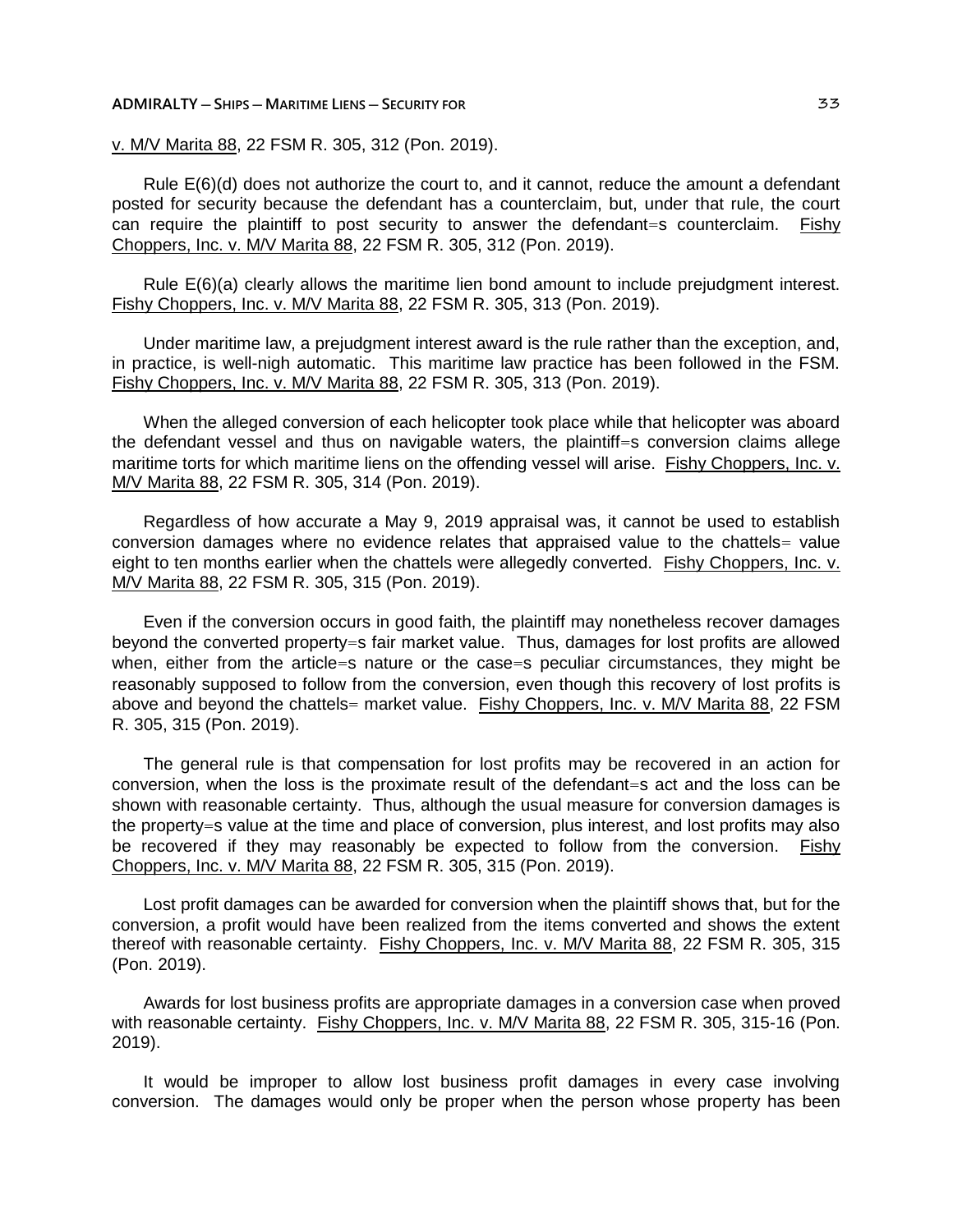#### **ADMIRALTY** — **SHIPS** — **MARITIME LIENS — SECURITY FOR** 33

v. M/V Marita 88, 22 FSM R. 305, 312 (Pon. 2019).

Rule E(6)(d) does not authorize the court to, and it cannot, reduce the amount a defendant posted for security because the defendant has a counterclaim, but, under that rule, the court can require the plaintiff to post security to answer the defendant=s counterclaim. Fishy Choppers, Inc. v. M/V Marita 88, 22 FSM R. 305, 312 (Pon. 2019).

Rule E(6)(a) clearly allows the maritime lien bond amount to include prejudgment interest. Fishy Choppers, Inc. v. M/V Marita 88, 22 FSM R. 305, 313 (Pon. 2019).

Under maritime law, a prejudgment interest award is the rule rather than the exception, and, in practice, is well-nigh automatic. This maritime law practice has been followed in the FSM. Fishy Choppers, Inc. v. M/V Marita 88, 22 FSM R. 305, 313 (Pon. 2019).

When the alleged conversion of each helicopter took place while that helicopter was aboard the defendant vessel and thus on navigable waters, the plaintiff=s conversion claims allege maritime torts for which maritime liens on the offending vessel will arise. Fishy Choppers, Inc. v. M/V Marita 88, 22 FSM R. 305, 314 (Pon. 2019).

Regardless of how accurate a May 9, 2019 appraisal was, it cannot be used to establish conversion damages where no evidence relates that appraised value to the chattels= value eight to ten months earlier when the chattels were allegedly converted. Fishy Choppers, Inc. v. M/V Marita 88, 22 FSM R. 305, 315 (Pon. 2019).

Even if the conversion occurs in good faith, the plaintiff may nonetheless recover damages beyond the converted property=s fair market value. Thus, damages for lost profits are allowed when, either from the article=s nature or the case=s peculiar circumstances, they might be reasonably supposed to follow from the conversion, even though this recovery of lost profits is above and beyond the chattels= market value. Fishy Choppers, Inc. v. M/V Marita 88, 22 FSM R. 305, 315 (Pon. 2019).

The general rule is that compensation for lost profits may be recovered in an action for conversion, when the loss is the proximate result of the defendant=s act and the loss can be shown with reasonable certainty. Thus, although the usual measure for conversion damages is the property=s value at the time and place of conversion, plus interest, and lost profits may also be recovered if they may reasonably be expected to follow from the conversion. Fishy Choppers, Inc. v. M/V Marita 88, 22 FSM R. 305, 315 (Pon. 2019).

Lost profit damages can be awarded for conversion when the plaintiff shows that, but for the conversion, a profit would have been realized from the items converted and shows the extent thereof with reasonable certainty. Fishy Choppers, Inc. v. M/V Marita 88, 22 FSM R. 305, 315 (Pon. 2019).

Awards for lost business profits are appropriate damages in a conversion case when proved with reasonable certainty. Fishy Choppers, Inc. v. M/V Marita 88, 22 FSM R. 305, 315-16 (Pon. 2019).

It would be improper to allow lost business profit damages in every case involving conversion. The damages would only be proper when the person whose property has been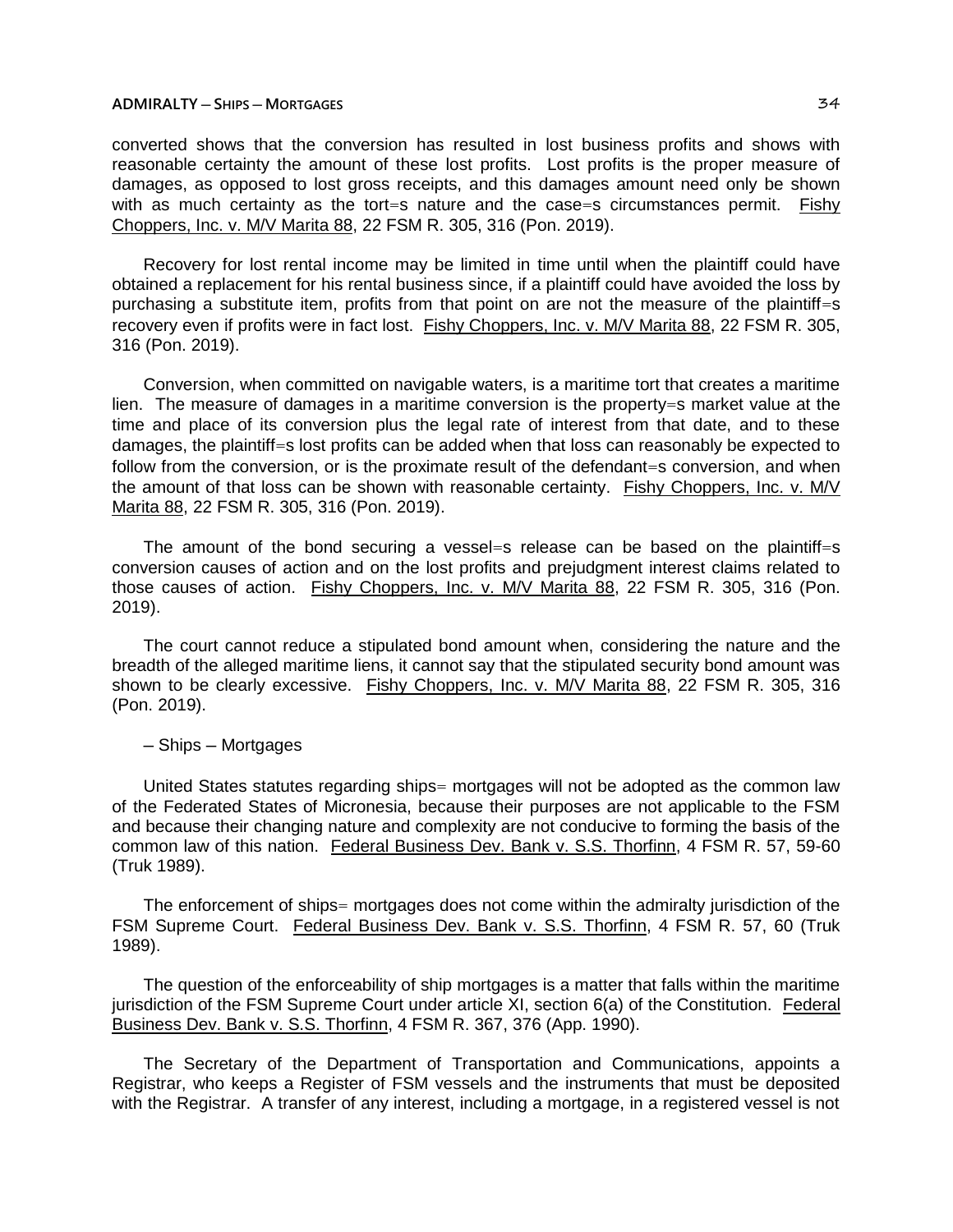## **ADMIRALTY ─ SHIPS ─ MORTGAGES** 34

converted shows that the conversion has resulted in lost business profits and shows with reasonable certainty the amount of these lost profits. Lost profits is the proper measure of damages, as opposed to lost gross receipts, and this damages amount need only be shown with as much certainty as the tort=s nature and the case=s circumstances permit. Fishy Choppers, Inc. v. M/V Marita 88, 22 FSM R. 305, 316 (Pon. 2019).

Recovery for lost rental income may be limited in time until when the plaintiff could have obtained a replacement for his rental business since, if a plaintiff could have avoided the loss by purchasing a substitute item, profits from that point on are not the measure of the plaintiff=s recovery even if profits were in fact lost. Fishy Choppers, Inc. v. M/V Marita 88, 22 FSM R. 305, 316 (Pon. 2019).

Conversion, when committed on navigable waters, is a maritime tort that creates a maritime lien. The measure of damages in a maritime conversion is the property=s market value at the time and place of its conversion plus the legal rate of interest from that date, and to these damages, the plaintiff=s lost profits can be added when that loss can reasonably be expected to follow from the conversion, or is the proximate result of the defendant=s conversion, and when the amount of that loss can be shown with reasonable certainty. Fishy Choppers, Inc. v. M/V Marita 88, 22 FSM R. 305, 316 (Pon. 2019).

The amount of the bond securing a vessel=s release can be based on the plaintiff=s conversion causes of action and on the lost profits and prejudgment interest claims related to those causes of action. Fishy Choppers, Inc. v. M/V Marita 88, 22 FSM R. 305, 316 (Pon. 2019).

The court cannot reduce a stipulated bond amount when, considering the nature and the breadth of the alleged maritime liens, it cannot say that the stipulated security bond amount was shown to be clearly excessive. Fishy Choppers, Inc. v. M/V Marita 88, 22 FSM R. 305, 316 (Pon. 2019).

─ Ships ─ Mortgages

United States statutes regarding ships= mortgages will not be adopted as the common law of the Federated States of Micronesia, because their purposes are not applicable to the FSM and because their changing nature and complexity are not conducive to forming the basis of the common law of this nation. Federal Business Dev. Bank v. S.S. Thorfinn, 4 FSM R. 57, 59-60 (Truk 1989).

The enforcement of ships= mortgages does not come within the admiralty jurisdiction of the FSM Supreme Court. Federal Business Dev. Bank v. S.S. Thorfinn, 4 FSM R. 57, 60 (Truk 1989).

The question of the enforceability of ship mortgages is a matter that falls within the maritime jurisdiction of the FSM Supreme Court under article XI, section 6(a) of the Constitution. Federal Business Dev. Bank v. S.S. Thorfinn, 4 FSM R. 367, 376 (App. 1990).

The Secretary of the Department of Transportation and Communications, appoints a Registrar, who keeps a Register of FSM vessels and the instruments that must be deposited with the Registrar. A transfer of any interest, including a mortgage, in a registered vessel is not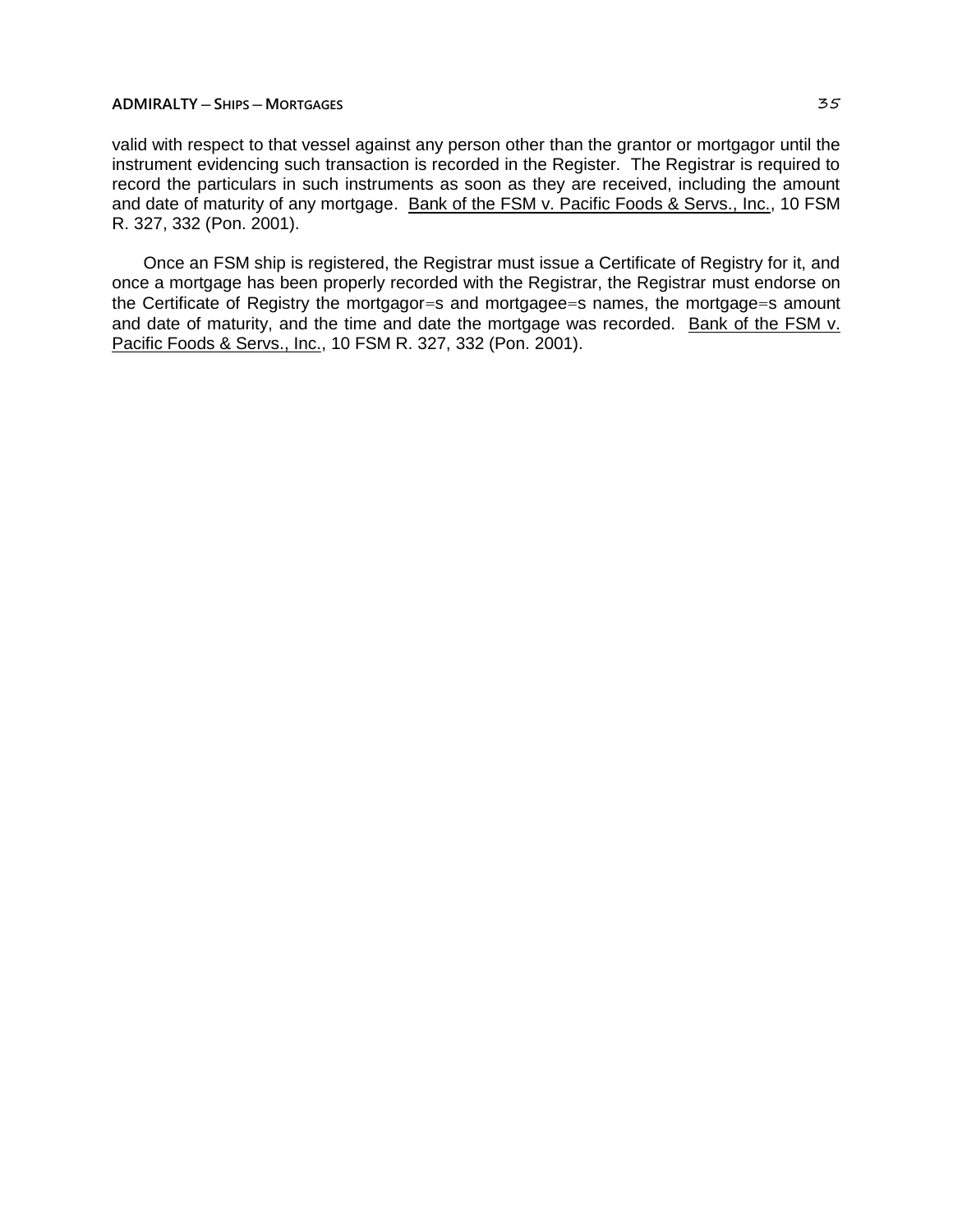valid with respect to that vessel against any person other than the grantor or mortgagor until the instrument evidencing such transaction is recorded in the Register. The Registrar is required to record the particulars in such instruments as soon as they are received, including the amount and date of maturity of any mortgage. Bank of the FSM v. Pacific Foods & Servs., Inc., 10 FSM R. 327, 332 (Pon. 2001).

Once an FSM ship is registered, the Registrar must issue a Certificate of Registry for it, and once a mortgage has been properly recorded with the Registrar, the Registrar must endorse on the Certificate of Registry the mortgagor=s and mortgagee=s names, the mortgage=s amount and date of maturity, and the time and date the mortgage was recorded. Bank of the FSM v. Pacific Foods & Servs., Inc., 10 FSM R. 327, 332 (Pon. 2001).